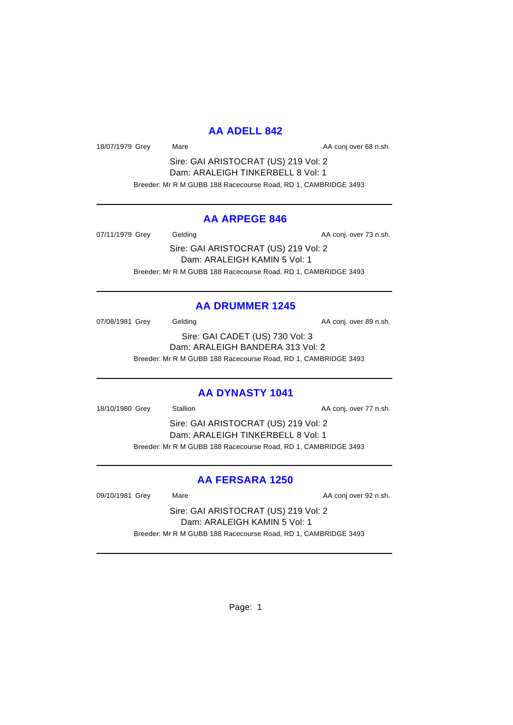### **AA ADELL 842**

18/07/1979 Grey Mare Mare AA conj over 68 n.sh.

Sire: GAI ARISTOCRAT (US) 219 Vol: 2 Dam: ARALEIGH TINKERBELL 8 Vol: 1 Breeder: Mr R M GUBB 188 Racecourse Road, RD 1, CAMBRIDGE 3493

### **AA ARPEGE 846**

07/11/1979 Grey Gelding Constants AA conj. over 73 n.sh.

Sire: GAI ARISTOCRAT (US) 219 Vol: 2 Dam: ARALEIGH KAMIN 5 Vol: 1 Breeder: Mr R M GUBB 188 Racecourse Road, RD 1, CAMBRIDGE 3493

## **AA DRUMMER 1245**

07/08/1981 Grey Gelding Construction Conj. over 89 n.sh.

Sire: GAI CADET (US) 730 Vol: 3 Dam: ARALEIGH BANDERA 313 Vol: 2 Breeder: Mr R M GUBB 188 Racecourse Road, RD 1, CAMBRIDGE 3493

## **AA DYNASTY 1041**

18/10/1980 Grey Stallion Stallion State AA conj. over 77 n.sh.

Sire: GAI ARISTOCRAT (US) 219 Vol: 2 Dam: ARALEIGH TINKERBELL 8 Vol: 1 Breeder: Mr R M GUBB 188 Racecourse Road, RD 1, CAMBRIDGE 3493

# **AA FERSARA 1250**

09/10/1981 Grey Mare Mare AA conj over 92 n.sh.

Sire: GAI ARISTOCRAT (US) 219 Vol: 2 Dam: ARALEIGH KAMIN 5 Vol: 1 Breeder: Mr R M GUBB 188 Racecourse Road, RD 1, CAMBRIDGE 3493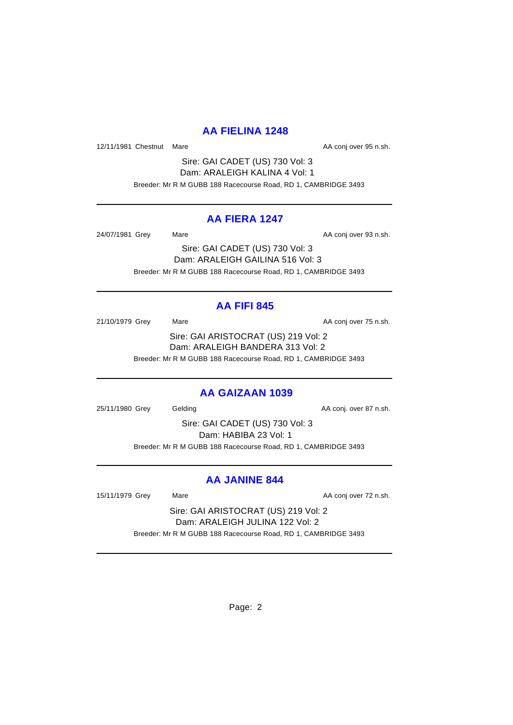## **AA FIELINA 1248**

12/11/1981 Chestnut Mare **AA conj over 95 n.sh.** AA conj over 95 n.sh.

Sire: GAI CADET (US) 730 Vol: 3 Dam: ARALEIGH KALINA 4 Vol: 1 Breeder: Mr R M GUBB 188 Racecourse Road, RD 1, CAMBRIDGE 3493

## **AA FIERA 1247**

24/07/1981 Grey Mare Mare AA conj over 93 n.sh.

Sire: GAI CADET (US) 730 Vol: 3 Dam: ARALEIGH GAILINA 516 Vol: 3 Breeder: Mr R M GUBB 188 Racecourse Road, RD 1, CAMBRIDGE 3493

# **AA FIFI 845**

21/10/1979 Grey Mare Mare AA conj over 75 n.sh. Sire: GAI ARISTOCRAT (US) 219 Vol: 2 Dam: ARALEIGH BANDERA 313 Vol: 2 Breeder: Mr R M GUBB 188 Racecourse Road, RD 1, CAMBRIDGE 3493

## **AA GAIZAAN 1039**

25/11/1980 Grey Gelding Case Conj. over 87 n.sh.

Sire: GAI CADET (US) 730 Vol: 3 Dam: HABIBA 23 Vol: 1 Breeder: Mr R M GUBB 188 Racecourse Road, RD 1, CAMBRIDGE 3493

## **AA JANINE 844**

15/11/1979 Grey Mare Mare AA conj over 72 n.sh.

Sire: GAI ARISTOCRAT (US) 219 Vol: 2 Dam: ARALEIGH JULINA 122 Vol: 2 Breeder: Mr R M GUBB 188 Racecourse Road, RD 1, CAMBRIDGE 3493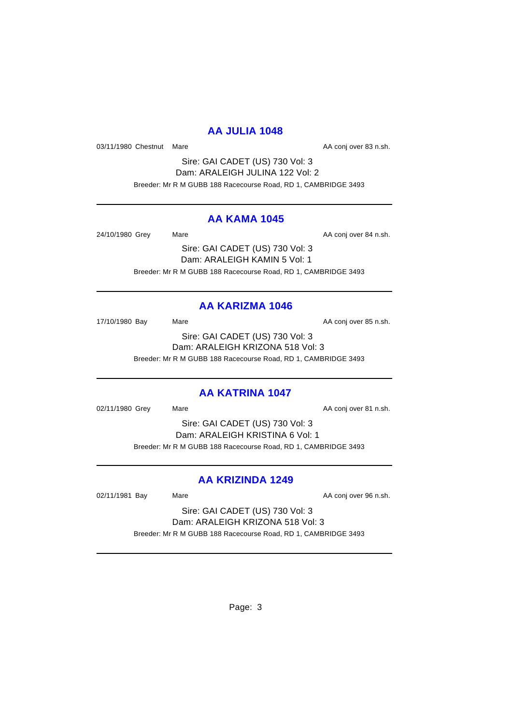## **AA JULIA 1048**

03/11/1980 Chestnut Mare **AA conj over 83 n.sh.** AA conj over 83 n.sh.

Sire: GAI CADET (US) 730 Vol: 3 Dam: ARALEIGH JULINA 122 Vol: 2 Breeder: Mr R M GUBB 188 Racecourse Road, RD 1, CAMBRIDGE 3493

### **AA KAMA 1045**

24/10/1980 Grey Mare Mare AA conj over 84 n.sh.

Sire: GAI CADET (US) 730 Vol: 3 Dam: ARALEIGH KAMIN 5 Vol: 1 Breeder: Mr R M GUBB 188 Racecourse Road, RD 1, CAMBRIDGE 3493

# **AA KARIZMA 1046**

17/10/1980 Bay Mare Mare AA conj over 85 n.sh. Sire: GAI CADET (US) 730 Vol: 3 Dam: ARALEIGH KRIZONA 518 Vol: 3 Breeder: Mr R M GUBB 188 Racecourse Road, RD 1, CAMBRIDGE 3493

## **AA KATRINA 1047**

02/11/1980 Grey Mare Mare AA conj over 81 n.sh.

Sire: GAI CADET (US) 730 Vol: 3 Dam: ARALEIGH KRISTINA 6 Vol: 1 Breeder: Mr R M GUBB 188 Racecourse Road, RD 1, CAMBRIDGE 3493

## **AA KRIZINDA 1249**

02/11/1981 Bay Mare Mare AA conj over 96 n.sh.

Sire: GAI CADET (US) 730 Vol: 3 Dam: ARALEIGH KRIZONA 518 Vol: 3 Breeder: Mr R M GUBB 188 Racecourse Road, RD 1, CAMBRIDGE 3493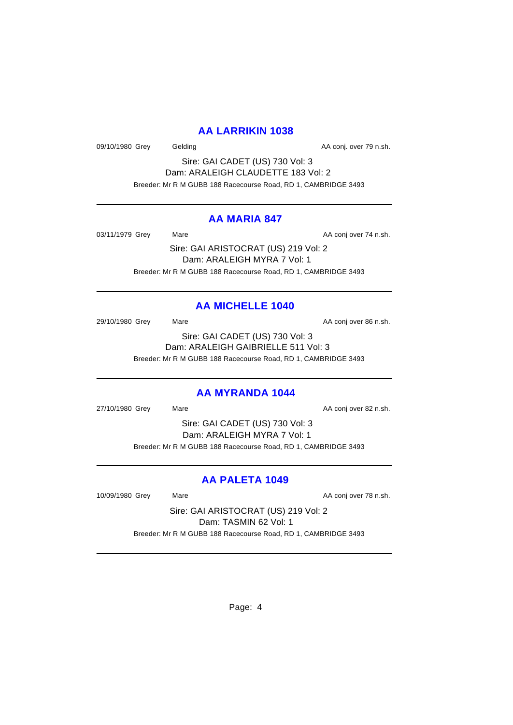### **AA LARRIKIN 1038**

09/10/1980 Grey Gelding Case Conj. over 79 n.sh.

Sire: GAI CADET (US) 730 Vol: 3 Dam: ARALEIGH CLAUDETTE 183 Vol: 2 Breeder: Mr R M GUBB 188 Racecourse Road, RD 1, CAMBRIDGE 3493

### **AA MARIA 847**

03/11/1979 Grey Mare Mare AA conj over 74 n.sh.

Sire: GAI ARISTOCRAT (US) 219 Vol: 2 Dam: ARALEIGH MYRA 7 Vol: 1 Breeder: Mr R M GUBB 188 Racecourse Road, RD 1, CAMBRIDGE 3493

## **AA MICHELLE 1040**

29/10/1980 Grey Mare Mare AA conj over 86 n.sh.

Sire: GAI CADET (US) 730 Vol: 3 Dam: ARALEIGH GAIBRIELLE 511 Vol: 3

Breeder: Mr R M GUBB 188 Racecourse Road, RD 1, CAMBRIDGE 3493

## **AA MYRANDA 1044**

27/10/1980 Grey Mare Mare AA conj over 82 n.sh.

Sire: GAI CADET (US) 730 Vol: 3 Dam: ARALEIGH MYRA 7 Vol: 1 Breeder: Mr R M GUBB 188 Racecourse Road, RD 1, CAMBRIDGE 3493

# **AA PALETA 1049**

10/09/1980 Grey Mare Mare AA conj over 78 n.sh.

Sire: GAI ARISTOCRAT (US) 219 Vol: 2 Dam: TASMIN 62 Vol: 1 Breeder: Mr R M GUBB 188 Racecourse Road, RD 1, CAMBRIDGE 3493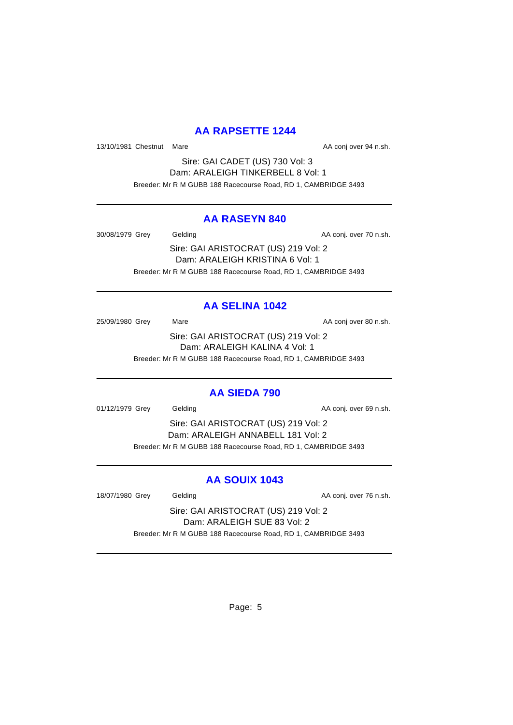## **AA RAPSETTE 1244**

13/10/1981 Chestnut Mare **AA** conj over 94 n.sh.

Sire: GAI CADET (US) 730 Vol: 3 Dam: ARALEIGH TINKERBELL 8 Vol: 1 Breeder: Mr R M GUBB 188 Racecourse Road, RD 1, CAMBRIDGE 3493

### **AA RASEYN 840**

30/08/1979 Grey Gelding Case Conj. over 70 n.sh.

Sire: GAI ARISTOCRAT (US) 219 Vol: 2 Dam: ARALEIGH KRISTINA 6 Vol: 1 Breeder: Mr R M GUBB 188 Racecourse Road, RD 1, CAMBRIDGE 3493

# **AA SELINA 1042**

25/09/1980 Grey Mare Mare AA conj over 80 n.sh. Sire: GAI ARISTOCRAT (US) 219 Vol: 2 Dam: ARALEIGH KALINA 4 Vol: 1

Breeder: Mr R M GUBB 188 Racecourse Road, RD 1, CAMBRIDGE 3493

# **AA SIEDA 790**

01/12/1979 Grey Gelding Construction AA conj. over 69 n.sh.

Sire: GAI ARISTOCRAT (US) 219 Vol: 2 Dam: ARALEIGH ANNABELL 181 Vol: 2 Breeder: Mr R M GUBB 188 Racecourse Road, RD 1, CAMBRIDGE 3493

# **AA SOUIX 1043**

18/07/1980 Grey Gelding Case Conj. over 76 n.sh.

Sire: GAI ARISTOCRAT (US) 219 Vol: 2 Dam: ARALEIGH SUE 83 Vol: 2 Breeder: Mr R M GUBB 188 Racecourse Road, RD 1, CAMBRIDGE 3493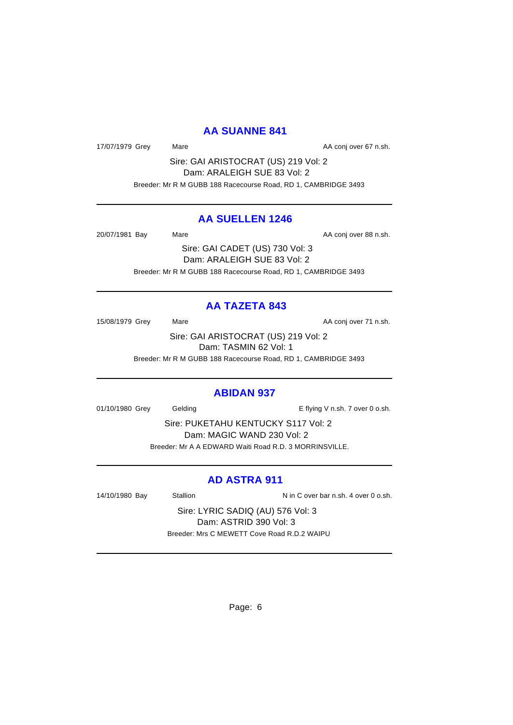### **AA SUANNE 841**

17/07/1979 Grey Mare Mare AA conj over 67 n.sh.

Sire: GAI ARISTOCRAT (US) 219 Vol: 2 Dam: ARALEIGH SUE 83 Vol: 2 Breeder: Mr R M GUBB 188 Racecourse Road, RD 1, CAMBRIDGE 3493

### **AA SUELLEN 1246**

20/07/1981 Bay Mare Mare AA conj over 88 n.sh.

Sire: GAI CADET (US) 730 Vol: 3 Dam: ARALEIGH SUE 83 Vol: 2 Breeder: Mr R M GUBB 188 Racecourse Road, RD 1, CAMBRIDGE 3493

## **AA TAZETA 843**

15/08/1979 Grey Mare Mare AA conj over 71 n.sh.

Sire: GAI ARISTOCRAT (US) 219 Vol: 2 Dam: TASMIN 62 Vol: 1

Breeder: Mr R M GUBB 188 Racecourse Road, RD 1, CAMBRIDGE 3493

### **ABIDAN 937**

01/10/1980 Grey Gelding Cash. E flying V n.sh. 7 over 0 o.sh.

Sire: PUKETAHU KENTUCKY S117 Vol: 2 Dam: MAGIC WAND 230 Vol: 2 Breeder: Mr A A EDWARD Waiti Road R.D. 3 MORRINSVILLE.

## **AD ASTRA 911**

14/10/1980 Bay Stallion Stallion N in C over bar n.sh. 4 over 0 o.sh.

Sire: LYRIC SADIQ (AU) 576 Vol: 3 Dam: ASTRID 390 Vol: 3 Breeder: Mrs C MEWETT Cove Road R.D.2 WAIPU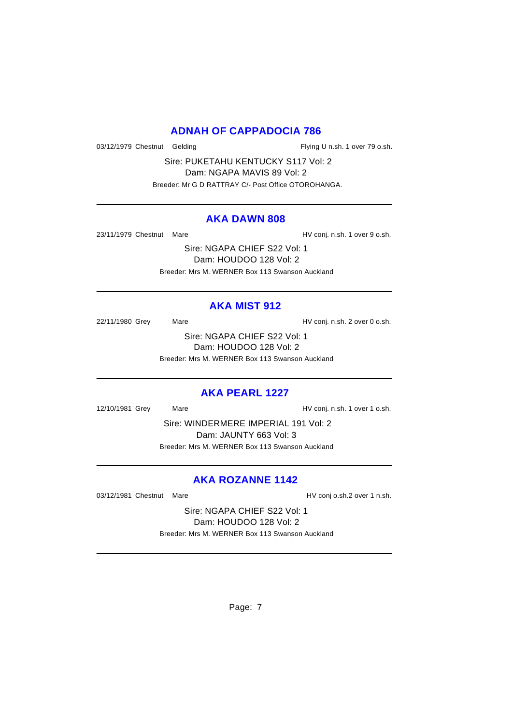### **ADNAH OF CAPPADOCIA 786**

03/12/1979 Chestnut Gelding Flying U n.sh. 1 over 79 o.sh.

Sire: PUKETAHU KENTUCKY S117 Vol: 2 Dam: NGAPA MAVIS 89 Vol: 2 Breeder: Mr G D RATTRAY C/- Post Office OTOROHANGA.

#### **AKA DAWN 808**

23/11/1979 Chestnut Mare **Market Accord Following HV** conj. n.sh. 1 over 9 o.sh.

Sire: NGAPA CHIEF S22 Vol: 1 Dam: HOUDOO 128 Vol: 2 Breeder: Mrs M. WERNER Box 113 Swanson Auckland

### **AKA MIST 912**

22/11/1980 Grey Mare Mare HV conj. n.sh. 2 over 0 o.sh.

Sire: NGAPA CHIEF S22 Vol: 1 Dam: HOUDOO 128 Vol: 2 Breeder: Mrs M. WERNER Box 113 Swanson Auckland

### **AKA PEARL 1227**

12/10/1981 Grey Mare HV conj. n.sh. 1 over 1 o.sh.

Sire: WINDERMERE IMPERIAL 191 Vol: 2 Dam: JAUNTY 663 Vol: 3 Breeder: Mrs M. WERNER Box 113 Swanson Auckland

## **AKA ROZANNE 1142**

03/12/1981 Chestnut Mare **HV** conj o.sh.2 over 1 n.sh.

Sire: NGAPA CHIEF S22 Vol: 1 Dam: HOUDOO 128 Vol: 2 Breeder: Mrs M. WERNER Box 113 Swanson Auckland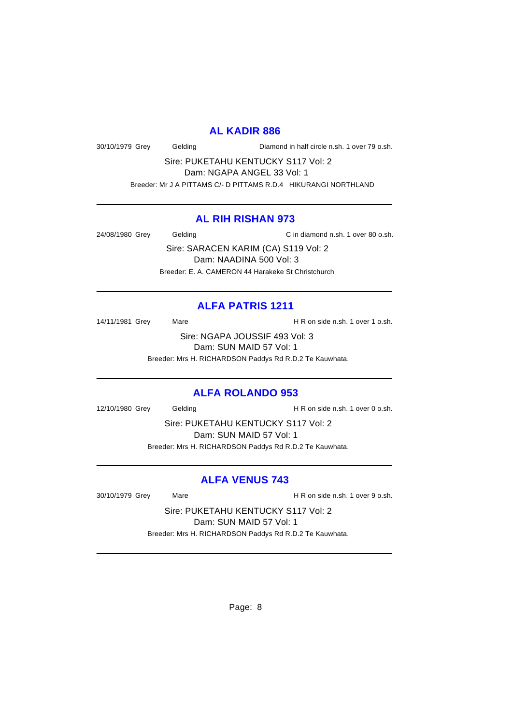#### **AL KADIR 886**

30/10/1979 Grey Gelding Diamond in half circle n.sh. 1 over 79 o.sh.

Sire: PUKETAHU KENTUCKY S117 Vol: 2 Dam: NGAPA ANGEL 33 Vol: 1 Breeder: Mr J A PITTAMS C/- D PITTAMS R.D.4 HIKURANGI NORTHLAND

## **AL RIH RISHAN 973**

24/08/1980 Grey Gelding C in diamond n.sh. 1 over 80 o.sh.

Sire: SARACEN KARIM (CA) S119 Vol: 2 Dam: NAADINA 500 Vol: 3 Breeder: E. A. CAMERON 44 Harakeke St Christchurch

## **ALFA PATRIS 1211**

14/11/1981 Grey Mare Mare H R on side n.sh. 1 over 1 o.sh.

Sire: NGAPA JOUSSIF 493 Vol: 3 Dam: SUN MAID 57 Vol: 1 Breeder: Mrs H. RICHARDSON Paddys Rd R.D.2 Te Kauwhata.

## **ALFA ROLANDO 953**

12/10/1980 Grey Gelding H R on side n.sh. 1 over 0 o.sh.

Sire: PUKETAHU KENTUCKY S117 Vol: 2 Dam: SUN MAID 57 Vol: 1 Breeder: Mrs H. RICHARDSON Paddys Rd R.D.2 Te Kauwhata.

## **ALFA VENUS 743**

30/10/1979 Grey Mare H R on side n.sh. 1 over 9 o.sh.

Sire: PUKETAHU KENTUCKY S117 Vol: 2 Dam: SUN MAID 57 Vol: 1 Breeder: Mrs H. RICHARDSON Paddys Rd R.D.2 Te Kauwhata.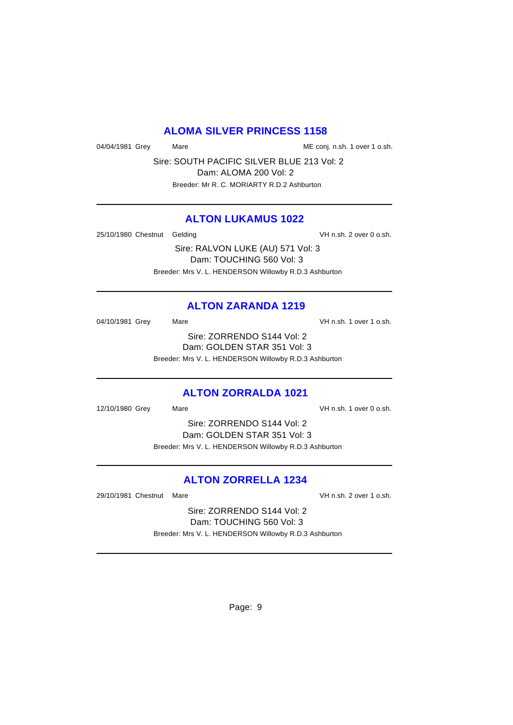### **ALOMA SILVER PRINCESS 1158**

04/04/1981 Grey Mare Mare Mare Me conj. n.sh. 1 over 1 o.sh.

Sire: SOUTH PACIFIC SILVER BLUE 213 Vol: 2 Dam: ALOMA 200 Vol: 2 Breeder: Mr R. C. MORIARTY R.D.2 Ashburton

### **ALTON LUKAMUS 1022**

25/10/1980 Chestnut Gelding variable variable variable variable variable variable variable variable variable v

Sire: RALVON LUKE (AU) 571 Vol: 3 Dam: TOUCHING 560 Vol: 3 Breeder: Mrs V. L. HENDERSON Willowby R.D.3 Ashburton

### **ALTON ZARANDA 1219**

04/10/1981 Grey Mare Mare VH n.sh. 1 over 1 o.sh. Sire: ZORRENDO S144 Vol: 2 Dam: GOLDEN STAR 351 Vol: 3 Breeder: Mrs V. L. HENDERSON Willowby R.D.3 Ashburton

### **ALTON ZORRALDA 1021**

12/10/1980 Grey Mare VH n.sh. 1 over 0 o.sh.

Sire: ZORRENDO S144 Vol: 2 Dam: GOLDEN STAR 351 Vol: 3 Breeder: Mrs V. L. HENDERSON Willowby R.D.3 Ashburton

## **ALTON ZORRELLA 1234**

29/10/1981 Chestnut Mare VH n.sh. 2 over 1 o.sh.

Sire: ZORRENDO S144 Vol: 2 Dam: TOUCHING 560 Vol: 3 Breeder: Mrs V. L. HENDERSON Willowby R.D.3 Ashburton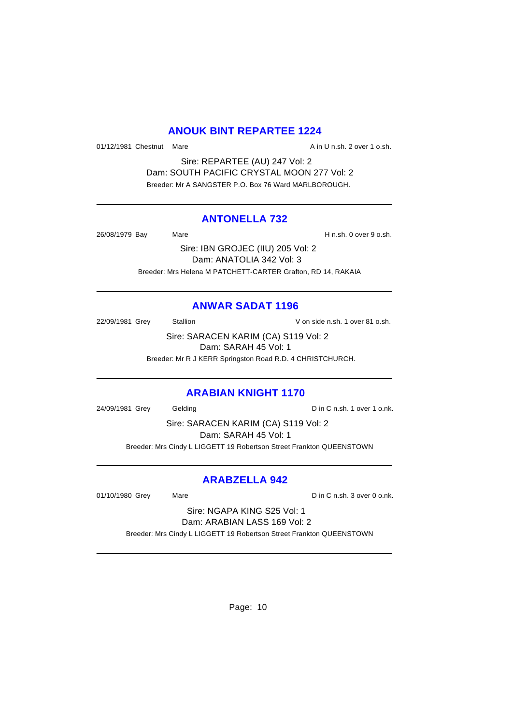## **ANOUK BINT REPARTEE 1224**

01/12/1981 Chestnut Mare **A** in U n.sh. 2 over 1 o.sh.

Sire: REPARTEE (AU) 247 Vol: 2 Dam: SOUTH PACIFIC CRYSTAL MOON 277 Vol: 2 Breeder: Mr A SANGSTER P.O. Box 76 Ward MARLBOROUGH.

### **ANTONELLA 732**

26/08/1979 Bay Mare H n.sh. 0 over 9 o.sh.

Sire: IBN GROJEC (IIU) 205 Vol: 2 Dam: ANATOLIA 342 Vol: 3 Breeder: Mrs Helena M PATCHETT-CARTER Grafton, RD 14, RAKAIA

## **ANWAR SADAT 1196**

22/09/1981 Grey Stallion V on side n.sh. 1 over 81 o.sh.

Sire: SARACEN KARIM (CA) S119 Vol: 2 Dam: SARAH 45 Vol: 1

Breeder: Mr R J KERR Springston Road R.D. 4 CHRISTCHURCH.

## **ARABIAN KNIGHT 1170**

24/09/1981 Grey Gelding Construction Construction D in C n.sh. 1 over 1 o.nk.

Sire: SARACEN KARIM (CA) S119 Vol: 2 Dam: SARAH 45 Vol: 1 Breeder: Mrs Cindy L LIGGETT 19 Robertson Street Frankton QUEENSTOWN

## **ARABZELLA 942**

01/10/1980 Grey Mare Mare Din C n.sh. 3 over 0 o.nk.

Sire: NGAPA KING S25 Vol: 1 Dam: ARABIAN LASS 169 Vol: 2

Breeder: Mrs Cindy L LIGGETT 19 Robertson Street Frankton QUEENSTOWN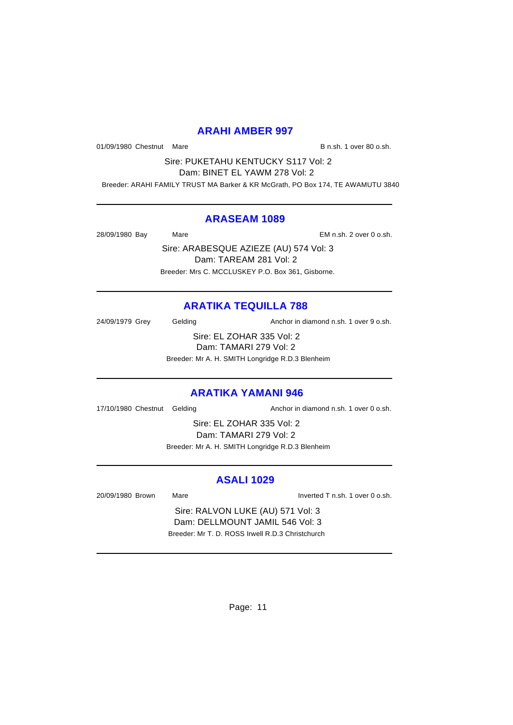### **ARAHI AMBER 997**

01/09/1980 Chestnut Mare B n.sh. 1 over 80 o.sh.

Sire: PUKETAHU KENTUCKY S117 Vol: 2 Dam: BINET EL YAWM 278 Vol: 2

Breeder: ARAHI FAMILY TRUST MA Barker & KR McGrath, PO Box 174, TE AWAMUTU 3840

### **ARASEAM 1089**

28/09/1980 Bay Mare EM n.sh. 2 over 0 o.sh.

Sire: ARABESQUE AZIEZE (AU) 574 Vol: 3 Dam: TAREAM 281 Vol: 2 Breeder: Mrs C. MCCLUSKEY P.O. Box 361, Gisborne.

# **ARATIKA TEQUILLA 788**

24/09/1979 Grey Gelding Cash Anchor in diamond n.sh. 1 over 9 o.sh.

Sire: EL ZOHAR 335 Vol: 2 Dam: TAMARI 279 Vol: 2 Breeder: Mr A. H. SMITH Longridge R.D.3 Blenheim

# **ARATIKA YAMANI 946**

17/10/1980 Chestnut Gelding and Anchor in diamond n.sh. 1 over 0 o.sh.

Sire: EL ZOHAR 335 Vol: 2 Dam: TAMARI 279 Vol: 2 Breeder: Mr A. H. SMITH Longridge R.D.3 Blenheim

## **ASALI 1029**

20/09/1980 Brown Mare Inverted T n.sh. 1 over 0 o.sh.

Sire: RALVON LUKE (AU) 571 Vol: 3 Dam: DELLMOUNT JAMIL 546 Vol: 3 Breeder: Mr T. D. ROSS Irwell R.D.3 Christchurch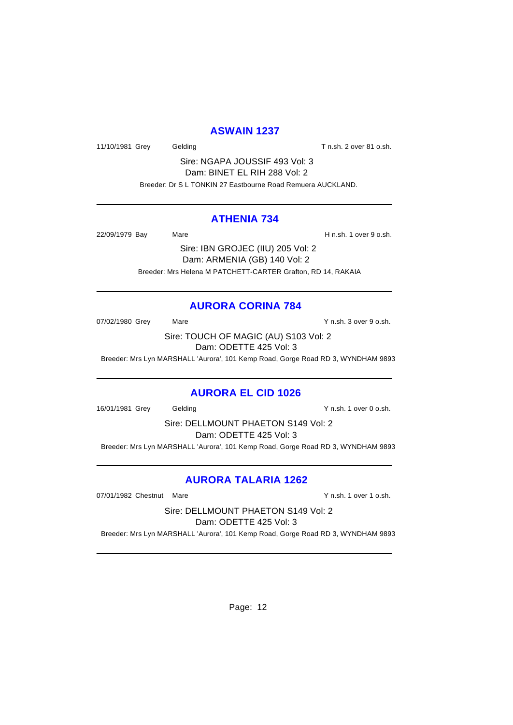### **ASWAIN 1237**

11/10/1981 Grey Gelding Gelding T n.sh. 2 over 81 o.sh.

Sire: NGAPA JOUSSIF 493 Vol: 3 Dam: BINET EL RIH 288 Vol: 2 Breeder: Dr S L TONKIN 27 Eastbourne Road Remuera AUCKLAND.

### **ATHENIA 734**

22/09/1979 Bay Mare H n.sh. 1 over 9 o.sh.

Sire: IBN GROJEC (IIU) 205 Vol: 2 Dam: ARMENIA (GB) 140 Vol: 2 Breeder: Mrs Helena M PATCHETT-CARTER Grafton, RD 14, RAKAIA

## **AURORA CORINA 784**

07/02/1980 Grey Mare Mare Y n.sh. 3 over 9 o.sh.

Sire: TOUCH OF MAGIC (AU) S103 Vol: 2 Dam: ODETTE 425 Vol: 3

Breeder: Mrs Lyn MARSHALL 'Aurora', 101 Kemp Road, Gorge Road RD 3, WYNDHAM 9893

## **AURORA EL CID 1026**

16/01/1981 Grey Gelding Y n.sh. 1 over 0 o.sh.

Sire: DELLMOUNT PHAETON S149 Vol: 2 Dam: ODETTE 425 Vol: 3

Breeder: Mrs Lyn MARSHALL 'Aurora', 101 Kemp Road, Gorge Road RD 3, WYNDHAM 9893

# **AURORA TALARIA 1262**

07/01/1982 Chestnut Mare **Y** n.sh. 1 over 1 o.sh.

Sire: DELLMOUNT PHAETON S149 Vol: 2 Dam: ODETTE 425 Vol: 3

Breeder: Mrs Lyn MARSHALL 'Aurora', 101 Kemp Road, Gorge Road RD 3, WYNDHAM 9893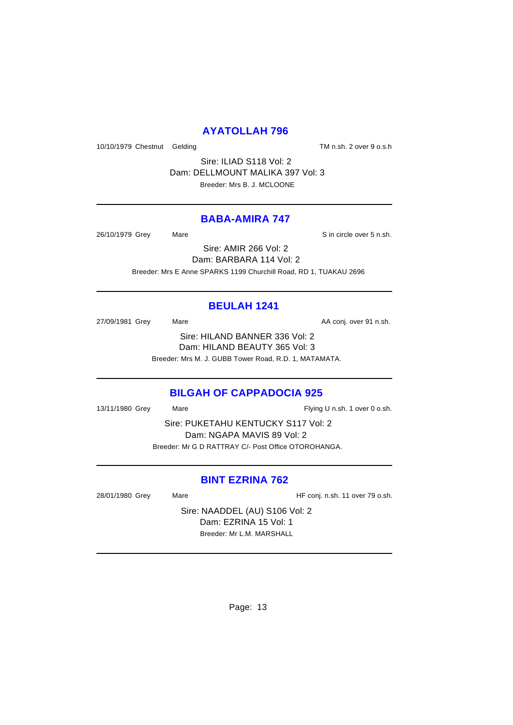## **AYATOLLAH 796**

10/10/1979 Chestnut Gelding TM n.sh. 2 over 9 o.s.h

Sire: ILIAD S118 Vol: 2 Dam: DELLMOUNT MALIKA 397 Vol: 3 Breeder: Mrs B. J. MCLOONE

#### **BABA-AMIRA 747**

26/10/1979 Grey Mare Sin circle over 5 n.sh.

Sire: AMIR 266 Vol: 2 Dam: BARBARA 114 Vol: 2 Breeder: Mrs E Anne SPARKS 1199 Churchill Road, RD 1, TUAKAU 2696

## **BEULAH 1241**

27/09/1981 Grey Mare Mare AA conj. over 91 n.sh. Sire: HILAND BANNER 336 Vol: 2 Dam: HILAND BEAUTY 365 Vol: 3 Breeder: Mrs M. J. GUBB Tower Road, R.D. 1, MATAMATA.

### **BILGAH OF CAPPADOCIA 925**

13/11/1980 Grey Mare Mare Flying U n.sh. 1 over 0 o.sh.

Sire: PUKETAHU KENTUCKY S117 Vol: 2 Dam: NGAPA MAVIS 89 Vol: 2 Breeder: Mr G D RATTRAY C/- Post Office OTOROHANGA.

### **BINT EZRINA 762**

28/01/1980 Grey Mare Mare HF conj. n.sh. 11 over 79 o.sh.

Sire: NAADDEL (AU) S106 Vol: 2 Dam: EZRINA 15 Vol: 1 Breeder: Mr L.M. MARSHALL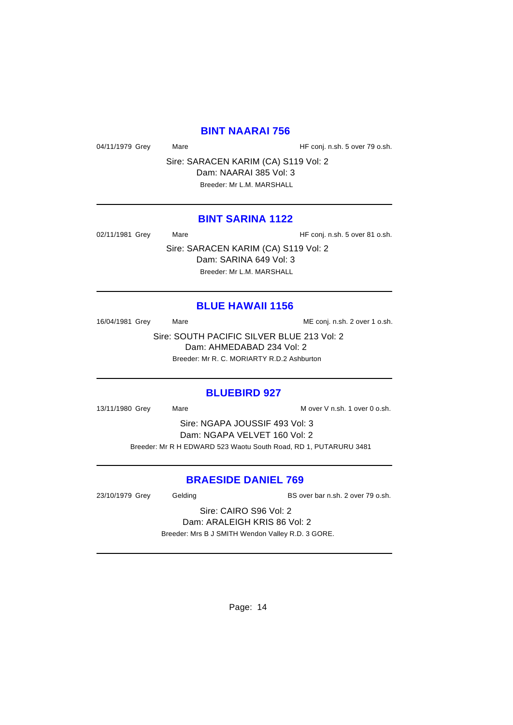### **BINT NAARAI 756**

04/11/1979 Grey Mare Mare HF conj. n.sh. 5 over 79 o.sh.

Sire: SARACEN KARIM (CA) S119 Vol: 2 Dam: NAARAI 385 Vol: 3 Breeder: Mr L.M. MARSHALL

#### **BINT SARINA 1122**

02/11/1981 Grey Mare Mare HF conj. n.sh. 5 over 81 o.sh.

Sire: SARACEN KARIM (CA) S119 Vol: 2 Dam: SARINA 649 Vol: 3 Breeder: Mr L.M. MARSHALL

### **BLUE HAWAII 1156**

16/04/1981 Grey Mare Mare ME conj. n.sh. 2 over 1 o.sh.

Sire: SOUTH PACIFIC SILVER BLUE 213 Vol: 2 Dam: AHMEDABAD 234 Vol: 2 Breeder: Mr R. C. MORIARTY R.D.2 Ashburton

### **BLUEBIRD 927**

13/11/1980 Grey Mare Mare Marketter Mover V n.sh. 1 over 0 o.sh.

Sire: NGAPA JOUSSIF 493 Vol: 3 Dam: NGAPA VELVET 160 Vol: 2 Breeder: Mr R H EDWARD 523 Waotu South Road, RD 1, PUTARURU 3481

### **BRAESIDE DANIEL 769**

23/10/1979 Grey Gelding Gelding BS over bar n.sh. 2 over 79 o.sh.

Sire: CAIRO S96 Vol: 2 Dam: ARALEIGH KRIS 86 Vol: 2

Breeder: Mrs B J SMITH Wendon Valley R.D. 3 GORE.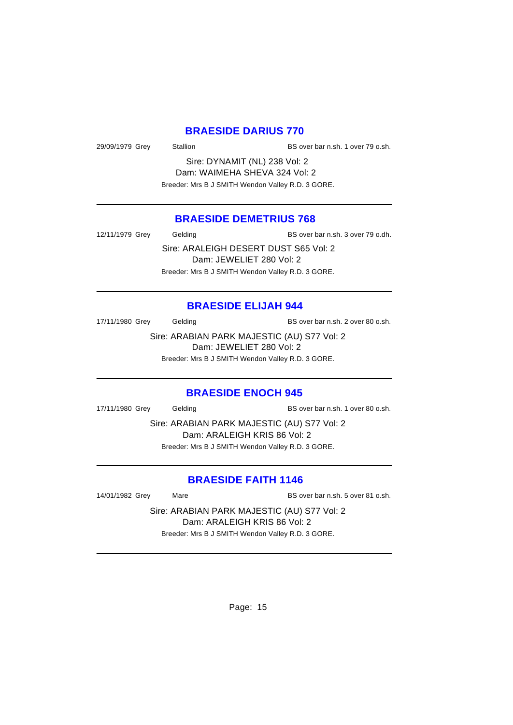### **BRAESIDE DARIUS 770**

29/09/1979 Grey Stallion Stallion BS over bar n.sh. 1 over 79 o.sh.

Sire: DYNAMIT (NL) 238 Vol: 2 Dam: WAIMEHA SHEVA 324 Vol: 2 Breeder: Mrs B J SMITH Wendon Valley R.D. 3 GORE.

## **BRAESIDE DEMETRIUS 768**

12/11/1979 Grey Gelding BS over bar n.sh. 3 over 79 o.dh.

Sire: ARALEIGH DESERT DUST S65 Vol: 2 Dam: JEWELIET 280 Vol: 2 Breeder: Mrs B J SMITH Wendon Valley R.D. 3 GORE.

#### **BRAESIDE ELIJAH 944**

17/11/1980 Grey Gelding Gelding BS over bar n.sh. 2 over 80 o.sh.

Sire: ARABIAN PARK MAJESTIC (AU) S77 Vol: 2 Dam: JEWELIET 280 Vol: 2

Breeder: Mrs B J SMITH Wendon Valley R.D. 3 GORE.

#### **BRAESIDE ENOCH 945**

17/11/1980 Grey Gelding BS over bar n.sh. 1 over 80 o.sh.

Sire: ARABIAN PARK MAJESTIC (AU) S77 Vol: 2 Dam: ARALEIGH KRIS 86 Vol: 2 Breeder: Mrs B J SMITH Wendon Valley R.D. 3 GORE.

## **BRAESIDE FAITH 1146**

14/01/1982 Grey Mare BS over bar n.sh. 5 over 81 o.sh.

Sire: ARABIAN PARK MAJESTIC (AU) S77 Vol: 2 Dam: ARALEIGH KRIS 86 Vol: 2 Breeder: Mrs B J SMITH Wendon Valley R.D. 3 GORE.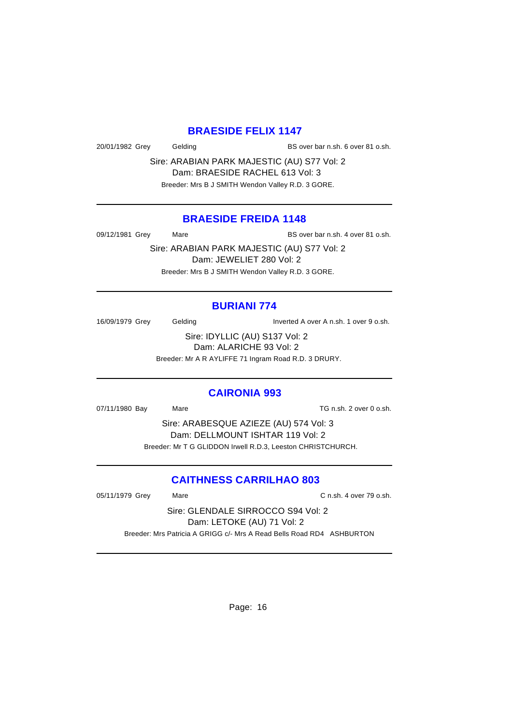## **BRAESIDE FELIX 1147**

20/01/1982 Grey Gelding BS over bar n.sh. 6 over 81 o.sh.

Sire: ARABIAN PARK MAJESTIC (AU) S77 Vol: 2 Dam: BRAESIDE RACHEL 613 Vol: 3 Breeder: Mrs B J SMITH Wendon Valley R.D. 3 GORE.

### **BRAESIDE FREIDA 1148**

09/12/1981 Grey Mare Mare BS over bar n.sh. 4 over 81 o.sh.

Sire: ARABIAN PARK MAJESTIC (AU) S77 Vol: 2 Dam: JEWELIET 280 Vol: 2 Breeder: Mrs B J SMITH Wendon Valley R.D. 3 GORE.

# **BURIANI 774**

16/09/1979 Grey Gelding Inverted A over A n.sh. 1 over 9 o.sh.

Sire: IDYLLIC (AU) S137 Vol: 2 Dam: ALARICHE 93 Vol: 2

Breeder: Mr A R AYLIFFE 71 Ingram Road R.D. 3 DRURY.

### **CAIRONIA 993**

07/11/1980 Bay Mare Mare TG n.sh. 2 over 0 o.sh.

Sire: ARABESQUE AZIEZE (AU) 574 Vol: 3 Dam: DELLMOUNT ISHTAR 119 Vol: 2 Breeder: Mr T G GLIDDON Irwell R.D.3, Leeston CHRISTCHURCH.

## **CAITHNESS CARRILHAO 803**

05/11/1979 Grey Mare C n.sh. 4 over 79 o.sh.

Sire: GLENDALE SIRROCCO S94 Vol: 2 Dam: LETOKE (AU) 71 Vol: 2 Breeder: Mrs Patricia A GRIGG c/- Mrs A Read Bells Road RD4 ASHBURTON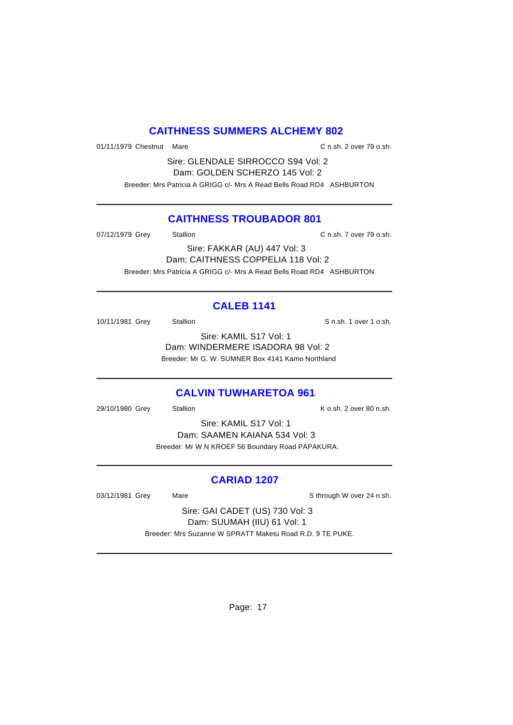## **CAITHNESS SUMMERS ALCHEMY 802**

01/11/1979 Chestnut Mare C n.sh. 2 over 79 o.sh.

Sire: GLENDALE SIRROCCO S94 Vol: 2 Dam: GOLDEN SCHERZO 145 Vol: 2 Breeder: Mrs Patricia A GRIGG c/- Mrs A Read Bells Road RD4 ASHBURTON

## **CAITHNESS TROUBADOR 801**

07/12/1979 Grey Stallion C n.sh. 7 over 79 o.sh.

Sire: FAKKAR (AU) 447 Vol: 3 Dam: CAITHNESS COPPELIA 118 Vol: 2 Breeder: Mrs Patricia A GRIGG c/- Mrs A Read Bells Road RD4 ASHBURTON

## **CALEB 1141**

10/11/1981 Grey Stallion States States States States States States States States States States States States States States States States States States States States States States States States States States States States S

Sire: KAMIL S17 Vol: 1 Dam: WINDERMERE ISADORA 98 Vol: 2 Breeder: Mr G. W. SUMNER Box 4141 Kamo Northland

## **CALVIN TUWHARETOA 961**

29/10/1980 Grey Stallion Stallion K o.sh. 2 over 80 n.sh.

Sire: KAMIL S17 Vol: 1 Dam: SAAMEN KAIANA 534 Vol: 3 Breeder: Mr W N KROEF 56 Boundary Road PAPAKURA.

## **CARIAD 1207**

03/12/1981 Grey Mare Mare Sthrough W over 24 n.sh.

Sire: GAI CADET (US) 730 Vol: 3 Dam: SUUMAH (IIU) 61 Vol: 1 Breeder: Mrs Suzanne W SPRATT Maketu Road R.D. 9 TE PUKE.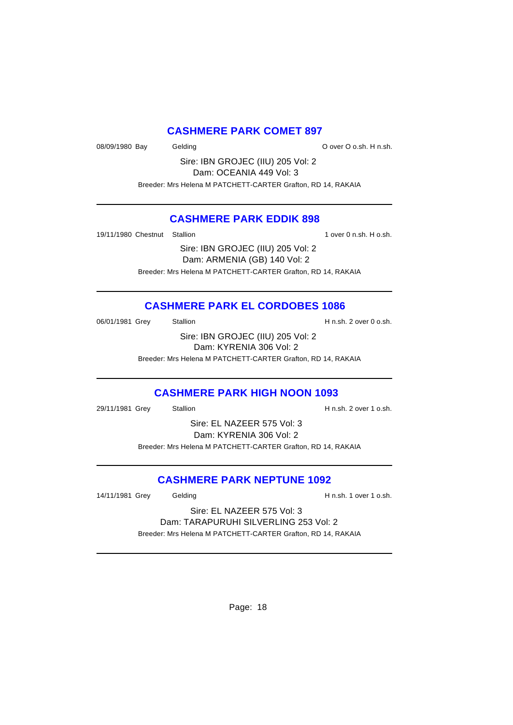## **CASHMERE PARK COMET 897**

08/09/1980 Bay Gelding Construction Cover O o.sh. H n.sh.

Sire: IBN GROJEC (IIU) 205 Vol: 2 Dam: OCEANIA 449 Vol: 3 Breeder: Mrs Helena M PATCHETT-CARTER Grafton, RD 14, RAKAIA

## **CASHMERE PARK EDDIK 898**

19/11/1980 Chestnut Stallion 1 over 0 n.sh. H o.sh.

Sire: IBN GROJEC (IIU) 205 Vol: 2 Dam: ARMENIA (GB) 140 Vol: 2 Breeder: Mrs Helena M PATCHETT-CARTER Grafton, RD 14, RAKAIA

## **CASHMERE PARK EL CORDOBES 1086**

06/01/1981 Grey Stallion Stallion State State H n.sh. 2 over 0 o.sh.

Sire: IBN GROJEC (IIU) 205 Vol: 2 Dam: KYRENIA 306 Vol: 2 Breeder: Mrs Helena M PATCHETT-CARTER Grafton, RD 14, RAKAIA

## **CASHMERE PARK HIGH NOON 1093**

29/11/1981 Grey Stallion H n.sh. 2 over 1 o.sh.

Sire: EL NAZEER 575 Vol: 3 Dam: KYRENIA 306 Vol: 2 Breeder: Mrs Helena M PATCHETT-CARTER Grafton, RD 14, RAKAIA

## **CASHMERE PARK NEPTUNE 1092**

14/11/1981 Grey Gelding Gelding H n.sh. 1 over 1 o.sh.

Sire: EL NAZEER 575 Vol: 3 Dam: TARAPURUHI SILVERLING 253 Vol: 2 Breeder: Mrs Helena M PATCHETT-CARTER Grafton, RD 14, RAKAIA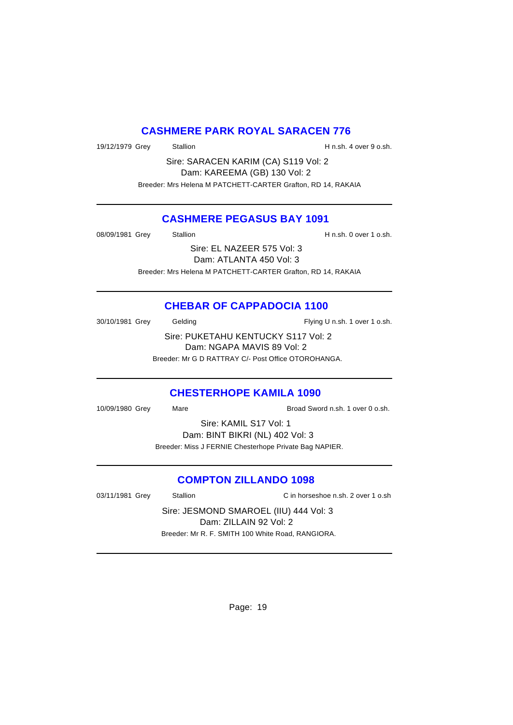### **CASHMERE PARK ROYAL SARACEN 776**

19/12/1979 Grey Stallion Stallion Stallion H n.sh. 4 over 9 o.sh.

Sire: SARACEN KARIM (CA) S119 Vol: 2 Dam: KAREEMA (GB) 130 Vol: 2 Breeder: Mrs Helena M PATCHETT-CARTER Grafton, RD 14, RAKAIA

### **CASHMERE PEGASUS BAY 1091**

08/09/1981 Grey Stallion Stallion Stallion H n.sh. 0 over 1 o.sh.

Sire: EL NAZEER 575 Vol: 3 Dam: ATLANTA 450 Vol: 3 Breeder: Mrs Helena M PATCHETT-CARTER Grafton, RD 14, RAKAIA

## **CHEBAR OF CAPPADOCIA 1100**

30/10/1981 Grey Gelding Gelding Flying U n.sh. 1 over 1 o.sh. Sire: PUKETAHU KENTUCKY S117 Vol: 2 Dam: NGAPA MAVIS 89 Vol: 2 Breeder: Mr G D RATTRAY C/- Post Office OTOROHANGA.

### **CHESTERHOPE KAMILA 1090**

10/09/1980 Grey Mare Broad Sword n.sh. 1 over 0 o.sh.

Sire: KAMIL S17 Vol: 1 Dam: BINT BIKRI (NL) 402 Vol: 3 Breeder: Miss J FERNIE Chesterhope Private Bag NAPIER.

### **COMPTON ZILLANDO 1098**

03/11/1981 Grey Stallion C in horseshoe n.sh. 2 over 1 o.sh

Sire: JESMOND SMAROEL (IIU) 444 Vol: 3 Dam: ZILLAIN 92 Vol: 2 Breeder: Mr R. F. SMITH 100 White Road, RANGIORA.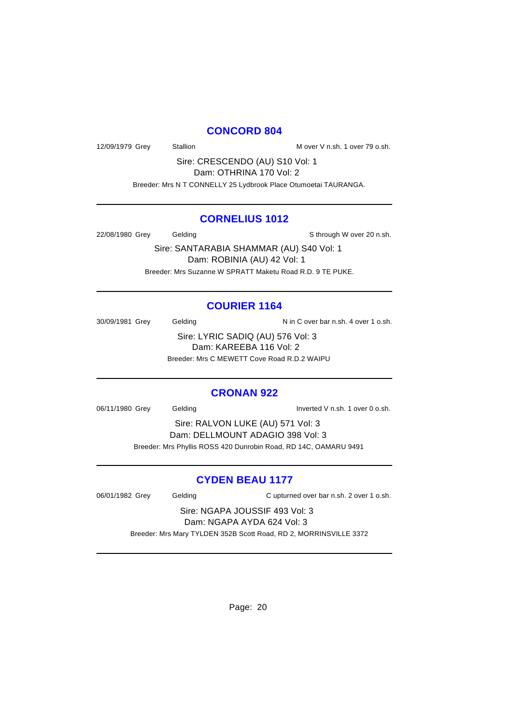### **CONCORD 804**

12/09/1979 Grey Stallion Stallion Mover V n.sh. 1 over 79 o.sh.

Sire: CRESCENDO (AU) S10 Vol: 1 Dam: OTHRINA 170 Vol: 2

Breeder: Mrs N T CONNELLY 25 Lydbrook Place Otumoetai TAURANGA.

### **CORNELIUS 1012**

22/08/1980 Grey Gelding Sthrough W over 20 n.sh.

Sire: SANTARABIA SHAMMAR (AU) S40 Vol: 1 Dam: ROBINIA (AU) 42 Vol: 1 Breeder: Mrs Suzanne W SPRATT Maketu Road R.D. 9 TE PUKE.

## **COURIER 1164**

30/09/1981 Grey Gelding Casset Cover bar n.sh. 4 over 1 o.sh.

Sire: LYRIC SADIQ (AU) 576 Vol: 3 Dam: KAREEBA 116 Vol: 2 Breeder: Mrs C MEWETT Cove Road R.D.2 WAIPU

## **CRONAN 922**

06/11/1980 Grey Gelding Inverted V n.sh. 1 over 0 o.sh.

Sire: RALVON LUKE (AU) 571 Vol: 3 Dam: DELLMOUNT ADAGIO 398 Vol: 3 Breeder: Mrs Phyllis ROSS 420 Dunrobin Road, RD 14C, OAMARU 9491

## **CYDEN BEAU 1177**

06/01/1982 Grey Gelding Cupturned over bar n.sh. 2 over 1 o.sh.

Sire: NGAPA JOUSSIF 493 Vol: 3 Dam: NGAPA AYDA 624 Vol: 3 Breeder: Mrs Mary TYLDEN 352B Scott Road, RD 2, MORRINSVILLE 3372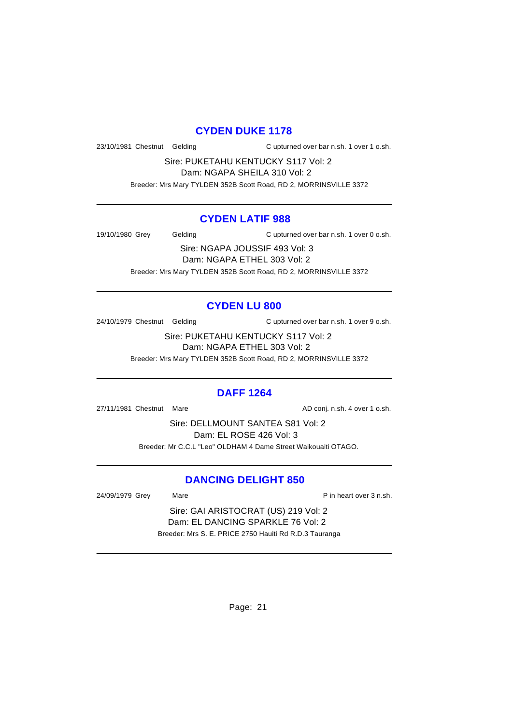#### **CYDEN DUKE 1178**

23/10/1981 Chestnut Gelding C upturned over bar n.sh. 1 over 1 o.sh.

Sire: PUKETAHU KENTUCKY S117 Vol: 2 Dam: NGAPA SHEILA 310 Vol: 2

Breeder: Mrs Mary TYLDEN 352B Scott Road, RD 2, MORRINSVILLE 3372

### **CYDEN LATIF 988**

19/10/1980 Grey Gelding Cupturned over bar n.sh. 1 over 0 o.sh.

Sire: NGAPA JOUSSIF 493 Vol: 3 Dam: NGAPA ETHEL 303 Vol: 2 Breeder: Mrs Mary TYLDEN 352B Scott Road, RD 2, MORRINSVILLE 3372

## **CYDEN LU 800**

24/10/1979 Chestnut Gelding C upturned over bar n.sh. 1 over 9 o.sh.

Sire: PUKETAHU KENTUCKY S117 Vol: 2 Dam: NGAPA ETHEL 303 Vol: 2 Breeder: Mrs Mary TYLDEN 352B Scott Road, RD 2, MORRINSVILLE 3372

### **DAFF 1264**

27/11/1981 Chestnut Mare **AD** conj. n.sh. 4 over 1 o.sh.

Sire: DELLMOUNT SANTEA S81 Vol: 2 Dam: EL ROSE 426 Vol: 3 Breeder: Mr C.C.L "Leo" OLDHAM 4 Dame Street Waikouaiti OTAGO.

## **DANCING DELIGHT 850**

24/09/1979 Grey Mare Mare P in heart over 3 n.sh.

Sire: GAI ARISTOCRAT (US) 219 Vol: 2 Dam: EL DANCING SPARKLE 76 Vol: 2 Breeder: Mrs S. E. PRICE 2750 Hauiti Rd R.D.3 Tauranga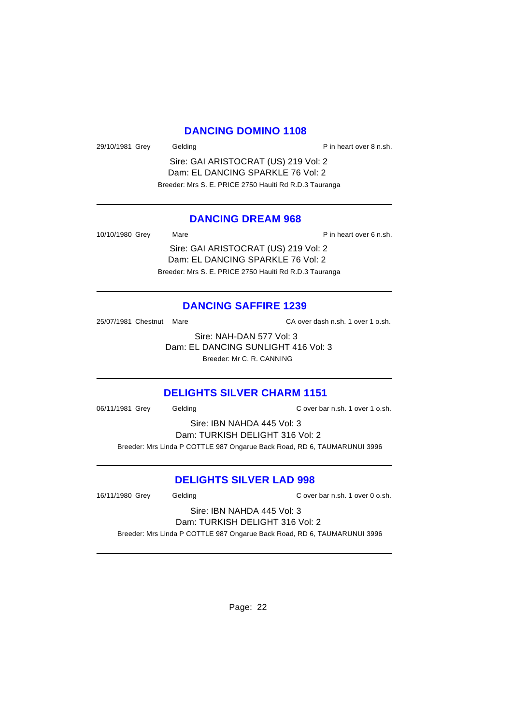### **DANCING DOMINO 1108**

29/10/1981 Grey Gelding Case Contract P in heart over 8 n.sh.

Sire: GAI ARISTOCRAT (US) 219 Vol: 2 Dam: EL DANCING SPARKLE 76 Vol: 2 Breeder: Mrs S. E. PRICE 2750 Hauiti Rd R.D.3 Tauranga

#### **DANCING DREAM 968**

10/10/1980 Grey Mare Mare P in heart over 6 n.sh.

Sire: GAI ARISTOCRAT (US) 219 Vol: 2 Dam: EL DANCING SPARKLE 76 Vol: 2 Breeder: Mrs S. E. PRICE 2750 Hauiti Rd R.D.3 Tauranga

### **DANCING SAFFIRE 1239**

25/07/1981 Chestnut Mare CA over dash n.sh. 1 over 1 o.sh.

Sire: NAH-DAN 577 Vol: 3 Dam: EL DANCING SUNLIGHT 416 Vol: 3 Breeder: Mr C. R. CANNING

### **DELIGHTS SILVER CHARM 1151**

06/11/1981 Grey Gelding C over bar n.sh. 1 over 1 o.sh.

Sire: IBN NAHDA 445 Vol: 3 Dam: TURKISH DELIGHT 316 Vol: 2 Breeder: Mrs Linda P COTTLE 987 Ongarue Back Road, RD 6, TAUMARUNUI 3996

### **DELIGHTS SILVER LAD 998**

16/11/1980 Grey Gelding C over bar n.sh. 1 over 0 o.sh.

Sire: IBN NAHDA 445 Vol: 3 Dam: TURKISH DELIGHT 316 Vol: 2

Breeder: Mrs Linda P COTTLE 987 Ongarue Back Road, RD 6, TAUMARUNUI 3996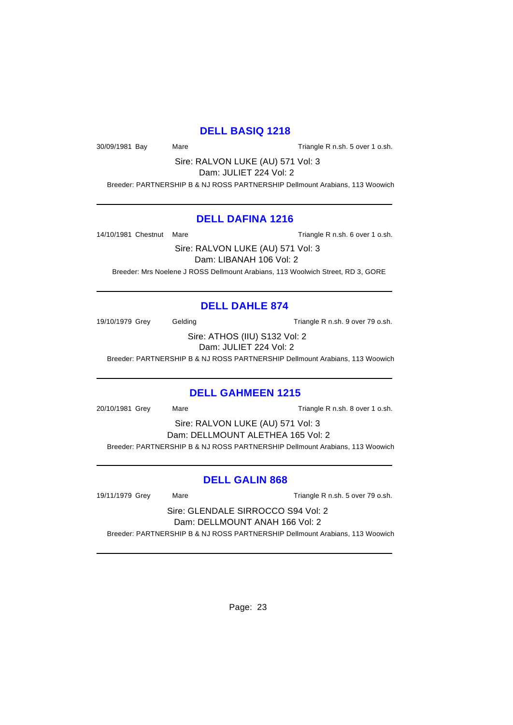## **DELL BASIQ 1218**

30/09/1981 Bay Mare Mare Triangle R n.sh. 5 over 1 o.sh.

Sire: RALVON LUKE (AU) 571 Vol: 3

Dam: JULIET 224 Vol: 2 Breeder: PARTNERSHIP B & NJ ROSS PARTNERSHIP Dellmount Arabians, 113 Woowich

### **DELL DAFINA 1216**

14/10/1981 Chestnut Mare Triangle R n.sh. 6 over 1 o.sh.

Sire: RALVON LUKE (AU) 571 Vol: 3 Dam: LIBANAH 106 Vol: 2

Breeder: Mrs Noelene J ROSS Dellmount Arabians, 113 Woolwich Street, RD 3, GORE

## **DELL DAHLE 874**

19/10/1979 Grey Gelding Cassett Contract Triangle R n.sh. 9 over 79 o.sh.

Sire: ATHOS (IIU) S132 Vol: 2 Dam: JULIET 224 Vol: 2

Breeder: PARTNERSHIP B & NJ ROSS PARTNERSHIP Dellmount Arabians, 113 Woowich

## **DELL GAHMEEN 1215**

20/10/1981 Grey Mare Mare Triangle R n.sh. 8 over 1 o.sh.

Sire: RALVON LUKE (AU) 571 Vol: 3 Dam: DELLMOUNT ALETHEA 165 Vol: 2 Breeder: PARTNERSHIP B & NJ ROSS PARTNERSHIP Dellmount Arabians, 113 Woowich

## **DELL GALIN 868**

19/11/1979 Grey Mare Triangle R n.sh. 5 over 79 o.sh.

Sire: GLENDALE SIRROCCO S94 Vol: 2 Dam: DELLMOUNT ANAH 166 Vol: 2

Breeder: PARTNERSHIP B & NJ ROSS PARTNERSHIP Dellmount Arabians, 113 Woowich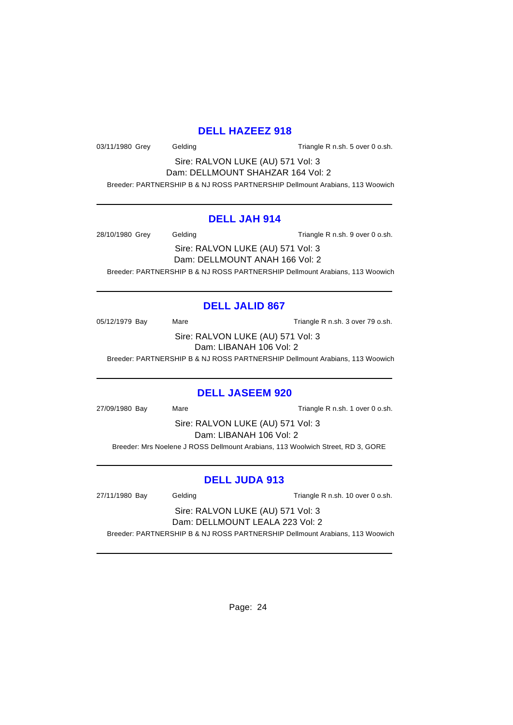## **DELL HAZEEZ 918**

03/11/1980 Grey Gelding Gelding Triangle R n.sh. 5 over 0 o.sh.

Sire: RALVON LUKE (AU) 571 Vol: 3 Dam: DELLMOUNT SHAHZAR 164 Vol: 2

Breeder: PARTNERSHIP B & NJ ROSS PARTNERSHIP Dellmount Arabians, 113 Woowich

### **DELL JAH 914**

28/10/1980 Grey Gelding Cassett Controller R n.sh. 9 over 0 o.sh. Sire: RALVON LUKE (AU) 571 Vol: 3 Dam: DELLMOUNT ANAH 166 Vol: 2 Breeder: PARTNERSHIP B & NJ ROSS PARTNERSHIP Dellmount Arabians, 113 Woowich

## **DELL JALID 867**

05/12/1979 Bay Mare Mare Triangle R n.sh. 3 over 79 o.sh. Sire: RALVON LUKE (AU) 571 Vol: 3

Dam: LIBANAH 106 Vol: 2

Breeder: PARTNERSHIP B & NJ ROSS PARTNERSHIP Dellmount Arabians, 113 Woowich

### **DELL JASEEM 920**

27/09/1980 Bay Mare Mare Triangle R n.sh. 1 over 0 o.sh.

Sire: RALVON LUKE (AU) 571 Vol: 3 Dam: LIBANAH 106 Vol: 2

Breeder: Mrs Noelene J ROSS Dellmount Arabians, 113 Woolwich Street, RD 3, GORE

## **DELL JUDA 913**

27/11/1980 Bay Gelding Gelding Triangle R n.sh. 10 over 0 o.sh.

Sire: RALVON LUKE (AU) 571 Vol: 3 Dam: DELLMOUNT LEALA 223 Vol: 2

Breeder: PARTNERSHIP B & NJ ROSS PARTNERSHIP Dellmount Arabians, 113 Woowich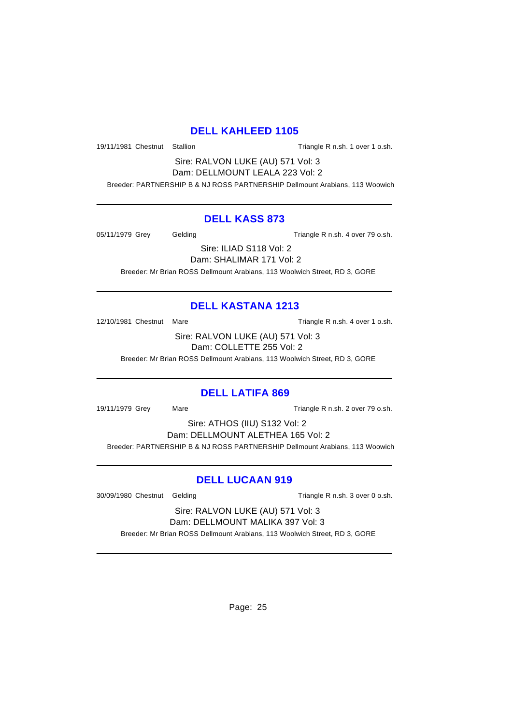### **DELL KAHLEED 1105**

19/11/1981 Chestnut Stallion Triangle R n.sh. 1 over 1 o.sh.

Sire: RALVON LUKE (AU) 571 Vol: 3 Dam: DELLMOUNT LEALA 223 Vol: 2

Breeder: PARTNERSHIP B & NJ ROSS PARTNERSHIP Dellmount Arabians, 113 Woowich

## **DELL KASS 873**

05/11/1979 Grey Gelding Gelding Triangle R n.sh. 4 over 79 o.sh.

Sire: ILIAD S118 Vol: 2 Dam: SHALIMAR 171 Vol: 2

Breeder: Mr Brian ROSS Dellmount Arabians, 113 Woolwich Street, RD 3, GORE

# **DELL KASTANA 1213**

12/10/1981 Chestnut Mare Triangle R n.sh. 4 over 1 o.sh.

Sire: RALVON LUKE (AU) 571 Vol: 3 Dam: COLLETTE 255 Vol: 2

Breeder: Mr Brian ROSS Dellmount Arabians, 113 Woolwich Street, RD 3, GORE

## **DELL LATIFA 869**

19/11/1979 Grey Mare Mare Triangle R n.sh. 2 over 79 o.sh.

Sire: ATHOS (IIU) S132 Vol: 2 Dam: DELLMOUNT ALETHEA 165 Vol: 2 Breeder: PARTNERSHIP B & NJ ROSS PARTNERSHIP Dellmount Arabians, 113 Woowich

## **DELL LUCAAN 919**

30/09/1980 Chestnut Gelding Triangle R n.sh. 3 over 0 o.sh.

Sire: RALVON LUKE (AU) 571 Vol: 3 Dam: DELLMOUNT MALIKA 397 Vol: 3

Breeder: Mr Brian ROSS Dellmount Arabians, 113 Woolwich Street, RD 3, GORE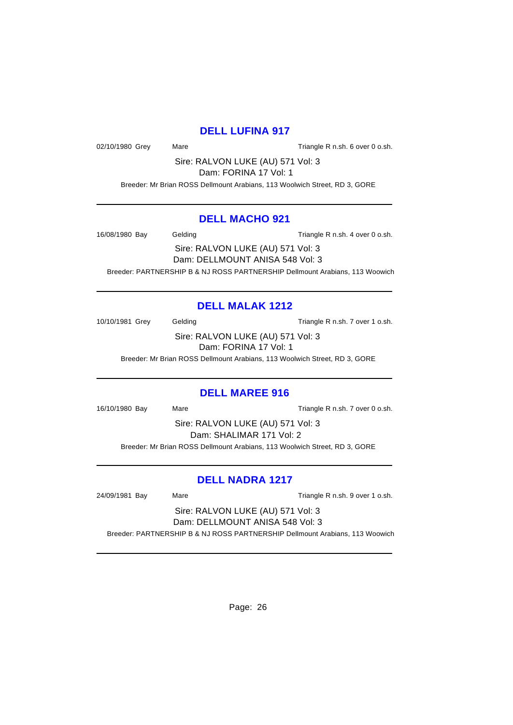### **DELL LUFINA 917**

02/10/1980 Grey Mare Mare Triangle R n.sh. 6 over 0 o.sh.

Sire: RALVON LUKE (AU) 571 Vol: 3

Dam: FORINA 17 Vol: 1

Breeder: Mr Brian ROSS Dellmount Arabians, 113 Woolwich Street, RD 3, GORE

### **DELL MACHO 921**

16/08/1980 Bay Gelding Gelding Triangle R n.sh. 4 over 0 o.sh.

Sire: RALVON LUKE (AU) 571 Vol: 3 Dam: DELLMOUNT ANISA 548 Vol: 3

Breeder: PARTNERSHIP B & NJ ROSS PARTNERSHIP Dellmount Arabians, 113 Woowich

## **DELL MALAK 1212**

10/10/1981 Grey Gelding Gelding Triangle R n.sh. 7 over 1 o.sh.

Sire: RALVON LUKE (AU) 571 Vol: 3 Dam: FORINA 17 Vol: 1

Breeder: Mr Brian ROSS Dellmount Arabians, 113 Woolwich Street, RD 3, GORE

## **DELL MAREE 916**

16/10/1980 Bay Mare Mare Triangle R n.sh. 7 over 0 o.sh.

Sire: RALVON LUKE (AU) 571 Vol: 3 Dam: SHALIMAR 171 Vol: 2

Breeder: Mr Brian ROSS Dellmount Arabians, 113 Woolwich Street, RD 3, GORE

## **DELL NADRA 1217**

24/09/1981 Bay Mare Mare Triangle R n.sh. 9 over 1 o.sh.

Sire: RALVON LUKE (AU) 571 Vol: 3 Dam: DELLMOUNT ANISA 548 Vol: 3

Breeder: PARTNERSHIP B & NJ ROSS PARTNERSHIP Dellmount Arabians, 113 Woowich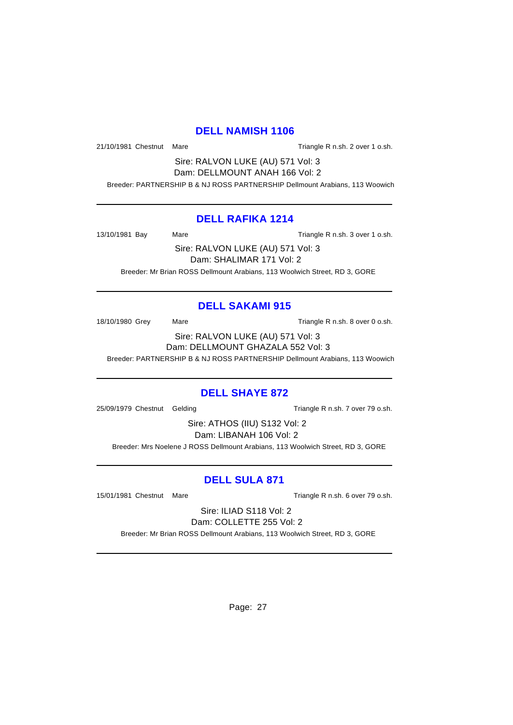#### **DELL NAMISH 1106**

21/10/1981 Chestnut Mare Triangle R n.sh. 2 over 1 o.sh.

Sire: RALVON LUKE (AU) 571 Vol: 3 Dam: DELLMOUNT ANAH 166 Vol: 2

Breeder: PARTNERSHIP B & NJ ROSS PARTNERSHIP Dellmount Arabians, 113 Woowich

### **DELL RAFIKA 1214**

13/10/1981 Bay Mare Mare Triangle R n.sh. 3 over 1 o.sh.

Sire: RALVON LUKE (AU) 571 Vol: 3 Dam: SHALIMAR 171 Vol: 2 Breeder: Mr Brian ROSS Dellmount Arabians, 113 Woolwich Street, RD 3, GORE

## **DELL SAKAMI 915**

18/10/1980 Grey Mare Mare Triangle R n.sh. 8 over 0 o.sh.

Sire: RALVON LUKE (AU) 571 Vol: 3 Dam: DELLMOUNT GHAZALA 552 Vol: 3 Breeder: PARTNERSHIP B & NJ ROSS PARTNERSHIP Dellmount Arabians, 113 Woowich

## **DELL SHAYE 872**

25/09/1979 Chestnut Gelding Triangle R n.sh. 7 over 79 o.sh.

Sire: ATHOS (IIU) S132 Vol: 2 Dam: LIBANAH 106 Vol: 2

Breeder: Mrs Noelene J ROSS Dellmount Arabians, 113 Woolwich Street, RD 3, GORE

## **DELL SULA 871**

15/01/1981 Chestnut Mare Triangle R n.sh. 6 over 79 o.sh.

Sire: ILIAD S118 Vol: 2 Dam: COLLETTE 255 Vol: 2

Breeder: Mr Brian ROSS Dellmount Arabians, 113 Woolwich Street, RD 3, GORE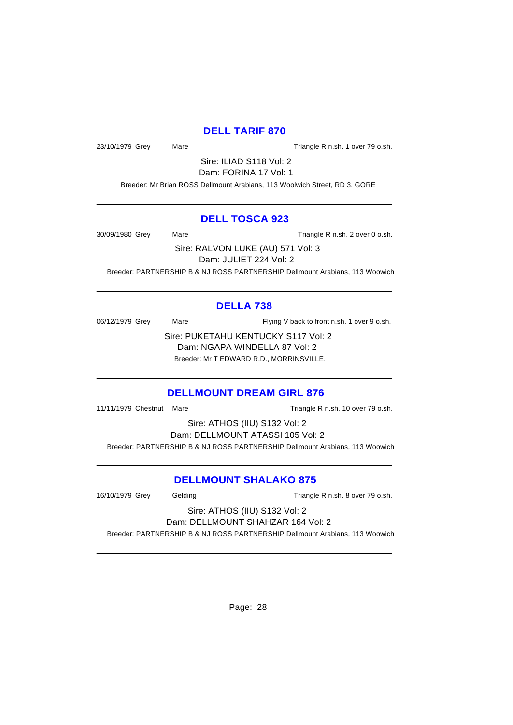## **DELL TARIF 870**

23/10/1979 Grey Mare Mare Triangle R n.sh. 1 over 79 o.sh.

Sire: ILIAD S118 Vol: 2 Dam: FORINA 17 Vol: 1

Breeder: Mr Brian ROSS Dellmount Arabians, 113 Woolwich Street, RD 3, GORE

### **DELL TOSCA 923**

30/09/1980 Grey Mare Mare Triangle R n.sh. 2 over 0 o.sh.

Sire: RALVON LUKE (AU) 571 Vol: 3 Dam: JULIET 224 Vol: 2

Breeder: PARTNERSHIP B & NJ ROSS PARTNERSHIP Dellmount Arabians, 113 Woowich

# **DELLA 738**

06/12/1979 Grey Mare Mare Flying V back to front n.sh. 1 over 9 o.sh.

Sire: PUKETAHU KENTUCKY S117 Vol: 2 Dam: NGAPA WINDELLA 87 Vol: 2 Breeder: Mr T EDWARD R.D., MORRINSVILLE.

## **DELLMOUNT DREAM GIRL 876**

11/11/1979 Chestnut Mare Triangle R n.sh. 10 over 79 o.sh.

Sire: ATHOS (IIU) S132 Vol: 2 Dam: DELLMOUNT ATASSI 105 Vol: 2 Breeder: PARTNERSHIP B & NJ ROSS PARTNERSHIP Dellmount Arabians, 113 Woowich

# **DELLMOUNT SHALAKO 875**

16/10/1979 Grey Gelding Triangle R n.sh. 8 over 79 o.sh.

#### Sire: ATHOS (IIU) S132 Vol: 2 Dam: DELLMOUNT SHAHZAR 164 Vol: 2

Breeder: PARTNERSHIP B & NJ ROSS PARTNERSHIP Dellmount Arabians, 113 Woowich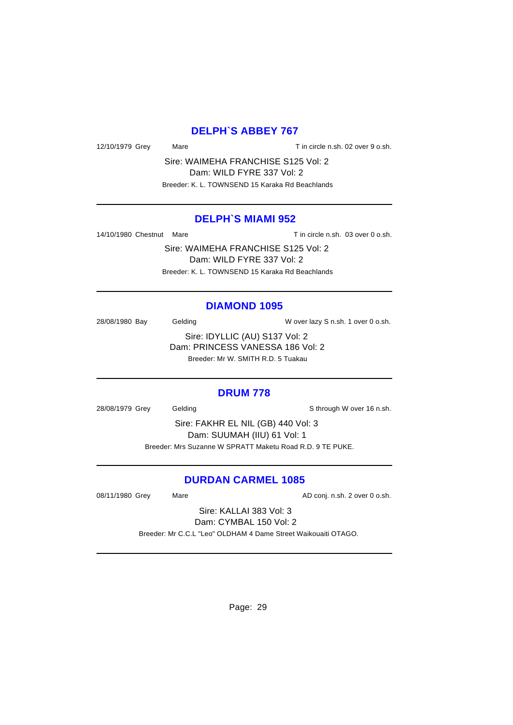### **DELPH`S ABBEY 767**

12/10/1979 Grey Mare Mare T in circle n.sh. 02 over 9 o.sh.

Sire: WAIMEHA FRANCHISE S125 Vol: 2 Dam: WILD FYRE 337 Vol: 2 Breeder: K. L. TOWNSEND 15 Karaka Rd Beachlands

### **DELPH`S MIAMI 952**

14/10/1980 Chestnut Mare Tin circle n.sh. 03 over 0 o.sh.

Sire: WAIMEHA FRANCHISE S125 Vol: 2 Dam: WILD FYRE 337 Vol: 2 Breeder: K. L. TOWNSEND 15 Karaka Rd Beachlands

#### **DIAMOND 1095**

28/08/1980 Bay Gelding Gelding W over lazy S n.sh. 1 over 0 o.sh.

Sire: IDYLLIC (AU) S137 Vol: 2 Dam: PRINCESS VANESSA 186 Vol: 2 Breeder: Mr W. SMITH R.D. 5 Tuakau

#### **DRUM 778**

28/08/1979 Grey Gelding Sthrough W over 16 n.sh.

Sire: FAKHR EL NIL (GB) 440 Vol: 3 Dam: SUUMAH (IIU) 61 Vol: 1 Breeder: Mrs Suzanne W SPRATT Maketu Road R.D. 9 TE PUKE.

### **DURDAN CARMEL 1085**

08/11/1980 Grey Mare Mare AD conj. n.sh. 2 over 0 o.sh.

Sire: KALLAI 383 Vol: 3 Dam: CYMBAL 150 Vol: 2

Breeder: Mr C.C.L "Leo" OLDHAM 4 Dame Street Waikouaiti OTAGO.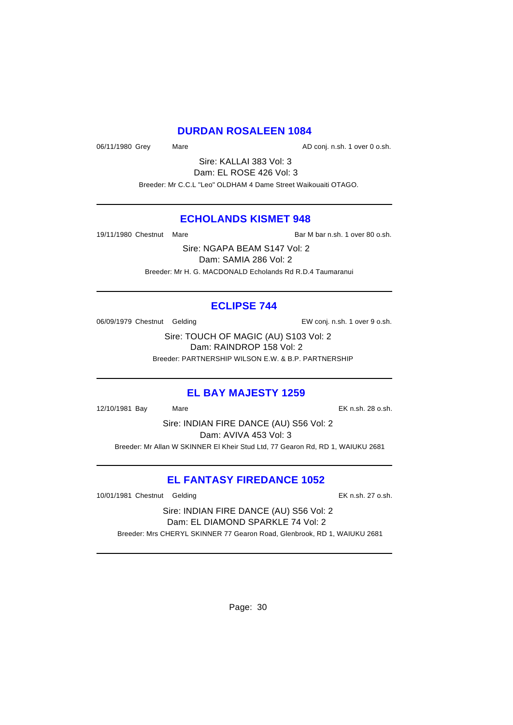### **DURDAN ROSALEEN 1084**

06/11/1980 Grey Mare Mare AD conj. n.sh. 1 over 0 o.sh.

Sire: KALLAI 383 Vol: 3 Dam: EL ROSE 426 Vol: 3 Breeder: Mr C.C.L "Leo" OLDHAM 4 Dame Street Waikouaiti OTAGO.

### **ECHOLANDS KISMET 948**

19/11/1980 Chestnut Mare **Bar M** bar M bar n.sh. 1 over 80 o.sh.

Sire: NGAPA BEAM S147 Vol: 2 Dam: SAMIA 286 Vol: 2 Breeder: Mr H. G. MACDONALD Echolands Rd R.D.4 Taumaranui

## **ECLIPSE 744**

06/09/1979 Chestnut Gelding The State of EW conj. n.sh. 1 over 9 o.sh.

Sire: TOUCH OF MAGIC (AU) S103 Vol: 2 Dam: RAINDROP 158 Vol: 2 Breeder: PARTNERSHIP WILSON E.W. & B.P. PARTNERSHIP

### **EL BAY MAJESTY 1259**

12/10/1981 Bay Mare EK n.sh. 28 o.sh.

Sire: INDIAN FIRE DANCE (AU) S56 Vol: 2 Dam: AVIVA 453 Vol: 3 Breeder: Mr Allan W SKINNER El Kheir Stud Ltd, 77 Gearon Rd, RD 1, WAIUKU 2681

## **EL FANTASY FIREDANCE 1052**

10/01/1981 Chestnut Gelding The State of the EK n.sh. 27 o.sh.

Sire: INDIAN FIRE DANCE (AU) S56 Vol: 2 Dam: EL DIAMOND SPARKLE 74 Vol: 2 Breeder: Mrs CHERYL SKINNER 77 Gearon Road, Glenbrook, RD 1, WAIUKU 2681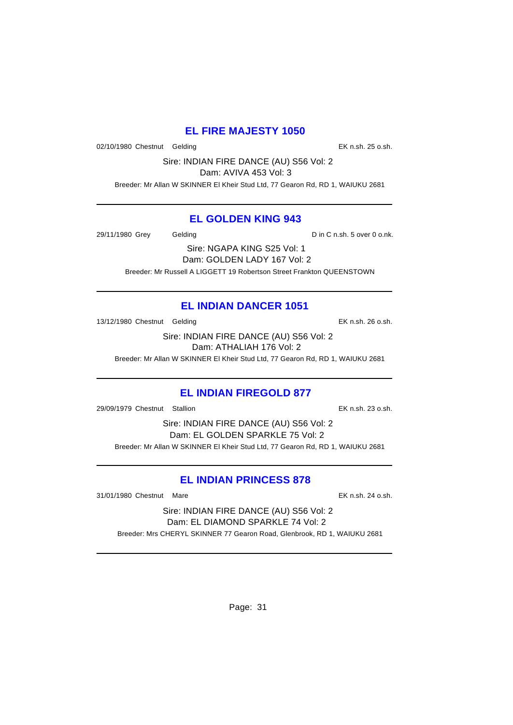## **EL FIRE MAJESTY 1050**

02/10/1980 Chestnut Gelding **EX n.sh. 25 o.sh.** 

Sire: INDIAN FIRE DANCE (AU) S56 Vol: 2

Dam: AVIVA 453 Vol: 3

Breeder: Mr Allan W SKINNER El Kheir Stud Ltd, 77 Gearon Rd, RD 1, WAIUKU 2681

## **EL GOLDEN KING 943**

29/11/1980 Grey Gelding Communication D in C n.sh. 5 over 0 o.nk.

Sire: NGAPA KING S25 Vol: 1 Dam: GOLDEN LADY 167 Vol: 2 Breeder: Mr Russell A LIGGETT 19 Robertson Street Frankton QUEENSTOWN

# **EL INDIAN DANCER 1051**

13/12/1980 Chestnut Gelding The Contract of the EK n.sh. 26 o.sh.

Sire: INDIAN FIRE DANCE (AU) S56 Vol: 2 Dam: ATHALIAH 176 Vol: 2

Breeder: Mr Allan W SKINNER El Kheir Stud Ltd, 77 Gearon Rd, RD 1, WAIUKU 2681

## **EL INDIAN FIREGOLD 877**

29/09/1979 Chestnut Stallion EK n.sh. 23 o.sh.

Sire: INDIAN FIRE DANCE (AU) S56 Vol: 2 Dam: EL GOLDEN SPARKLE 75 Vol: 2 Breeder: Mr Allan W SKINNER El Kheir Stud Ltd, 77 Gearon Rd, RD 1, WAIUKU 2681

## **EL INDIAN PRINCESS 878**

31/01/1980 Chestnut Mare EK n.sh. 24 o.sh.

Sire: INDIAN FIRE DANCE (AU) S56 Vol: 2 Dam: EL DIAMOND SPARKLE 74 Vol: 2 Breeder: Mrs CHERYL SKINNER 77 Gearon Road, Glenbrook, RD 1, WAIUKU 2681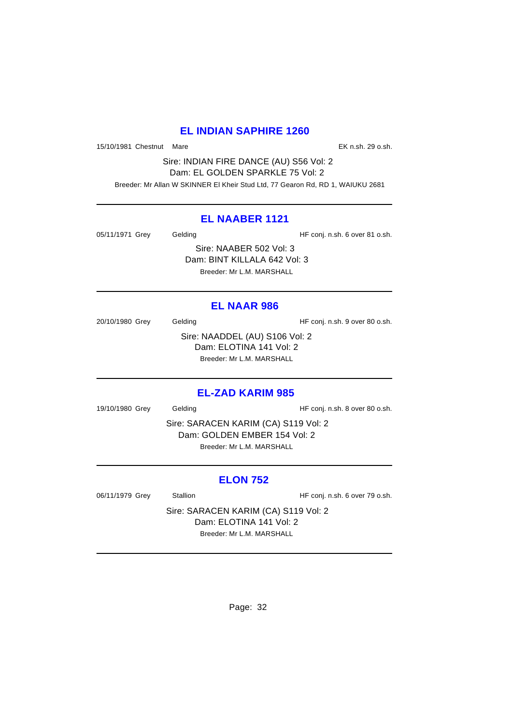## **EL INDIAN SAPHIRE 1260**

15/10/1981 Chestnut Mare EK n.sh. 29 o.sh.

Sire: INDIAN FIRE DANCE (AU) S56 Vol: 2 Dam: EL GOLDEN SPARKLE 75 Vol: 2 Breeder: Mr Allan W SKINNER El Kheir Stud Ltd, 77 Gearon Rd, RD 1, WAIUKU 2681

### **EL NAABER 1121**

05/11/1971 Grey Gelding Gelding HF conj. n.sh. 6 over 81 o.sh. Sire: NAABER 502 Vol: 3 Dam: BINT KILLALA 642 Vol: 3 Breeder: Mr L.M. MARSHALL

### **EL NAAR 986**

20/10/1980 Grey Gelding Gelding HF conj. n.sh. 9 over 80 o.sh. Sire: NAADDEL (AU) S106 Vol: 2 Dam: ELOTINA 141 Vol: 2 Breeder: Mr L.M. MARSHALL

### **EL-ZAD KARIM 985**

19/10/1980 Grey Gelding Gelding HF conj. n.sh. 8 over 80 o.sh.

Sire: SARACEN KARIM (CA) S119 Vol: 2 Dam: GOLDEN EMBER 154 Vol: 2 Breeder: Mr L.M. MARSHALL

### **ELON 752**

06/11/1979 Grey Stallion Stallion HF conj. n.sh. 6 over 79 o.sh.

Sire: SARACEN KARIM (CA) S119 Vol: 2 Dam: ELOTINA 141 Vol: 2 Breeder: Mr L.M. MARSHALL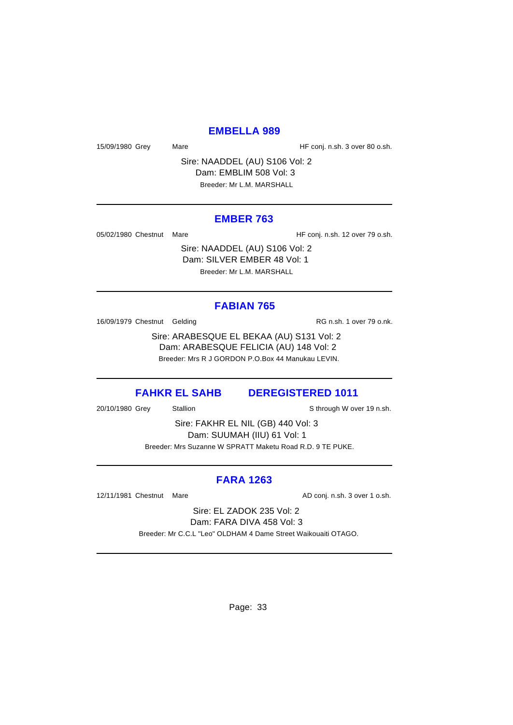### **EMBELLA 989**

15/09/1980 Grey Mare Mare HF conj. n.sh. 3 over 80 o.sh.

Sire: NAADDEL (AU) S106 Vol: 2 Dam: EMBLIM 508 Vol: 3 Breeder: Mr L.M. MARSHALL

#### **EMBER 763**

05/02/1980 Chestnut Mare **HF** conj. n.sh. 12 over 79 o.sh.

Sire: NAADDEL (AU) S106 Vol: 2 Dam: SILVER EMBER 48 Vol: 1 Breeder: Mr L.M. MARSHALL

#### **FABIAN 765**

16/09/1979 Chestnut Gelding The Control of RG n.sh. 1 over 79 o.nk.

Sire: ARABESQUE EL BEKAA (AU) S131 Vol: 2 Dam: ARABESQUE FELICIA (AU) 148 Vol: 2 Breeder: Mrs R J GORDON P.O.Box 44 Manukau LEVIN.

#### **FAHKR EL SAHB DEREGISTERED 1011**

20/10/1980 Grey Stallion States States Sthrough W over 19 n.sh.

Sire: FAKHR EL NIL (GB) 440 Vol: 3 Dam: SUUMAH (IIU) 61 Vol: 1 Breeder: Mrs Suzanne W SPRATT Maketu Road R.D. 9 TE PUKE.

### **FARA 1263**

12/11/1981 Chestnut Mare **AD** conj. n.sh. 3 over 1 o.sh.

Sire: EL ZADOK 235 Vol: 2 Dam: FARA DIVA 458 Vol: 3

Breeder: Mr C.C.L "Leo" OLDHAM 4 Dame Street Waikouaiti OTAGO.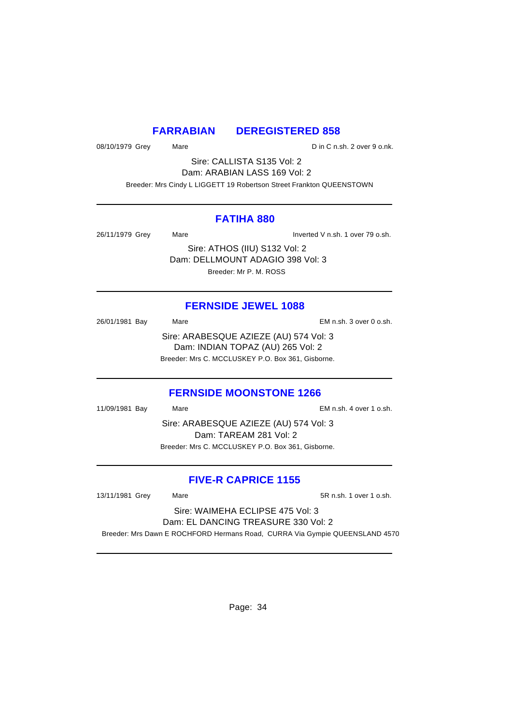### **FARRABIAN DEREGISTERED 858**

08/10/1979 Grey Mare Mare Din C n.sh. 2 over 9 o.nk.

Sire: CALLISTA S135 Vol: 2 Dam: ARABIAN LASS 169 Vol: 2

Breeder: Mrs Cindy L LIGGETT 19 Robertson Street Frankton QUEENSTOWN

#### **FATIHA 880**

26/11/1979 Grey Mare Inverted V n.sh. 1 over 79 o.sh.

Sire: ATHOS (IIU) S132 Vol: 2 Dam: DELLMOUNT ADAGIO 398 Vol: 3 Breeder: Mr P. M. ROSS

### **FERNSIDE JEWEL 1088**

26/01/1981 Bay Mare EM n.sh. 3 over 0 o.sh. Sire: ARABESQUE AZIEZE (AU) 574 Vol: 3 Dam: INDIAN TOPAZ (AU) 265 Vol: 2 Breeder: Mrs C. MCCLUSKEY P.O. Box 361, Gisborne.

### **FERNSIDE MOONSTONE 1266**

11/09/1981 Bay Mare EM n.sh. 4 over 1 o.sh. Sire: ARABESQUE AZIEZE (AU) 574 Vol: 3 Dam: TAREAM 281 Vol: 2 Breeder: Mrs C. MCCLUSKEY P.O. Box 361, Gisborne.

## **FIVE-R CAPRICE 1155**

13/11/1981 Grey Mare 5R n.sh. 1 over 1 o.sh.

## Sire: WAIMEHA ECLIPSE 475 Vol: 3 Dam: EL DANCING TREASURE 330 Vol: 2

Breeder: Mrs Dawn E ROCHFORD Hermans Road, CURRA Via Gympie QUEENSLAND 4570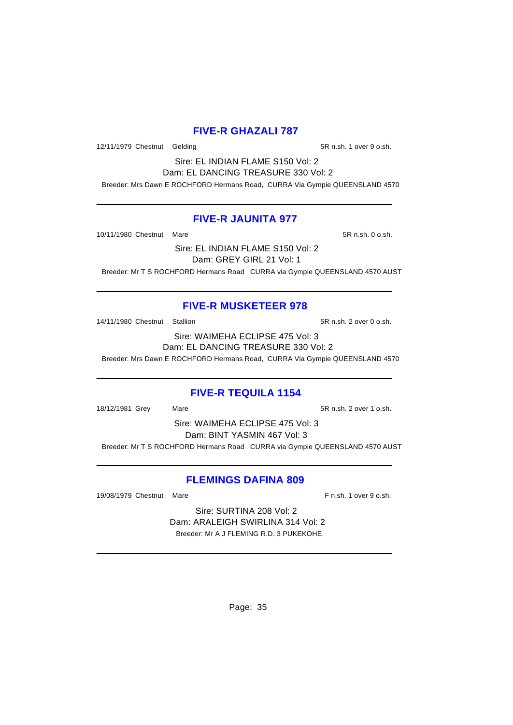## **FIVE-R GHAZALI 787**

12/11/1979 Chestnut Gelding 5R n.sh. 1 over 9 o.sh.

Sire: EL INDIAN FLAME S150 Vol: 2 Dam: EL DANCING TREASURE 330 Vol: 2

# Breeder: Mrs Dawn E ROCHFORD Hermans Road, CURRA Via Gympie QUEENSLAND 4570

### **FIVE-R JAUNITA 977**

10/11/1980 Chestnut Mare 5R n.sh. 0 o.sh.

Sire: EL INDIAN FLAME S150 Vol: 2 Dam: GREY GIRL 21 Vol: 1

Breeder: Mr T S ROCHFORD Hermans Road CURRA via Gympie QUEENSLAND 4570 AUST

## **FIVE-R MUSKETEER 978**

14/11/1980 Chestnut Stallion 5R n.sh. 2 over 0 o.sh.

Sire: WAIMEHA ECLIPSE 475 Vol: 3 Dam: EL DANCING TREASURE 330 Vol: 2 Breeder: Mrs Dawn E ROCHFORD Hermans Road, CURRA Via Gympie QUEENSLAND 4570

### **FIVE-R TEQUILA 1154**

18/12/1981 Grey Mare 19: Mare 5R n.sh. 2 over 1 o.sh.

Sire: WAIMEHA ECLIPSE 475 Vol: 3 Dam: BINT YASMIN 467 Vol: 3 Breeder: Mr T S ROCHFORD Hermans Road CURRA via Gympie QUEENSLAND 4570 AUST

### **FLEMINGS DAFINA 809**

19/08/1979 Chestnut Mare F n.sh. 1 over 9 o.sh.

Sire: SURTINA 208 Vol: 2 Dam: ARALEIGH SWIRLINA 314 Vol: 2 Breeder: Mr A J FLEMING R.D. 3 PUKEKOHE.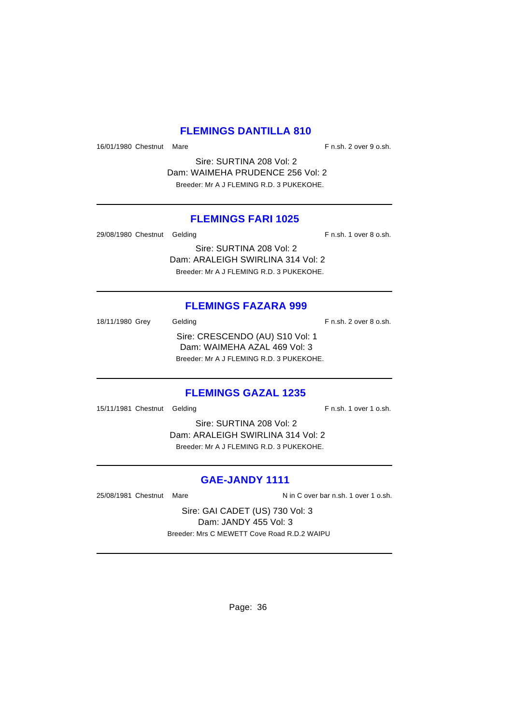### **FLEMINGS DANTILLA 810**

16/01/1980 Chestnut Mare F n.sh. 2 over 9 o.sh.

Sire: SURTINA 208 Vol: 2 Dam: WAIMEHA PRUDENCE 256 Vol: 2 Breeder: Mr A J FLEMING R.D. 3 PUKEKOHE.

### **FLEMINGS FARI 1025**

29/08/1980 Chestnut Gelding F n.sh. 1 over 8 o.sh.

Sire: SURTINA 208 Vol: 2 Dam: ARALEIGH SWIRLINA 314 Vol: 2 Breeder: Mr A J FLEMING R.D. 3 PUKEKOHE.

### **FLEMINGS FAZARA 999**

18/11/1980 Grey Gelding Gelding F n.sh. 2 over 8 o.sh. Sire: CRESCENDO (AU) S10 Vol: 1 Dam: WAIMEHA AZAL 469 Vol: 3 Breeder: Mr A J FLEMING R.D. 3 PUKEKOHE.

## **FLEMINGS GAZAL 1235**

15/11/1981 Chestnut Gelding F n.sh. 1 over 1 o.sh.

Sire: SURTINA 208 Vol: 2 Dam: ARALEIGH SWIRLINA 314 Vol: 2 Breeder: Mr A J FLEMING R.D. 3 PUKEKOHE.

## **GAE-JANDY 1111**

25/08/1981 Chestnut Mare N in C over bar n.sh. 1 over 1 o.sh.

Sire: GAI CADET (US) 730 Vol: 3 Dam: JANDY 455 Vol: 3 Breeder: Mrs C MEWETT Cove Road R.D.2 WAIPU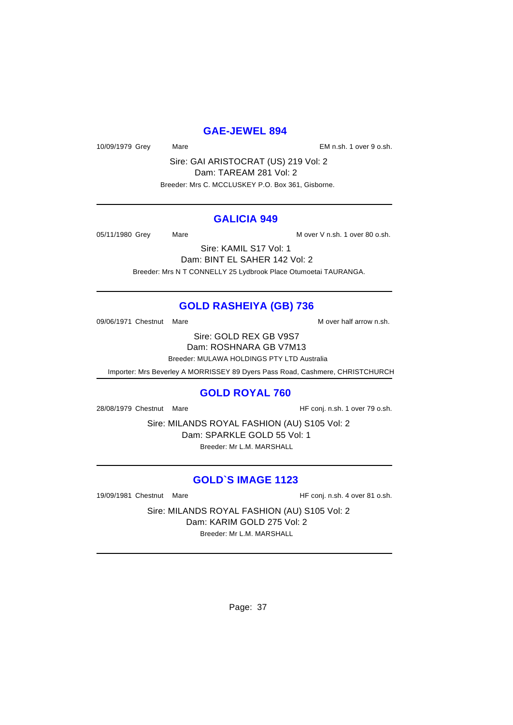#### **GAE-JEWEL 894**

10/09/1979 Grey Mare Mare Communication CM n.sh. 1 over 9 o.sh.

Sire: GAI ARISTOCRAT (US) 219 Vol: 2 Dam: TAREAM 281 Vol: 2 Breeder: Mrs C. MCCLUSKEY P.O. Box 361, Gisborne.

#### **GALICIA 949**

05/11/1980 Grey Mare Mare Mare Mover V n.sh. 1 over 80 o.sh.

Sire: KAMIL S17 Vol: 1 Dam: BINT EL SAHER 142 Vol: 2 Breeder: Mrs N T CONNELLY 25 Lydbrook Place Otumoetai TAURANGA.

# **GOLD RASHEIYA (GB) 736**

09/06/1971 Chestnut Mare M over half arrow n.sh.

Sire: GOLD REX GB V9S7 Dam: ROSHNARA GB V7M13

Breeder: MULAWA HOLDINGS PTY LTD Australia

Importer: Mrs Beverley A MORRISSEY 89 Dyers Pass Road, Cashmere, CHRISTCHURCH

#### **GOLD ROYAL 760**

28/08/1979 Chestnut Mare HF conj. n.sh. 1 over 79 o.sh.

Sire: MILANDS ROYAL FASHION (AU) S105 Vol: 2 Dam: SPARKLE GOLD 55 Vol: 1 Breeder: Mr L.M. MARSHALL

# **GOLD`S IMAGE 1123**

19/09/1981 Chestnut Mare **HF** conj. n.sh. 4 over 81 o.sh.

Sire: MILANDS ROYAL FASHION (AU) S105 Vol: 2 Dam: KARIM GOLD 275 Vol: 2 Breeder: Mr L.M. MARSHALL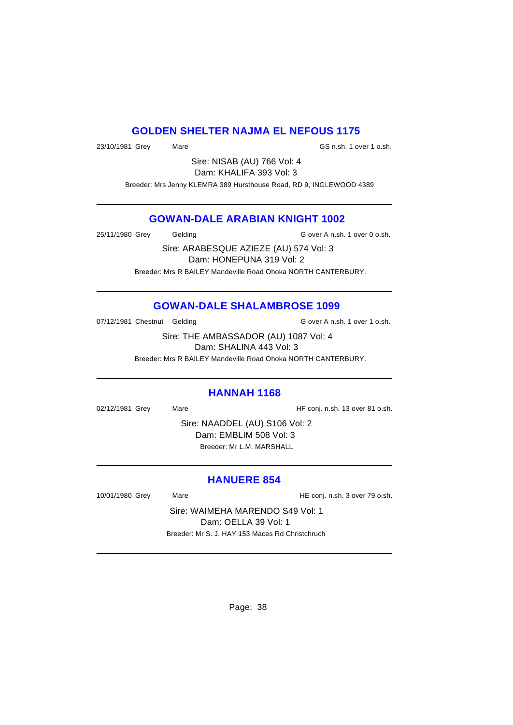#### **GOLDEN SHELTER NAJMA EL NEFOUS 1175**

23/10/1981 Grey Mare Mare GS n.sh. 1 over 1 o.sh.

Sire: NISAB (AU) 766 Vol: 4 Dam: KHALIFA 393 Vol: 3

Breeder: Mrs Jenny KLEMRA 389 Hursthouse Road, RD 9, INGLEWOOD 4389

## **GOWAN-DALE ARABIAN KNIGHT 1002**

25/11/1980 Grey Gelding G over A n.sh. 1 over 0 o.sh.

Sire: ARABESQUE AZIEZE (AU) 574 Vol: 3 Dam: HONEPUNA 319 Vol: 2 Breeder: Mrs R BAILEY Mandeville Road Ohoka NORTH CANTERBURY.

# **GOWAN-DALE SHALAMBROSE 1099**

07/12/1981 Chestnut Gelding G over A n.sh. 1 over 1 o.sh.

Sire: THE AMBASSADOR (AU) 1087 Vol: 4 Dam: SHALINA 443 Vol: 3

Breeder: Mrs R BAILEY Mandeville Road Ohoka NORTH CANTERBURY.

#### **HANNAH 1168**

02/12/1981 Grey Mare Heroni, n.sh. 13 over 81 o.sh.

Sire: NAADDEL (AU) S106 Vol: 2 Dam: EMBLIM 508 Vol: 3 Breeder: Mr L.M. MARSHALL

# **HANUERE 854**

10/01/1980 Grey Mare HE conj. n.sh. 3 over 79 o.sh.

Sire: WAIMEHA MARENDO S49 Vol: 1 Dam: OELLA 39 Vol: 1 Breeder: Mr S. J. HAY 153 Maces Rd Christchruch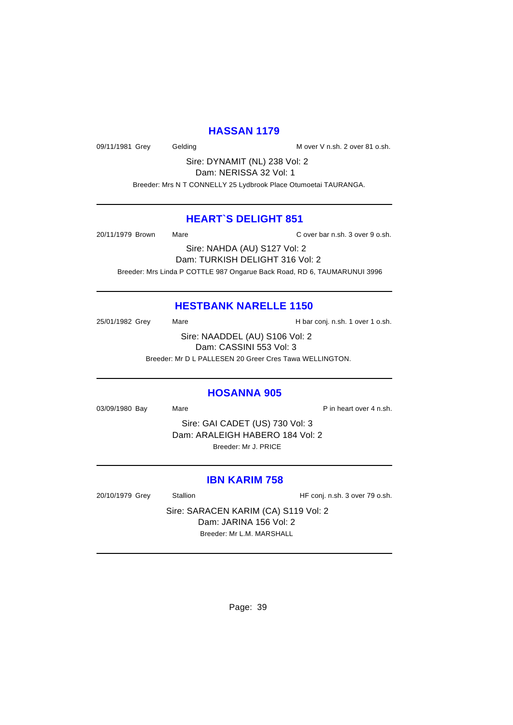#### **HASSAN 1179**

09/11/1981 Grey Gelding Communication M over V n.sh. 2 over 81 o.sh.

Sire: DYNAMIT (NL) 238 Vol: 2 Dam: NERISSA 32 Vol: 1

Breeder: Mrs N T CONNELLY 25 Lydbrook Place Otumoetai TAURANGA.

#### **HEART`S DELIGHT 851**

20/11/1979 Brown Mare C over bar n.sh. 3 over 9 o.sh.

Sire: NAHDA (AU) S127 Vol: 2 Dam: TURKISH DELIGHT 316 Vol: 2 Breeder: Mrs Linda P COTTLE 987 Ongarue Back Road, RD 6, TAUMARUNUI 3996

#### **HESTBANK NARELLE 1150**

25/01/1982 Grey Mare Mare H bar conj. n.sh. 1 over 1 o.sh.

Sire: NAADDEL (AU) S106 Vol: 2 Dam: CASSINI 553 Vol: 3

Breeder: Mr D L PALLESEN 20 Greer Cres Tawa WELLINGTON.

#### **HOSANNA 905**

03/09/1980 Bay Mare Research Bay Mare P in heart over 4 n.sh.

Sire: GAI CADET (US) 730 Vol: 3 Dam: ARALEIGH HABERO 184 Vol: 2 Breeder: Mr J. PRICE

#### **IBN KARIM 758**

20/10/1979 Grey Stallion Stallion HF conj. n.sh. 3 over 79 o.sh.

Sire: SARACEN KARIM (CA) S119 Vol: 2 Dam: JARINA 156 Vol: 2 Breeder: Mr L.M. MARSHALL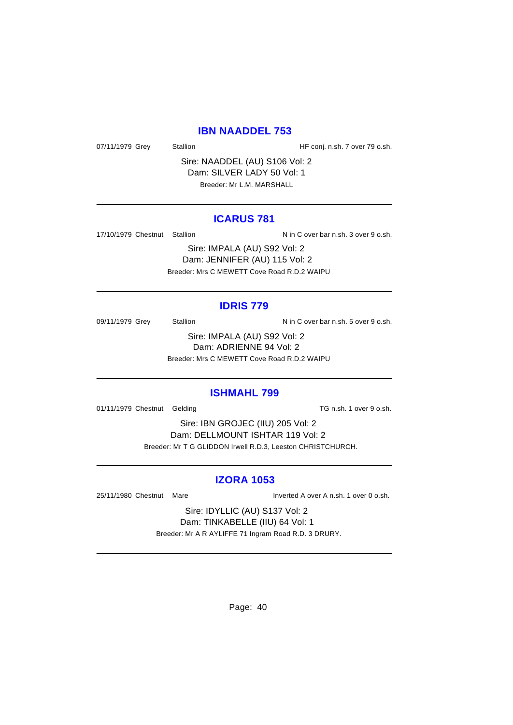#### **IBN NAADDEL 753**

07/11/1979 Grey Stallion Stallion State HF conj. n.sh. 7 over 79 o.sh.

Sire: NAADDEL (AU) S106 Vol: 2 Dam: SILVER LADY 50 Vol: 1 Breeder: Mr L.M. MARSHALL

#### **ICARUS 781**

17/10/1979 Chestnut Stallion Nin C over bar n.sh. 3 over 9 o.sh.

Sire: IMPALA (AU) S92 Vol: 2 Dam: JENNIFER (AU) 115 Vol: 2 Breeder: Mrs C MEWETT Cove Road R.D.2 WAIPU

#### **IDRIS 779**

09/11/1979 Grey Stallion N in C over bar n.sh. 5 over 9 o.sh.

Sire: IMPALA (AU) S92 Vol: 2 Dam: ADRIENNE 94 Vol: 2 Breeder: Mrs C MEWETT Cove Road R.D.2 WAIPU

#### **ISHMAHL 799**

01/11/1979 Chestnut Gelding TG n.sh. 1 over 9 o.sh.

Sire: IBN GROJEC (IIU) 205 Vol: 2 Dam: DELLMOUNT ISHTAR 119 Vol: 2 Breeder: Mr T G GLIDDON Irwell R.D.3, Leeston CHRISTCHURCH.

#### **IZORA 1053**

25/11/1980 Chestnut Mare Inverted A over A n.sh. 1 over 0 o.sh.

Sire: IDYLLIC (AU) S137 Vol: 2 Dam: TINKABELLE (IIU) 64 Vol: 1 Breeder: Mr A R AYLIFFE 71 Ingram Road R.D. 3 DRURY.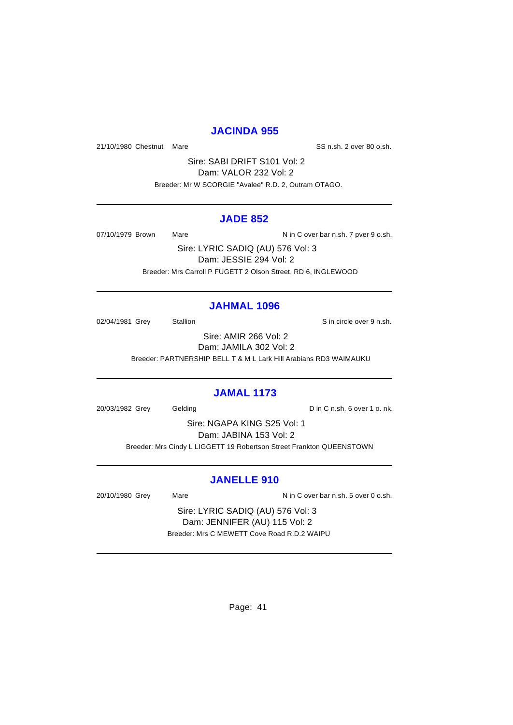#### **JACINDA 955**

21/10/1980 Chestnut Mare SS n.sh. 2 over 80 o.sh.

Sire: SABI DRIFT S101 Vol: 2 Dam: VALOR 232 Vol: 2 Breeder: Mr W SCORGIE "Avalee" R.D. 2, Outram OTAGO.

#### **JADE 852**

07/10/1979 Brown Mare Mare N in C over bar n.sh. 7 pver 9 o.sh.

Sire: LYRIC SADIQ (AU) 576 Vol: 3 Dam: JESSIE 294 Vol: 2 Breeder: Mrs Carroll P FUGETT 2 Olson Street, RD 6, INGLEWOOD

#### **JAHMAL 1096**

02/04/1981 Grey Stallion State State over 9 n.sh.

Sire: AMIR 266 Vol: 2 Dam: JAMILA 302 Vol: 2 Breeder: PARTNERSHIP BELL T & M L Lark Hill Arabians RD3 WAIMAUKU

#### **JAMAL 1173**

20/03/1982 Grey Gelding D in C n.sh. 6 over 1 o. nk.

Sire: NGAPA KING S25 Vol: 1 Dam: JABINA 153 Vol: 2 Breeder: Mrs Cindy L LIGGETT 19 Robertson Street Frankton QUEENSTOWN

#### **JANELLE 910**

20/10/1980 Grey Mare Mare N in C over bar n.sh. 5 over 0 o.sh.

Sire: LYRIC SADIQ (AU) 576 Vol: 3 Dam: JENNIFER (AU) 115 Vol: 2 Breeder: Mrs C MEWETT Cove Road R.D.2 WAIPU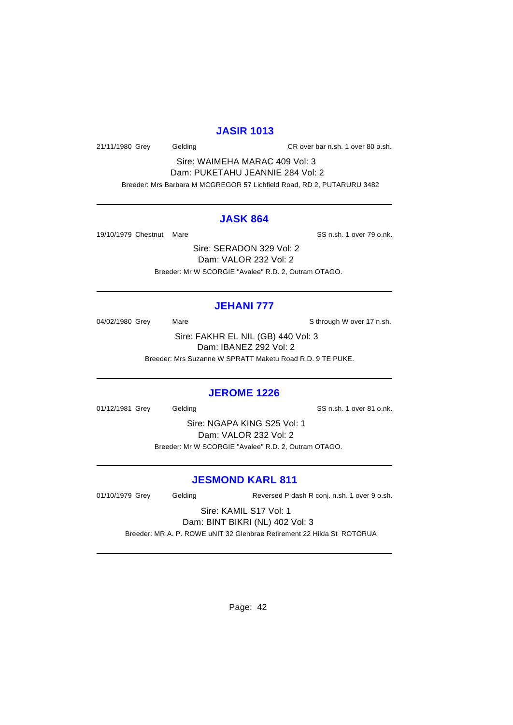#### **JASIR 1013**

21/11/1980 Grey Gelding CR over bar n.sh. 1 over 80 o.sh.

Sire: WAIMEHA MARAC 409 Vol: 3 Dam: PUKETAHU JEANNIE 284 Vol: 2 Breeder: Mrs Barbara M MCGREGOR 57 Lichfield Road, RD 2, PUTARURU 3482

#### **JASK 864**

19/10/1979 Chestnut Mare SS n.sh. 1 over 79 o.nk.

Sire: SERADON 329 Vol: 2 Dam: VALOR 232 Vol: 2 Breeder: Mr W SCORGIE "Avalee" R.D. 2, Outram OTAGO.

## **JEHANI 777**

04/02/1980 Grey Mare Mare Sthrough W over 17 n.sh.

Sire: FAKHR EL NIL (GB) 440 Vol: 3 Dam: IBANEZ 292 Vol: 2 Breeder: Mrs Suzanne W SPRATT Maketu Road R.D. 9 TE PUKE.

#### **JEROME 1226**

01/12/1981 Grey Gelding Contract Contract Contract Contract Contract Contract Contract Contract Contract Contract Contract Contract Contract Contract Contract Contract Contract Contract Contract Contract Contract Contract

Sire: NGAPA KING S25 Vol: 1 Dam: VALOR 232 Vol: 2 Breeder: Mr W SCORGIE "Avalee" R.D. 2, Outram OTAGO.

## **JESMOND KARL 811**

01/10/1979 Grey Gelding Reversed P dash R conj. n.sh. 1 over 9 o.sh.

Sire: KAMIL S17 Vol: 1 Dam: BINT BIKRI (NL) 402 Vol: 3

Breeder: MR A. P. ROWE uNIT 32 Glenbrae Retirement 22 Hilda St ROTORUA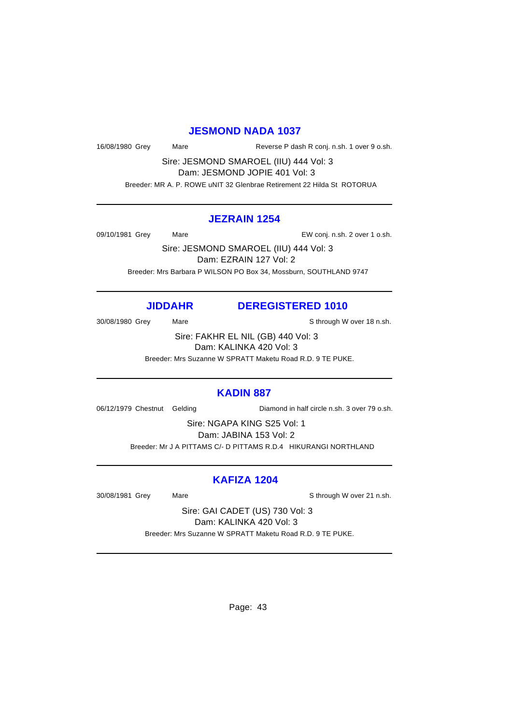#### **JESMOND NADA 1037**

16/08/1980 Grey Mare Reverse P dash R conj. n.sh. 1 over 9 o.sh.

Sire: JESMOND SMAROEL (IIU) 444 Vol: 3 Dam: JESMOND JOPIE 401 Vol: 3

Breeder: MR A. P. ROWE uNIT 32 Glenbrae Retirement 22 Hilda St ROTORUA

#### **JEZRAIN 1254**

09/10/1981 Grey Mare EW conj. n.sh. 2 over 1 o.sh.

Sire: JESMOND SMAROEL (IIU) 444 Vol: 3 Dam: EZRAIN 127 Vol: 2 Breeder: Mrs Barbara P WILSON PO Box 34, Mossburn, SOUTHLAND 9747

#### **JIDDAHR DEREGISTERED 1010**

30/08/1980 Grey Mare Mare Show Sthrough W over 18 n.sh.

Sire: FAKHR EL NIL (GB) 440 Vol: 3 Dam: KALINKA 420 Vol: 3

Breeder: Mrs Suzanne W SPRATT Maketu Road R.D. 9 TE PUKE.

### **KADIN 887**

06/12/1979 Chestnut Gelding Diamond in half circle n.sh. 3 over 79 o.sh.

Sire: NGAPA KING S25 Vol: 1 Dam: JABINA 153 Vol: 2 Breeder: Mr J A PITTAMS C/- D PITTAMS R.D.4 HIKURANGI NORTHLAND

#### **KAFIZA 1204**

30/08/1981 Grey Mare Mare Sthrough W over 21 n.sh.

Sire: GAI CADET (US) 730 Vol: 3 Dam: KALINKA 420 Vol: 3 Breeder: Mrs Suzanne W SPRATT Maketu Road R.D. 9 TE PUKE.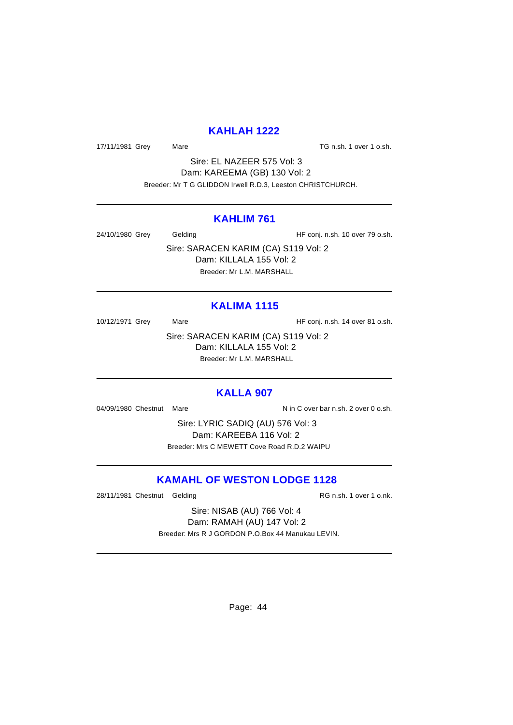#### **KAHLAH 1222**

17/11/1981 Grey Mare Mare Construction Construction Mare TG n.sh. 1 over 1 o.sh.

Sire: EL NAZEER 575 Vol: 3 Dam: KAREEMA (GB) 130 Vol: 2 Breeder: Mr T G GLIDDON Irwell R.D.3, Leeston CHRISTCHURCH.

#### **KAHLIM 761**

24/10/1980 Grey Gelding Gelding HF conj. n.sh. 10 over 79 o.sh.

Sire: SARACEN KARIM (CA) S119 Vol: 2 Dam: KILLALA 155 Vol: 2 Breeder: Mr L.M. MARSHALL

## **KALIMA 1115**

10/12/1971 Grey Mare Mare HF conj. n.sh. 14 over 81 o.sh.

Sire: SARACEN KARIM (CA) S119 Vol: 2 Dam: KILLALA 155 Vol: 2 Breeder: Mr L.M. MARSHALL

#### **KALLA 907**

04/09/1980 Chestnut Mare N in C over bar n.sh. 2 over 0 o.sh.

Sire: LYRIC SADIQ (AU) 576 Vol: 3 Dam: KAREEBA 116 Vol: 2 Breeder: Mrs C MEWETT Cove Road R.D.2 WAIPU

### **KAMAHL OF WESTON LODGE 1128**

28/11/1981 Chestnut Gelding RG n.sh. 1 over 1 o.nk.

Sire: NISAB (AU) 766 Vol: 4 Dam: RAMAH (AU) 147 Vol: 2 Breeder: Mrs R J GORDON P.O.Box 44 Manukau LEVIN.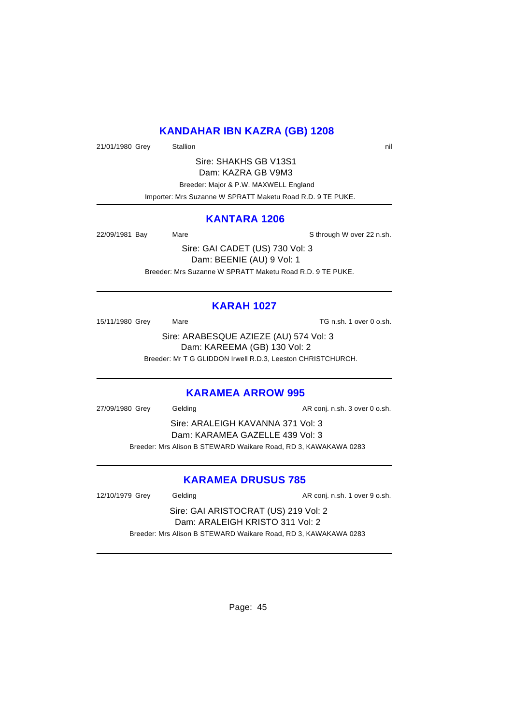# **KANDAHAR IBN KAZRA (GB) 1208**

21/01/1980 Grey Stallion 3. Stallion 3. The State of the State of the State of the State of the State of the State of the State of the State of the State of the State of the State of the State of the State of the State of

Sire: SHAKHS GB V13S1 Dam: KAZRA GB V9M3 Breeder: Major & P.W. MAXWELL England Importer: Mrs Suzanne W SPRATT Maketu Road R.D. 9 TE PUKE.

#### **KANTARA 1206**

22/09/1981 Bay Mare Mare Sthrough W over 22 n.sh.

Sire: GAI CADET (US) 730 Vol: 3 Dam: BEENIE (AU) 9 Vol: 1 Breeder: Mrs Suzanne W SPRATT Maketu Road R.D. 9 TE PUKE.

# **KARAH 1027**

15/11/1980 Grey Mare Mare TG n.sh. 1 over 0 o.sh.

Sire: ARABESQUE AZIEZE (AU) 574 Vol: 3 Dam: KAREEMA (GB) 130 Vol: 2

Breeder: Mr T G GLIDDON Irwell R.D.3, Leeston CHRISTCHURCH.

## **KARAMEA ARROW 995**

27/09/1980 Grey Gelding Casset Conj. n.sh. 3 over 0 o.sh. Sire: ARALEIGH KAVANNA 371 Vol: 3 Dam: KARAMEA GAZELLE 439 Vol: 3 Breeder: Mrs Alison B STEWARD Waikare Road, RD 3, KAWAKAWA 0283

# **KARAMEA DRUSUS 785**

12/10/1979 Grey Gelding Cassetter AR conj. n.sh. 1 over 9 o.sh. Sire: GAI ARISTOCRAT (US) 219 Vol: 2 Dam: ARALEIGH KRISTO 311 Vol: 2 Breeder: Mrs Alison B STEWARD Waikare Road, RD 3, KAWAKAWA 0283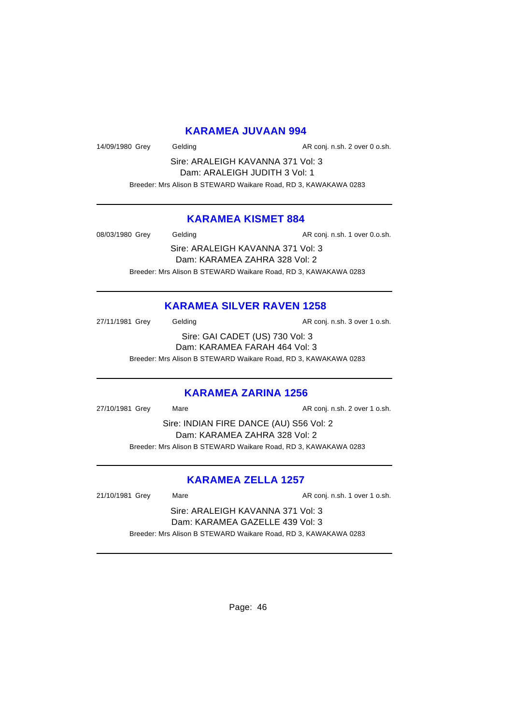## **KARAMEA JUVAAN 994**

14/09/1980 Grey Gelding Conj. n.sh. 2 over 0 o.sh.

Sire: ARALEIGH KAVANNA 371 Vol: 3 Dam: ARALEIGH JUDITH 3 Vol: 1 Breeder: Mrs Alison B STEWARD Waikare Road, RD 3, KAWAKAWA 0283

#### **KARAMEA KISMET 884**

08/03/1980 Grey Gelding Casset Conj. n.sh. 1 over 0.o.sh.

Sire: ARALEIGH KAVANNA 371 Vol: 3 Dam: KARAMEA ZAHRA 328 Vol: 2 Breeder: Mrs Alison B STEWARD Waikare Road, RD 3, KAWAKAWA 0283

# **KARAMEA SILVER RAVEN 1258**

27/11/1981 Grey Gelding Cassette AR conj. n.sh. 3 over 1 o.sh. Sire: GAI CADET (US) 730 Vol: 3 Dam: KARAMEA FARAH 464 Vol: 3 Breeder: Mrs Alison B STEWARD Waikare Road, RD 3, KAWAKAWA 0283

#### **KARAMEA ZARINA 1256**

27/10/1981 Grey Mare Mare AR conj. n.sh. 2 over 1 o.sh. Sire: INDIAN FIRE DANCE (AU) S56 Vol: 2 Dam: KARAMEA ZAHRA 328 Vol: 2 Breeder: Mrs Alison B STEWARD Waikare Road, RD 3, KAWAKAWA 0283

## **KARAMEA ZELLA 1257**

21/10/1981 Grey Mare Mare AR conj. n.sh. 1 over 1 o.sh.

Sire: ARALEIGH KAVANNA 371 Vol: 3 Dam: KARAMEA GAZELLE 439 Vol: 3 Breeder: Mrs Alison B STEWARD Waikare Road, RD 3, KAWAKAWA 0283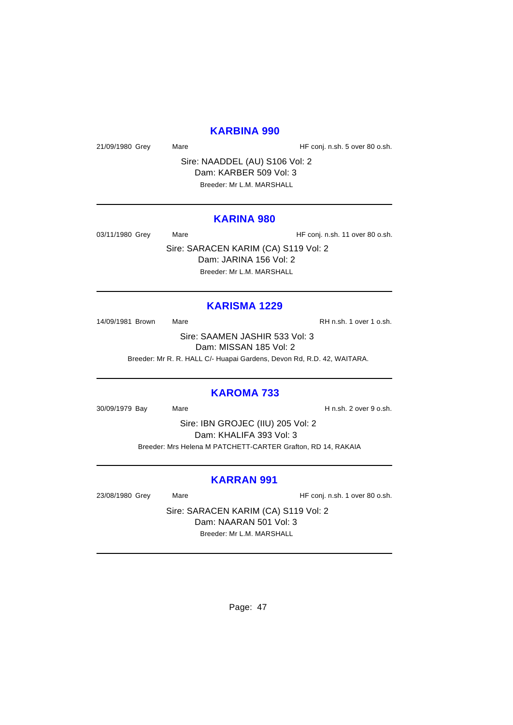#### **KARBINA 990**

21/09/1980 Grey Mare Mare HF conj. n.sh. 5 over 80 o.sh.

Sire: NAADDEL (AU) S106 Vol: 2 Dam: KARBER 509 Vol: 3 Breeder: Mr L.M. MARSHALL

#### **KARINA 980**

03/11/1980 Grey Mare Mare HF conj. n.sh. 11 over 80 o.sh.

Sire: SARACEN KARIM (CA) S119 Vol: 2 Dam: JARINA 156 Vol: 2 Breeder: Mr L.M. MARSHALL

# **KARISMA 1229**

14/09/1981 Brown Mare Mare RH n.sh. 1 over 1 o.sh.

Sire: SAAMEN JASHIR 533 Vol: 3

Dam: MISSAN 185 Vol: 2

Breeder: Mr R. R. HALL C/- Huapai Gardens, Devon Rd, R.D. 42, WAITARA.

#### **KAROMA 733**

30/09/1979 Bay Mare H n.sh. 2 over 9 o.sh.

Sire: IBN GROJEC (IIU) 205 Vol: 2 Dam: KHALIFA 393 Vol: 3 Breeder: Mrs Helena M PATCHETT-CARTER Grafton, RD 14, RAKAIA

#### **KARRAN 991**

23/08/1980 Grey Mare Mare HF conj. n.sh. 1 over 80 o.sh.

Sire: SARACEN KARIM (CA) S119 Vol: 2 Dam: NAARAN 501 Vol: 3 Breeder: Mr L.M. MARSHALL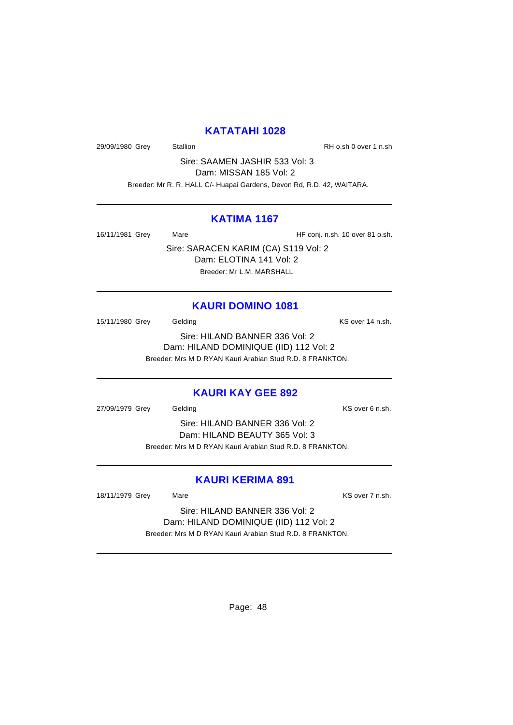#### **KATATAHI 1028**

29/09/1980 Grey Stallion Stallion State RH o.sh 0 over 1 n.sh

Sire: SAAMEN JASHIR 533 Vol: 3 Dam: MISSAN 185 Vol: 2

Breeder: Mr R. R. HALL C/- Huapai Gardens, Devon Rd, R.D. 42, WAITARA.

#### **KATIMA 1167**

16/11/1981 Grey Mare Mare HF conj. n.sh. 10 over 81 o.sh.

Sire: SARACEN KARIM (CA) S119 Vol: 2 Dam: ELOTINA 141 Vol: 2 Breeder: Mr L.M. MARSHALL

#### **KAURI DOMINO 1081**

15/11/1980 Grey Gelding Carrier Control of the KS over 14 n.sh. Sire: HILAND BANNER 336 Vol: 2

Dam: HILAND DOMINIQUE (IID) 112 Vol: 2

Breeder: Mrs M D RYAN Kauri Arabian Stud R.D. 8 FRANKTON.

#### **KAURI KAY GEE 892**

27/09/1979 Grey Gelding Contract Contract Contract Contract Contract Contract Contract Contract Contract Contract Contract Contract Contract Contract Contract Contract Contract Contract Contract Contract Contract Contract

Sire: HILAND BANNER 336 Vol: 2 Dam: HILAND BEAUTY 365 Vol: 3 Breeder: Mrs M D RYAN Kauri Arabian Stud R.D. 8 FRANKTON.

#### **KAURI KERIMA 891**

18/11/1979 Grey Mare Mare KS over 7 n.sh.

Sire: HILAND BANNER 336 Vol: 2 Dam: HILAND DOMINIQUE (IID) 112 Vol: 2 Breeder: Mrs M D RYAN Kauri Arabian Stud R.D. 8 FRANKTON.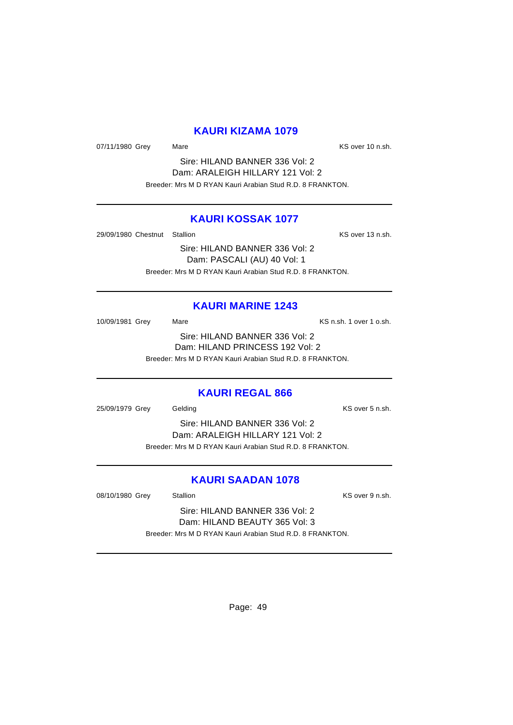#### **KAURI KIZAMA 1079**

07/11/1980 Grey Mare Mare KS over 10 n.sh.

Sire: HILAND BANNER 336 Vol: 2 Dam: ARALEIGH HILLARY 121 Vol: 2 Breeder: Mrs M D RYAN Kauri Arabian Stud R.D. 8 FRANKTON.

#### **KAURI KOSSAK 1077**

29/09/1980 Chestnut Stallion **KS** over 13 n.sh.

Sire: HILAND BANNER 336 Vol: 2 Dam: PASCALI (AU) 40 Vol: 1 Breeder: Mrs M D RYAN Kauri Arabian Stud R.D. 8 FRANKTON.

#### **KAURI MARINE 1243**

10/09/1981 Grey Mare Mare KS n.sh. 1 over 1 o.sh. Sire: HILAND BANNER 336 Vol: 2 Dam: HILAND PRINCESS 192 Vol: 2 Breeder: Mrs M D RYAN Kauri Arabian Stud R.D. 8 FRANKTON.

#### **KAURI REGAL 866**

25/09/1979 Grey Gelding Communication Communication Communication Communication Communication Communication Co

Sire: HILAND BANNER 336 Vol: 2 Dam: ARALEIGH HILLARY 121 Vol: 2 Breeder: Mrs M D RYAN Kauri Arabian Stud R.D. 8 FRANKTON.

#### **KAURI SAADAN 1078**

08/10/1980 Grey Stallion Stallion State State State State State State State State State State State State State

Sire: HILAND BANNER 336 Vol: 2 Dam: HILAND BEAUTY 365 Vol: 3 Breeder: Mrs M D RYAN Kauri Arabian Stud R.D. 8 FRANKTON.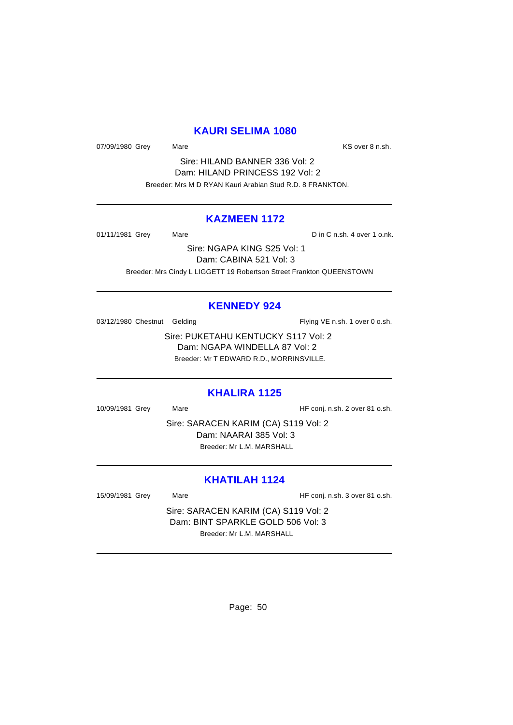#### **KAURI SELIMA 1080**

07/09/1980 Grey Mare Mare KS over 8 n.sh.

Sire: HILAND BANNER 336 Vol: 2 Dam: HILAND PRINCESS 192 Vol: 2 Breeder: Mrs M D RYAN Kauri Arabian Stud R.D. 8 FRANKTON.

#### **KAZMEEN 1172**

01/11/1981 Grey Mare Mare Din C n.sh. 4 over 1 o.nk.

Sire: NGAPA KING S25 Vol: 1 Dam: CABINA 521 Vol: 3 Breeder: Mrs Cindy L LIGGETT 19 Robertson Street Frankton QUEENSTOWN

#### **KENNEDY 924**

03/12/1980 Chestnut Gelding Flying VE n.sh. 1 over 0 o.sh.

Sire: PUKETAHU KENTUCKY S117 Vol: 2 Dam: NGAPA WINDELLA 87 Vol: 2 Breeder: Mr T EDWARD R.D., MORRINSVILLE.

#### **KHALIRA 1125**

10/09/1981 Grey Mare Mare HF conj. n.sh. 2 over 81 o.sh.

Sire: SARACEN KARIM (CA) S119 Vol: 2 Dam: NAARAI 385 Vol: 3 Breeder: Mr L.M. MARSHALL

# **KHATILAH 1124**

15/09/1981 Grey Mare Mare HF conj. n.sh. 3 over 81 o.sh.

Sire: SARACEN KARIM (CA) S119 Vol: 2 Dam: BINT SPARKLE GOLD 506 Vol: 3 Breeder: Mr L.M. MARSHALL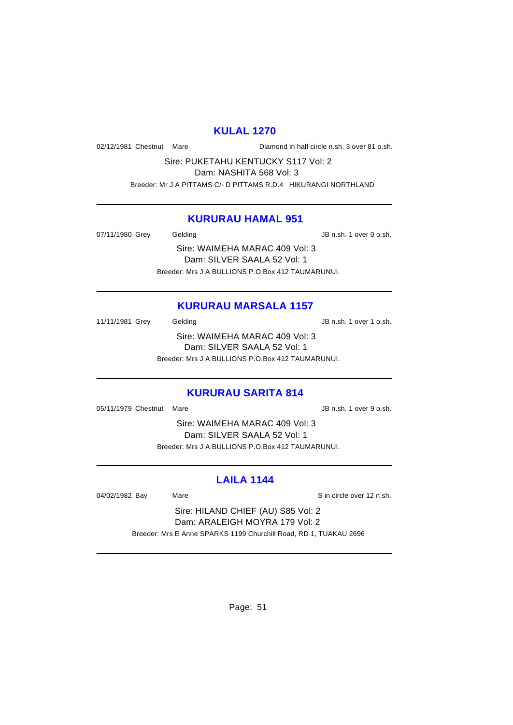#### **KULAL 1270**

02/12/1981 Chestnut Mare Diamond in half circle n.sh. 3 over 81 o.sh.

Sire: PUKETAHU KENTUCKY S117 Vol: 2 Dam: NASHITA 568 Vol: 3 Breeder: Mr J A PITTAMS C/- D PITTAMS R.D.4 HIKURANGI NORTHLAND

#### **KURURAU HAMAL 951**

07/11/1980 Grey Gelding Gelding JB n.sh. 1 over 0 o.sh.

Sire: WAIMEHA MARAC 409 Vol: 3 Dam: SILVER SAALA 52 Vol: 1 Breeder: Mrs J A BULLIONS P.O.Box 412 TAUMARUNUI.

## **KURURAU MARSALA 1157**

11/11/1981 Grey Gelding Gelding JB n.sh. 1 over 1 o.sh. Sire: WAIMEHA MARAC 409 Vol: 3 Dam: SILVER SAALA 52 Vol: 1 Breeder: Mrs J A BULLIONS P.O.Box 412 TAUMARUNUI.

# **KURURAU SARITA 814**

05/11/1979 Chestnut Mare **JB n.sh. 1 over 9 o.sh.** 

Sire: WAIMEHA MARAC 409 Vol: 3 Dam: SILVER SAALA 52 Vol: 1 Breeder: Mrs J A BULLIONS P.O.Box 412 TAUMARUNUI.

# **LAILA 1144**

04/02/1982 Bay Mare Sin circle over 12 n.sh.

Sire: HILAND CHIEF (AU) S85 Vol: 2 Dam: ARALEIGH MOYRA 179 Vol: 2 Breeder: Mrs E Anne SPARKS 1199 Churchill Road, RD 1, TUAKAU 2696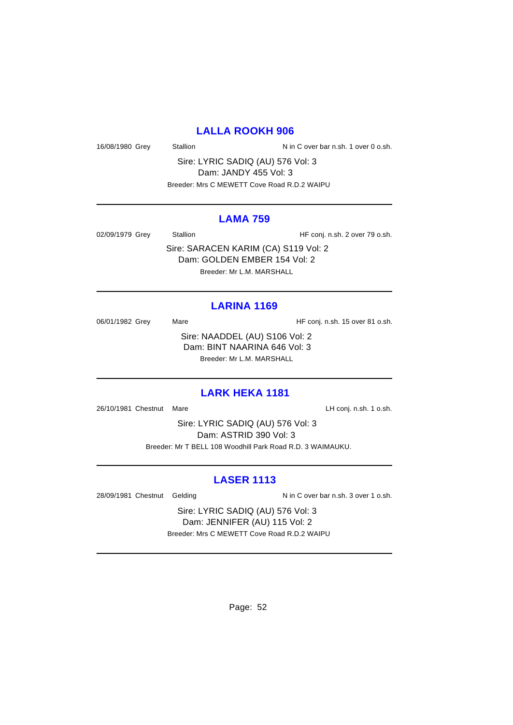## **LALLA ROOKH 906**

16/08/1980 Grey Stallion Stallion N in C over bar n.sh. 1 over 0 o.sh.

Sire: LYRIC SADIQ (AU) 576 Vol: 3 Dam: JANDY 455 Vol: 3 Breeder: Mrs C MEWETT Cove Road R.D.2 WAIPU

#### **LAMA 759**

02/09/1979 Grey Stallion Stallion HF conj. n.sh. 2 over 79 o.sh.

Sire: SARACEN KARIM (CA) S119 Vol: 2 Dam: GOLDEN EMBER 154 Vol: 2 Breeder: Mr L.M. MARSHALL

#### **LARINA 1169**

06/01/1982 Grey Mare Mare HF conj. n.sh. 15 over 81 o.sh. Sire: NAADDEL (AU) S106 Vol: 2 Dam: BINT NAARINA 646 Vol: 3 Breeder: Mr L.M. MARSHALL

#### **LARK HEKA 1181**

26/10/1981 Chestnut Mare **LH** conj. n.sh. 1 o.sh.

Sire: LYRIC SADIQ (AU) 576 Vol: 3 Dam: ASTRID 390 Vol: 3 Breeder: Mr T BELL 108 Woodhill Park Road R.D. 3 WAIMAUKU.

#### **LASER 1113**

28/09/1981 Chestnut Gelding N in C over bar n.sh. 3 over 1 o.sh.

Sire: LYRIC SADIQ (AU) 576 Vol: 3 Dam: JENNIFER (AU) 115 Vol: 2 Breeder: Mrs C MEWETT Cove Road R.D.2 WAIPU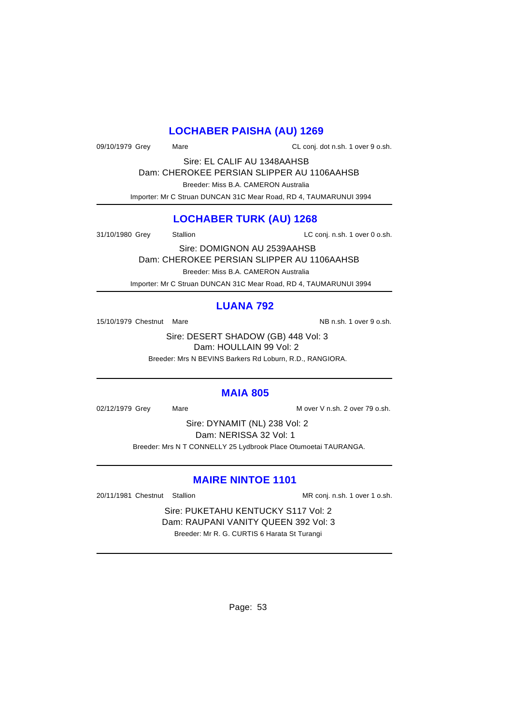# **LOCHABER PAISHA (AU) 1269**

09/10/1979 Grey Mare Mare CL conj. dot n.sh. 1 over 9 o.sh.

Sire: EL CALIF AU 1348AAHSB Dam: CHEROKEE PERSIAN SLIPPER AU 1106AAHSB

Breeder: Miss B.A. CAMERON Australia

Importer: Mr C Struan DUNCAN 31C Mear Road, RD 4, TAUMARUNUI 3994

# **LOCHABER TURK (AU) 1268**

31/10/1980 Grey Stallion Stallion Cuba LC conj. n.sh. 1 over 0 o.sh.

Sire: DOMIGNON AU 2539AAHSB Dam: CHEROKEE PERSIAN SLIPPER AU 1106AAHSB

Breeder: Miss B.A. CAMERON Australia

Importer: Mr C Struan DUNCAN 31C Mear Road, RD 4, TAUMARUNUI 3994

# **LUANA 792**

15/10/1979 Chestnut Mare NB n.sh. 1 over 9 o.sh.

Sire: DESERT SHADOW (GB) 448 Vol: 3 Dam: HOULLAIN 99 Vol: 2

Breeder: Mrs N BEVINS Barkers Rd Loburn, R.D., RANGIORA.

## **MAIA 805**

02/12/1979 Grey Mare Mare Mare Mover V n.sh. 2 over 79 o.sh.

Sire: DYNAMIT (NL) 238 Vol: 2 Dam: NERISSA 32 Vol: 1 Breeder: Mrs N T CONNELLY 25 Lydbrook Place Otumoetai TAURANGA.

# **MAIRE NINTOE 1101**

20/11/1981 Chestnut Stallion MR conj. n.sh. 1 over 1 o.sh.

Sire: PUKETAHU KENTUCKY S117 Vol: 2 Dam: RAUPANI VANITY QUEEN 392 Vol: 3 Breeder: Mr R. G. CURTIS 6 Harata St Turangi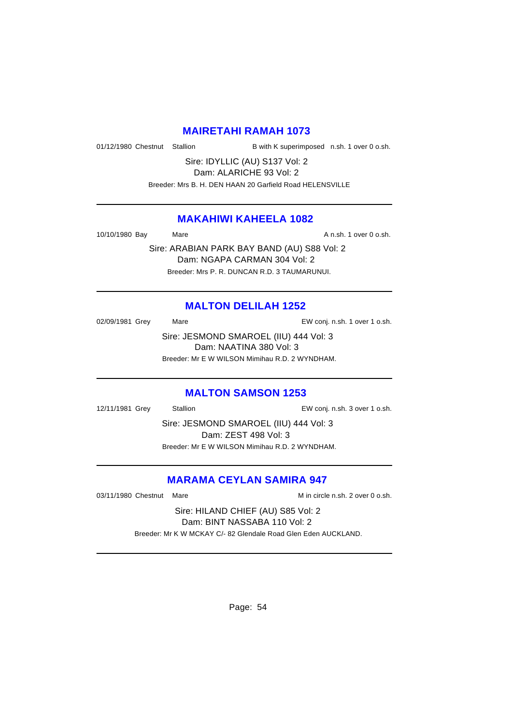#### **MAIRETAHI RAMAH 1073**

01/12/1980 Chestnut Stallion B with K superimposed n.sh. 1 over 0 o.sh.

Sire: IDYLLIC (AU) S137 Vol: 2 Dam: ALARICHE 93 Vol: 2

Breeder: Mrs B. H. DEN HAAN 20 Garfield Road HELENSVILLE

#### **MAKAHIWI KAHEELA 1082**

10/10/1980 Bay Mare Mare A n.sh. 1 over 0 o.sh.

Sire: ARABIAN PARK BAY BAND (AU) S88 Vol: 2 Dam: NGAPA CARMAN 304 Vol: 2 Breeder: Mrs P. R. DUNCAN R.D. 3 TAUMARUNUI.

## **MALTON DELILAH 1252**

02/09/1981 Grey Mare Mare EW conj. n.sh. 1 over 1 o.sh. Sire: JESMOND SMAROEL (IIU) 444 Vol: 3 Dam: NAATINA 380 Vol: 3 Breeder: Mr E W WILSON Mimihau R.D. 2 WYNDHAM.

#### **MALTON SAMSON 1253**

12/11/1981 Grey Stallion EW conj. n.sh. 3 over 1 o.sh.

Sire: JESMOND SMAROEL (IIU) 444 Vol: 3 Dam: ZEST 498 Vol: 3 Breeder: Mr E W WILSON Mimihau R.D. 2 WYNDHAM.

#### **MARAMA CEYLAN SAMIRA 947**

03/11/1980 Chestnut Mare M in circle n.sh. 2 over 0 o.sh.

Sire: HILAND CHIEF (AU) S85 Vol: 2 Dam: BINT NASSABA 110 Vol: 2

Breeder: Mr K W MCKAY C/- 82 Glendale Road Glen Eden AUCKLAND.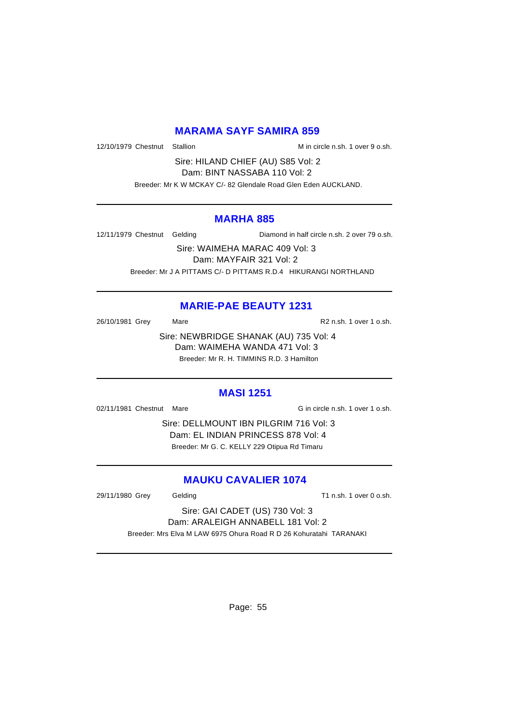#### **MARAMA SAYF SAMIRA 859**

12/10/1979 Chestnut Stallion Microsoft Min circle n.sh. 1 over 9 o.sh.

Sire: HILAND CHIEF (AU) S85 Vol: 2 Dam: BINT NASSABA 110 Vol: 2

Breeder: Mr K W MCKAY C/- 82 Glendale Road Glen Eden AUCKLAND.

#### **MARHA 885**

12/11/1979 Chestnut Gelding Diamond in half circle n.sh. 2 over 79 o.sh.

Sire: WAIMEHA MARAC 409 Vol: 3 Dam: MAYFAIR 321 Vol: 2 Breeder: Mr J A PITTAMS C/- D PITTAMS R.D.4 HIKURANGI NORTHLAND

# **MARIE-PAE BEAUTY 1231**

26/10/1981 Grey Mare Mare R2 n.sh. 1 over 1 o.sh.

Sire: NEWBRIDGE SHANAK (AU) 735 Vol: 4 Dam: WAIMEHA WANDA 471 Vol: 3 Breeder: Mr R. H. TIMMINS R.D. 3 Hamilton

#### **MASI 1251**

02/11/1981 Chestnut Mare Gincircle n.sh. 1 over 1 o.sh.

Sire: DELLMOUNT IBN PILGRIM 716 Vol: 3 Dam: EL INDIAN PRINCESS 878 Vol: 4 Breeder: Mr G. C. KELLY 229 Otipua Rd Timaru

## **MAUKU CAVALIER 1074**

29/11/1980 Grey Gelding Cash. T1 n.sh. 1 over 0 o.sh.

Sire: GAI CADET (US) 730 Vol: 3 Dam: ARALEIGH ANNABELL 181 Vol: 2 Breeder: Mrs Elva M LAW 6975 Ohura Road R D 26 Kohuratahi TARANAKI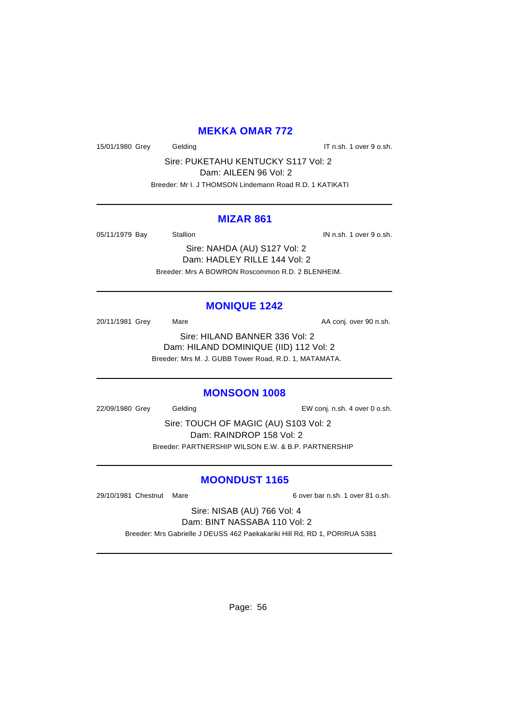# **MEKKA OMAR 772**

15/01/1980 Grey Gelding Gelding IT n.sh. 1 over 9 o.sh.

Sire: PUKETAHU KENTUCKY S117 Vol: 2 Dam: AILEEN 96 Vol: 2

Breeder: Mr I. J THOMSON Lindemann Road R.D. 1 KATIKATI

#### **MIZAR 861**

05/11/1979 Bay Stallion Stallion IN n.sh. 1 over 9 o.sh.

Sire: NAHDA (AU) S127 Vol: 2 Dam: HADLEY RILLE 144 Vol: 2 Breeder: Mrs A BOWRON Roscommon R.D. 2 BLENHEIM.

#### **MONIQUE 1242**

20/11/1981 Grey Mare Mare AA conj. over 90 n.sh.

Sire: HILAND BANNER 336 Vol: 2 Dam: HILAND DOMINIQUE (IID) 112 Vol: 2 Breeder: Mrs M. J. GUBB Tower Road, R.D. 1, MATAMATA.

#### **MONSOON 1008**

22/09/1980 Grey Gelding EW conj. n.sh. 4 over 0 o.sh.

Sire: TOUCH OF MAGIC (AU) S103 Vol: 2 Dam: RAINDROP 158 Vol: 2 Breeder: PARTNERSHIP WILSON E.W. & B.P. PARTNERSHIP

#### **MOONDUST 1165**

29/10/1981 Chestnut Mare 6 over bar n.sh. 1 over 81 o.sh.

Sire: NISAB (AU) 766 Vol: 4 Dam: BINT NASSABA 110 Vol: 2

Breeder: Mrs Gabrielle J DEUSS 462 Paekakariki Hill Rd, RD 1, PORIRUA 5381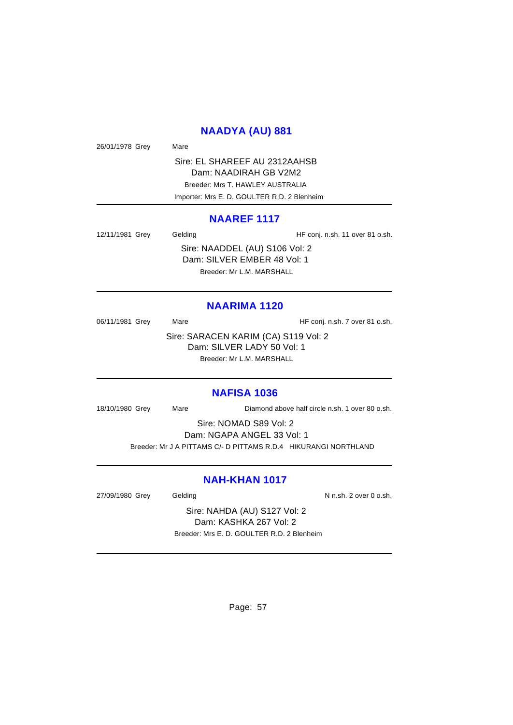#### **NAADYA (AU) 881**

26/01/1978 Grey Mare

Sire: EL SHAREEF AU 2312AAHSB Dam: NAADIRAH GB V2M2 Breeder: Mrs T. HAWLEY AUSTRALIA Importer: Mrs E. D. GOULTER R.D. 2 Blenheim

#### **NAAREF 1117**

12/11/1981 Grey Gelding Gelding HF conj. n.sh. 11 over 81 o.sh. Sire: NAADDEL (AU) S106 Vol: 2 Dam: SILVER EMBER 48 Vol: 1 Breeder: Mr L.M. MARSHALL

#### **NAARIMA 1120**

06/11/1981 Grey Mare Mare HF conj. n.sh. 7 over 81 o.sh. Sire: SARACEN KARIM (CA) S119 Vol: 2 Dam: SILVER LADY 50 Vol: 1 Breeder: Mr L.M. MARSHALL

#### **NAFISA 1036**

18/10/1980 Grey Mare Diamond above half circle n.sh. 1 over 80 o.sh.

Sire: NOMAD S89 Vol: 2

Dam: NGAPA ANGEL 33 Vol: 1

Breeder: Mr J A PITTAMS C/- D PITTAMS R.D.4 HIKURANGI NORTHLAND

# **NAH-KHAN 1017**

27/09/1980 Grey Gelding Gelding N n.sh. 2 over 0 o.sh.

Sire: NAHDA (AU) S127 Vol: 2 Dam: KASHKA 267 Vol: 2 Breeder: Mrs E. D. GOULTER R.D. 2 Blenheim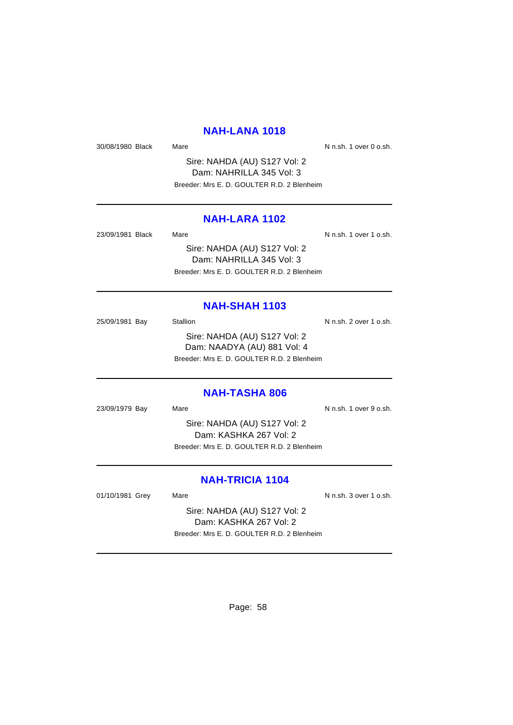#### **NAH-LANA 1018**

30/08/1980 Black Mare Mare N n.sh. 1 over 0 o.sh.

Sire: NAHDA (AU) S127 Vol: 2 Dam: NAHRILLA 345 Vol: 3 Breeder: Mrs E. D. GOULTER R.D. 2 Blenheim

#### **NAH-LARA 1102**

| 23/09/1981 Black | Mare                                       | N n.sh. 1 over 1 o.sh. |
|------------------|--------------------------------------------|------------------------|
|                  | Sire: NAHDA (AU) S127 Vol: 2               |                        |
|                  | Dam: NAHRILLA 345 Vol: 3                   |                        |
|                  | Breeder: Mrs E. D. GOULTER R.D. 2 Blenheim |                        |

#### **NAH-SHAH 1103**

25/09/1981 Bay Stallion Stallion State N n.sh. 2 over 1 o.sh. Sire: NAHDA (AU) S127 Vol: 2 Dam: NAADYA (AU) 881 Vol: 4 Breeder: Mrs E. D. GOULTER R.D. 2 Blenheim

**NAH-TASHA 806**

23/09/1979 Bay Mare Mare N n.sh. 1 over 9 o.sh. Sire: NAHDA (AU) S127 Vol: 2 Dam: KASHKA 267 Vol: 2 Breeder: Mrs E. D. GOULTER R.D. 2 Blenheim

# **NAH-TRICIA 1104**

01/10/1981 Grey Mare Mare N n.sh. 3 over 1 o.sh.

Sire: NAHDA (AU) S127 Vol: 2 Dam: KASHKA 267 Vol: 2 Breeder: Mrs E. D. GOULTER R.D. 2 Blenheim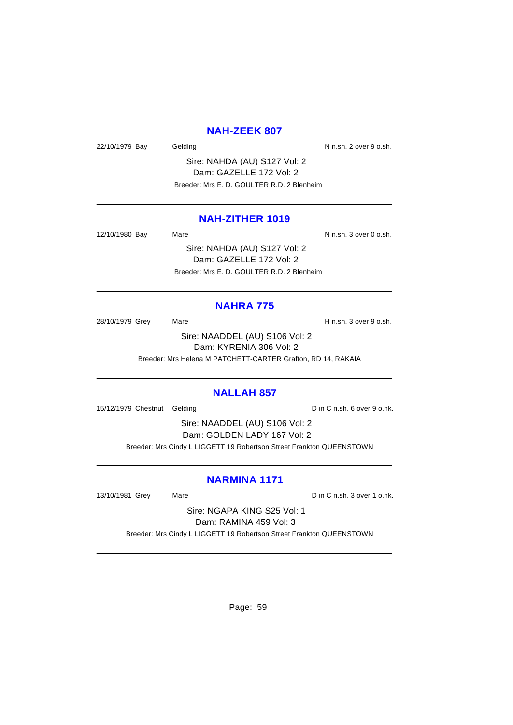#### **NAH-ZEEK 807**

22/10/1979 Bay Gelding Gelding Control of N n.sh. 2 over 9 o.sh.

Sire: NAHDA (AU) S127 Vol: 2 Dam: GAZELLE 172 Vol: 2 Breeder: Mrs E. D. GOULTER R.D. 2 Blenheim

#### **NAH-ZITHER 1019**

12/10/1980 Bay Mare National Music N n.sh. 3 over 0 o.sh.

Sire: NAHDA (AU) S127 Vol: 2 Dam: GAZELLE 172 Vol: 2 Breeder: Mrs E. D. GOULTER R.D. 2 Blenheim

#### **NAHRA 775**

28/10/1979 Grey Mare Mare H n.sh. 3 over 9 o.sh.

Sire: NAADDEL (AU) S106 Vol: 2 Dam: KYRENIA 306 Vol: 2 Breeder: Mrs Helena M PATCHETT-CARTER Grafton, RD 14, RAKAIA

#### **NALLAH 857**

15/12/1979 Chestnut Gelding D in C n.sh. 6 over 9 o.nk.

Sire: NAADDEL (AU) S106 Vol: 2 Dam: GOLDEN LADY 167 Vol: 2 Breeder: Mrs Cindy L LIGGETT 19 Robertson Street Frankton QUEENSTOWN

# **NARMINA 1171**

13/10/1981 Grey Mare Mare Din C n.sh. 3 over 1 o.nk.

Sire: NGAPA KING S25 Vol: 1 Dam: RAMINA 459 Vol: 3

Breeder: Mrs Cindy L LIGGETT 19 Robertson Street Frankton QUEENSTOWN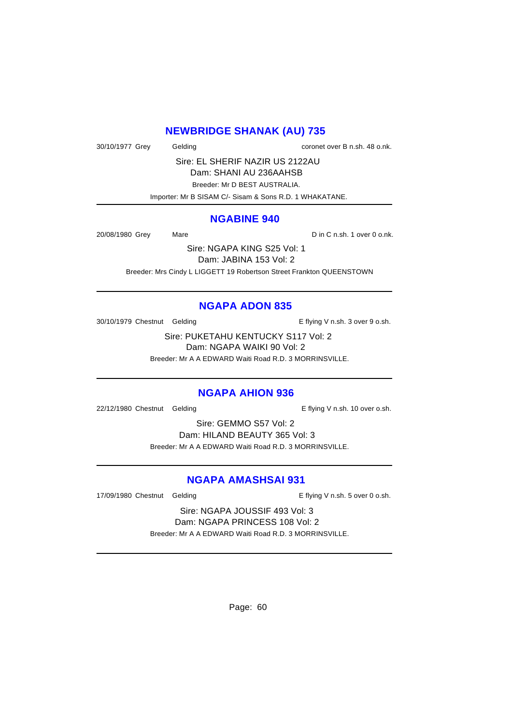# **NEWBRIDGE SHANAK (AU) 735**

30/10/1977 Grey Gelding coronet over B n.sh. 48 o.nk.

Sire: EL SHERIF NAZIR US 2122AU Dam: SHANI AU 236AAHSB Breeder: Mr D BEST AUSTRALIA. Importer: Mr B SISAM C/- Sisam & Sons R.D. 1 WHAKATANE.

#### **NGABINE 940**

20/08/1980 Grey Mare D in C n.sh. 1 over 0 o.nk.

Sire: NGAPA KING S25 Vol: 1 Dam: JABINA 153 Vol: 2 Breeder: Mrs Cindy L LIGGETT 19 Robertson Street Frankton QUEENSTOWN

## **NGAPA ADON 835**

30/10/1979 Chestnut Gelding The E flying V n.sh. 3 over 9 o.sh.

Sire: PUKETAHU KENTUCKY S117 Vol: 2 Dam: NGAPA WAIKI 90 Vol: 2 Breeder: Mr A A EDWARD Waiti Road R.D. 3 MORRINSVILLE.

#### **NGAPA AHION 936**

22/12/1980 Chestnut Gelding E flying V n.sh. 10 over o.sh.

Sire: GEMMO S57 Vol: 2 Dam: HILAND BEAUTY 365 Vol: 3 Breeder: Mr A A EDWARD Waiti Road R.D. 3 MORRINSVILLE.

## **NGAPA AMASHSAI 931**

17/09/1980 Chestnut Gelding The State of E flying V n.sh. 5 over 0 o.sh.

Sire: NGAPA JOUSSIF 493 Vol: 3 Dam: NGAPA PRINCESS 108 Vol: 2 Breeder: Mr A A EDWARD Waiti Road R.D. 3 MORRINSVILLE.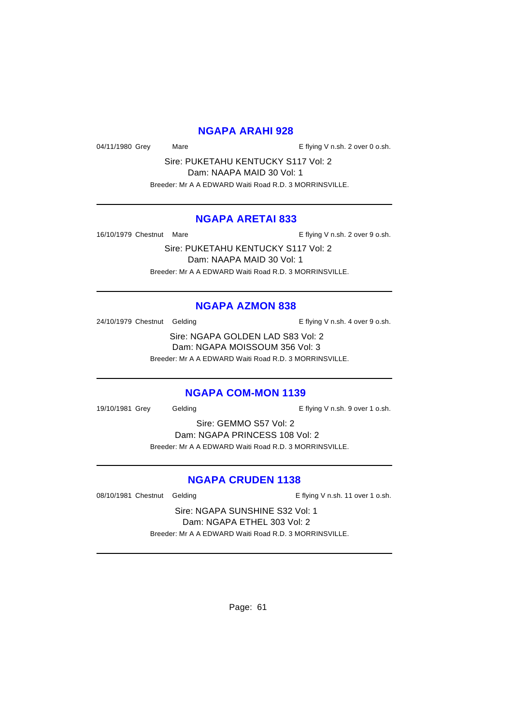#### **NGAPA ARAHI 928**

04/11/1980 Grey Mare Mare E flying V n.sh. 2 over 0 o.sh.

Sire: PUKETAHU KENTUCKY S117 Vol: 2 Dam: NAAPA MAID 30 Vol: 1 Breeder: Mr A A EDWARD Waiti Road R.D. 3 MORRINSVILLE.

#### **NGAPA ARETAI 833**

16/10/1979 Chestnut Mare **E** flying V n.sh. 2 over 9 o.sh.

Sire: PUKETAHU KENTUCKY S117 Vol: 2 Dam: NAAPA MAID 30 Vol: 1 Breeder: Mr A A EDWARD Waiti Road R.D. 3 MORRINSVILLE.

#### **NGAPA AZMON 838**

24/10/1979 Chestnut Gelding The State of E flying V n.sh. 4 over 9 o.sh.

Sire: NGAPA GOLDEN LAD S83 Vol: 2 Dam: NGAPA MOISSOUM 356 Vol: 3 Breeder: Mr A A EDWARD Waiti Road R.D. 3 MORRINSVILLE.

#### **NGAPA COM-MON 1139**

19/10/1981 Grey Gelding Cash E flying V n.sh. 9 over 1 o.sh.

Sire: GEMMO S57 Vol: 2 Dam: NGAPA PRINCESS 108 Vol: 2 Breeder: Mr A A EDWARD Waiti Road R.D. 3 MORRINSVILLE.

#### **NGAPA CRUDEN 1138**

08/10/1981 Chestnut Gelding extending E flying V n.sh. 11 over 1 o.sh.

Sire: NGAPA SUNSHINE S32 Vol: 1 Dam: NGAPA ETHEL 303 Vol: 2 Breeder: Mr A A EDWARD Waiti Road R.D. 3 MORRINSVILLE.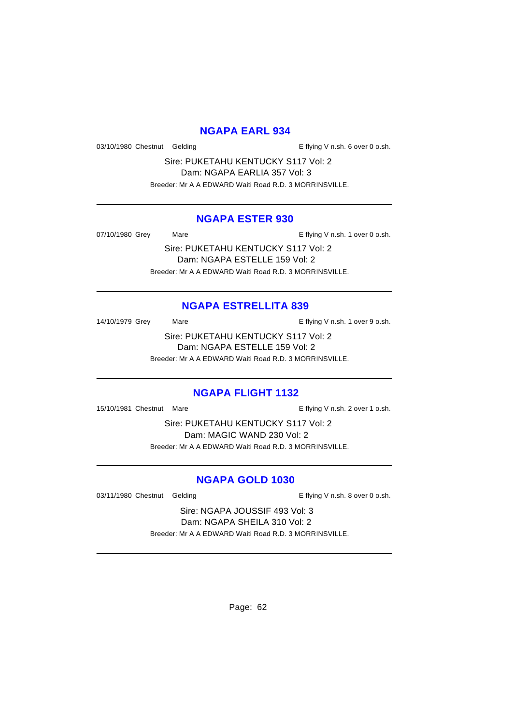#### **NGAPA EARL 934**

03/10/1980 Chestnut Gelding The State of E flying V n.sh. 6 over 0 o.sh.

Sire: PUKETAHU KENTUCKY S117 Vol: 2 Dam: NGAPA EARLIA 357 Vol: 3 Breeder: Mr A A EDWARD Waiti Road R.D. 3 MORRINSVILLE.

#### **NGAPA ESTER 930**

07/10/1980 Grey Mare Mare E flying V n.sh. 1 over 0 o.sh.

Sire: PUKETAHU KENTUCKY S117 Vol: 2 Dam: NGAPA ESTELLE 159 Vol: 2 Breeder: Mr A A EDWARD Waiti Road R.D. 3 MORRINSVILLE.

## **NGAPA ESTRELLITA 839**

14/10/1979 Grey Mare Mare E flying V n.sh. 1 over 9 o.sh.

Sire: PUKETAHU KENTUCKY S117 Vol: 2 Dam: NGAPA ESTELLE 159 Vol: 2 Breeder: Mr A A EDWARD Waiti Road R.D. 3 MORRINSVILLE.

#### **NGAPA FLIGHT 1132**

15/10/1981 Chestnut Mare **E** flying V n.sh. 2 over 1 o.sh.

Sire: PUKETAHU KENTUCKY S117 Vol: 2 Dam: MAGIC WAND 230 Vol: 2 Breeder: Mr A A EDWARD Waiti Road R.D. 3 MORRINSVILLE.

## **NGAPA GOLD 1030**

03/11/1980 Chestnut Gelding The State of E flying V n.sh. 8 over 0 o.sh.

Sire: NGAPA JOUSSIF 493 Vol: 3 Dam: NGAPA SHEILA 310 Vol: 2 Breeder: Mr A A EDWARD Waiti Road R.D. 3 MORRINSVILLE.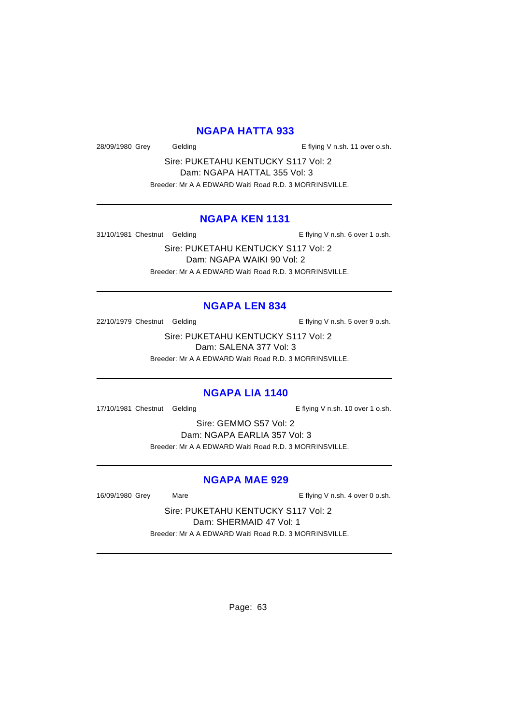#### **NGAPA HATTA 933**

28/09/1980 Grey Gelding Casset Controller E flying V n.sh. 11 over o.sh.

Sire: PUKETAHU KENTUCKY S117 Vol: 2 Dam: NGAPA HATTAL 355 Vol: 3 Breeder: Mr A A EDWARD Waiti Road R.D. 3 MORRINSVILLE.

#### **NGAPA KEN 1131**

31/10/1981 Chestnut Gelding The State of E flying V n.sh. 6 over 1 o.sh.

Sire: PUKETAHU KENTUCKY S117 Vol: 2 Dam: NGAPA WAIKI 90 Vol: 2 Breeder: Mr A A EDWARD Waiti Road R.D. 3 MORRINSVILLE.

#### **NGAPA LEN 834**

22/10/1979 Chestnut Gelding The Secret E flying V n.sh. 5 over 9 o.sh.

Sire: PUKETAHU KENTUCKY S117 Vol: 2 Dam: SALENA 377 Vol: 3 Breeder: Mr A A EDWARD Waiti Road R.D. 3 MORRINSVILLE.

#### **NGAPA LIA 1140**

17/10/1981 Chestnut Gelding extending E flying V n.sh. 10 over 1 o.sh.

Sire: GEMMO S57 Vol: 2 Dam: NGAPA EARLIA 357 Vol: 3 Breeder: Mr A A EDWARD Waiti Road R.D. 3 MORRINSVILLE.

#### **NGAPA MAE 929**

16/09/1980 Grey Mare Mare E flying V n.sh. 4 over 0 o.sh.

Sire: PUKETAHU KENTUCKY S117 Vol: 2 Dam: SHERMAID 47 Vol: 1 Breeder: Mr A A EDWARD Waiti Road R.D. 3 MORRINSVILLE.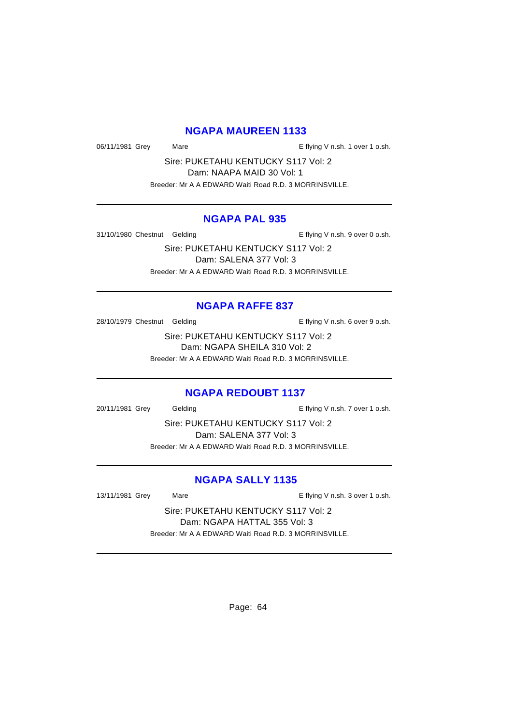# **NGAPA MAUREEN 1133**

06/11/1981 Grey Mare Mare E flying V n.sh. 1 over 1 o.sh.

Sire: PUKETAHU KENTUCKY S117 Vol: 2 Dam: NAAPA MAID 30 Vol: 1 Breeder: Mr A A EDWARD Waiti Road R.D. 3 MORRINSVILLE.

#### **NGAPA PAL 935**

31/10/1980 Chestnut Gelding The State of E flying V n.sh. 9 over 0 o.sh.

Sire: PUKETAHU KENTUCKY S117 Vol: 2 Dam: SALENA 377 Vol: 3 Breeder: Mr A A EDWARD Waiti Road R.D. 3 MORRINSVILLE.

#### **NGAPA RAFFE 837**

28/10/1979 Chestnut Gelding The State of E flying V n.sh. 6 over 9 o.sh.

Sire: PUKETAHU KENTUCKY S117 Vol: 2 Dam: NGAPA SHEILA 310 Vol: 2 Breeder: Mr A A EDWARD Waiti Road R.D. 3 MORRINSVILLE.

#### **NGAPA REDOUBT 1137**

20/11/1981 Grey Gelding E flying V n.sh. 7 over 1 o.sh.

Sire: PUKETAHU KENTUCKY S117 Vol: 2 Dam: SALENA 377 Vol: 3 Breeder: Mr A A EDWARD Waiti Road R.D. 3 MORRINSVILLE.

# **NGAPA SALLY 1135**

13/11/1981 Grey Mare Mare E flying V n.sh. 3 over 1 o.sh.

Sire: PUKETAHU KENTUCKY S117 Vol: 2 Dam: NGAPA HATTAL 355 Vol: 3 Breeder: Mr A A EDWARD Waiti Road R.D. 3 MORRINSVILLE.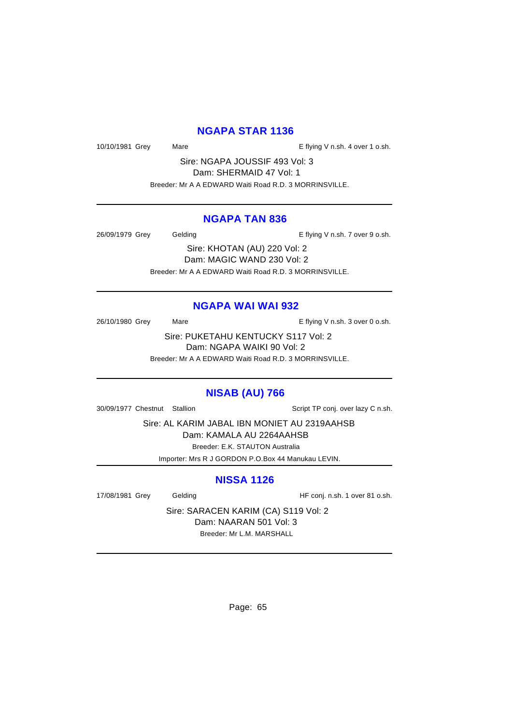# **NGAPA STAR 1136**

10/10/1981 Grey Mare Mare E flying V n.sh. 4 over 1 o.sh.

Sire: NGAPA JOUSSIF 493 Vol: 3 Dam: SHERMAID 47 Vol: 1 Breeder: Mr A A EDWARD Waiti Road R.D. 3 MORRINSVILLE.

#### **NGAPA TAN 836**

26/09/1979 Grey Gelding Casses Contact Telecomputer Contact Telecomputer Contact Telecomputer Contact Telecompu

Sire: KHOTAN (AU) 220 Vol: 2 Dam: MAGIC WAND 230 Vol: 2 Breeder: Mr A A EDWARD Waiti Road R.D. 3 MORRINSVILLE.

## **NGAPA WAI WAI 932**

26/10/1980 Grey Mare Mare E flying V n.sh. 3 over 0 o.sh.

Sire: PUKETAHU KENTUCKY S117 Vol: 2 Dam: NGAPA WAIKI 90 Vol: 2 Breeder: Mr A A EDWARD Waiti Road R.D. 3 MORRINSVILLE.

# **NISAB (AU) 766**

30/09/1977 Chestnut Stallion Script TP conj. over lazy C n.sh.

Sire: AL KARIM JABAL IBN MONIET AU 2319AAHSB

Dam: KAMALA AU 2264AAHSB

Breeder: E.K. STAUTON Australia

Importer: Mrs R J GORDON P.O.Box 44 Manukau LEVIN.

# **NISSA 1126**

17/08/1981 Grey Gelding Gelding HF conj. n.sh. 1 over 81 o.sh.

Sire: SARACEN KARIM (CA) S119 Vol: 2 Dam: NAARAN 501 Vol: 3 Breeder: Mr L.M. MARSHALL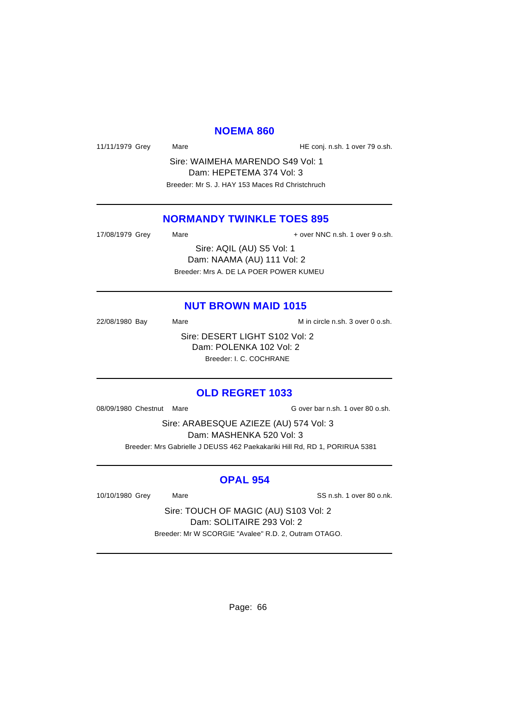#### **NOEMA 860**

11/11/1979 Grey Mare Mare HE conj. n.sh. 1 over 79 o.sh.

Sire: WAIMEHA MARENDO S49 Vol: 1 Dam: HEPETEMA 374 Vol: 3 Breeder: Mr S. J. HAY 153 Maces Rd Christchruch

#### **NORMANDY TWINKLE TOES 895**

| 17/08/1979 Grey | Mare | + over NNC n.sh. 1 over 9 o.sh.        |
|-----------------|------|----------------------------------------|
|                 |      | Sire: AQIL (AU) S5 Vol: 1              |
|                 |      | Dam: NAAMA (AU) 111 Vol: 2             |
|                 |      | Breeder: Mrs A. DE LA POER POWER KUMEU |

#### **NUT BROWN MAID 1015**

22/08/1980 Bay Mare Mare M in circle n.sh. 3 over 0 o.sh. Sire: DESERT LIGHT S102 Vol: 2 Dam: POLENKA 102 Vol: 2 Breeder: I. C. COCHRANE

#### **OLD REGRET 1033**

08/09/1980 Chestnut Mare G over bar n.sh. 1 over 80 o.sh.

Sire: ARABESQUE AZIEZE (AU) 574 Vol: 3 Dam: MASHENKA 520 Vol: 3 Breeder: Mrs Gabrielle J DEUSS 462 Paekakariki Hill Rd, RD 1, PORIRUA 5381

#### **OPAL 954**

10/10/1980 Grey Mare SS n.sh. 1 over 80 o.nk.

Sire: TOUCH OF MAGIC (AU) S103 Vol: 2 Dam: SOLITAIRE 293 Vol: 2 Breeder: Mr W SCORGIE "Avalee" R.D. 2, Outram OTAGO.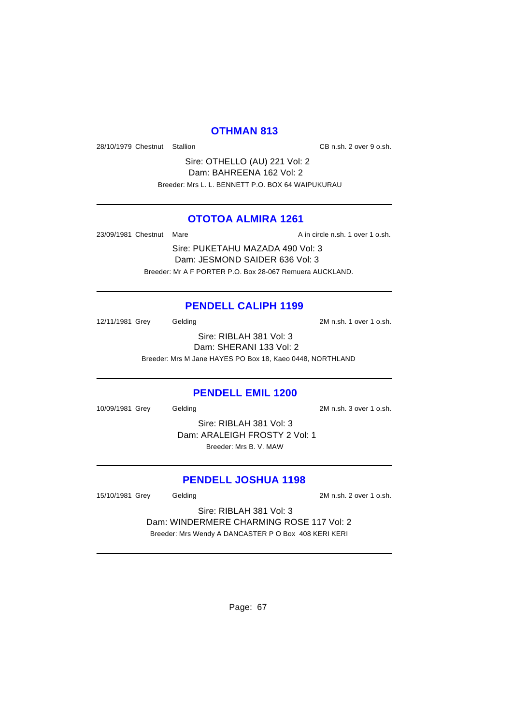#### **OTHMAN 813**

28/10/1979 Chestnut Stallion CB n.sh. 2 over 9 o.sh.

Sire: OTHELLO (AU) 221 Vol: 2 Dam: BAHREENA 162 Vol: 2 Breeder: Mrs L. L. BENNETT P.O. BOX 64 WAIPUKURAU

## **OTOTOA ALMIRA 1261**

23/09/1981 Chestnut Mare **A** in circle n.sh. 1 over 1 o.sh.

Sire: PUKETAHU MAZADA 490 Vol: 3 Dam: JESMOND SAIDER 636 Vol: 3 Breeder: Mr A F PORTER P.O. Box 28-067 Remuera AUCKLAND.

#### **PENDELL CALIPH 1199**

12/11/1981 Grey Gelding 2M n.sh. 1 over 1 o.sh.

Sire: RIBLAH 381 Vol: 3 Dam: SHERANI 133 Vol: 2 Breeder: Mrs M Jane HAYES PO Box 18, Kaeo 0448, NORTHLAND

#### **PENDELL EMIL 1200**

10/09/1981 Grey Gelding 2M n.sh. 3 over 1 o.sh.

Sire: RIBLAH 381 Vol: 3 Dam: ARALEIGH FROSTY 2 Vol: 1 Breeder: Mrs B. V. MAW

#### **PENDELL JOSHUA 1198**

15/10/1981 Grey Gelding 2M n.sh. 2 over 1 o.sh.

Sire: RIBLAH 381 Vol: 3 Dam: WINDERMERE CHARMING ROSE 117 Vol: 2 Breeder: Mrs Wendy A DANCASTER P O Box 408 KERI KERI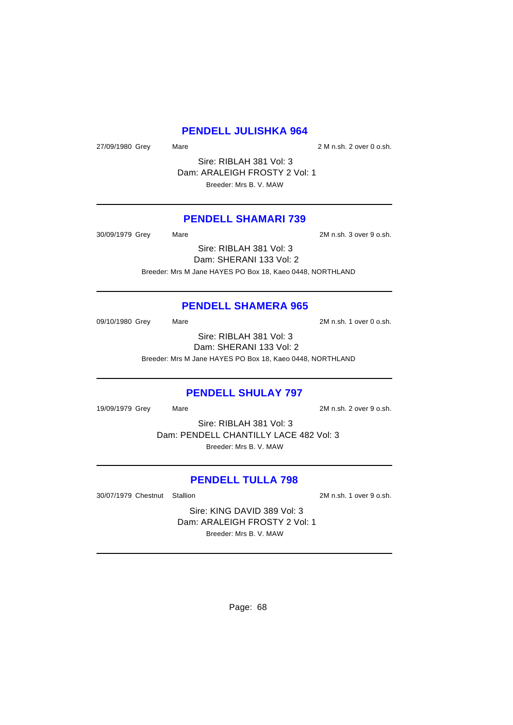### **PENDELL JULISHKA 964**

27/09/1980 Grey Mare Mare 27/09/1980 Grey Mare

Sire: RIBLAH 381 Vol: 3 Dam: ARALEIGH FROSTY 2 Vol: 1 Breeder: Mrs B. V. MAW

#### **PENDELL SHAMARI 739**

30/09/1979 Grey Mare 2M n.sh. 3 over 9 o.sh.

Sire: RIBLAH 381 Vol: 3 Dam: SHERANI 133 Vol: 2 Breeder: Mrs M Jane HAYES PO Box 18, Kaeo 0448, NORTHLAND

# **PENDELL SHAMERA 965**

09/10/1980 Grey Mare 2M n.sh. 1 over 0 o.sh.

Sire: RIBLAH 381 Vol: 3 Dam: SHERANI 133 Vol: 2 Breeder: Mrs M Jane HAYES PO Box 18, Kaeo 0448, NORTHLAND

#### **PENDELL SHULAY 797**

19/09/1979 Grey Mare 2M n.sh. 2 over 9 o.sh.

Sire: RIBLAH 381 Vol: 3 Dam: PENDELL CHANTILLY LACE 482 Vol: 3 Breeder: Mrs B. V. MAW

#### **PENDELL TULLA 798**

30/07/1979 Chestnut Stallion 2M n.sh. 1 over 9 o.sh.

Sire: KING DAVID 389 Vol: 3 Dam: ARALEIGH FROSTY 2 Vol: 1 Breeder: Mrs B. V. MAW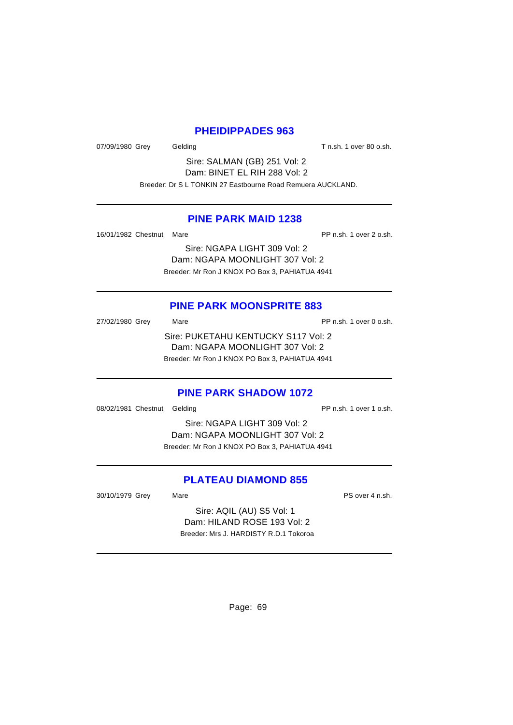#### **PHEIDIPPADES 963**

07/09/1980 Grey Gelding Gelding T n.sh. 1 over 80 o.sh.

Sire: SALMAN (GB) 251 Vol: 2 Dam: BINET EL RIH 288 Vol: 2 Breeder: Dr S L TONKIN 27 Eastbourne Road Remuera AUCKLAND.

#### **PINE PARK MAID 1238**

16/01/1982 Chestnut Mare **PP n.sh. 1 over 2 o.sh.** 

Sire: NGAPA LIGHT 309 Vol: 2 Dam: NGAPA MOONLIGHT 307 Vol: 2 Breeder: Mr Ron J KNOX PO Box 3, PAHIATUA 4941

# **PINE PARK MOONSPRITE 883**

27/02/1980 Grey Mare Mare PP n.sh. 1 over 0 o.sh. Sire: PUKETAHU KENTUCKY S117 Vol: 2 Dam: NGAPA MOONLIGHT 307 Vol: 2 Breeder: Mr Ron J KNOX PO Box 3, PAHIATUA 4941

#### **PINE PARK SHADOW 1072**

08/02/1981 Chestnut Gelding PP n.sh. 1 over 1 o.sh.

Sire: NGAPA LIGHT 309 Vol: 2 Dam: NGAPA MOONLIGHT 307 Vol: 2 Breeder: Mr Ron J KNOX PO Box 3, PAHIATUA 4941

## **PLATEAU DIAMOND 855**

30/10/1979 Grey Mare Mare PS over 4 n.sh.

Sire: AQIL (AU) S5 Vol: 1 Dam: HILAND ROSE 193 Vol: 2 Breeder: Mrs J. HARDISTY R.D.1 Tokoroa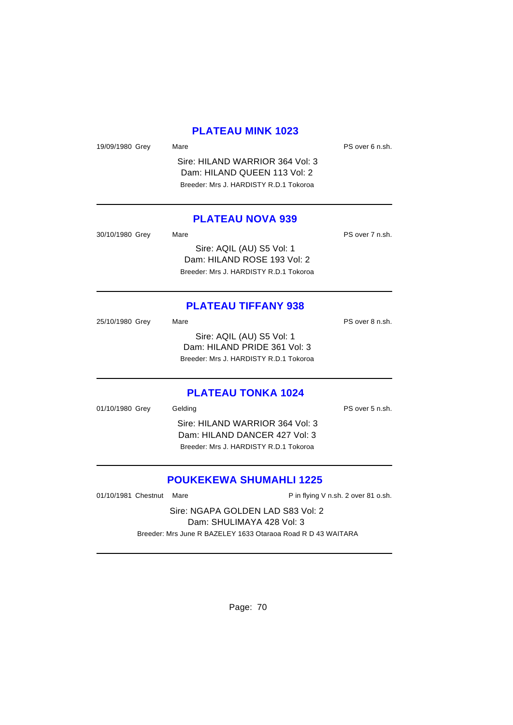#### **PLATEAU MINK 1023**

19/09/1980 Grey Mare Mare PS over 6 n.sh. Sire: HILAND WARRIOR 364 Vol: 3 Dam: HILAND QUEEN 113 Vol: 2 Breeder: Mrs J. HARDISTY R.D.1 Tokoroa **PLATEAU NOVA 939** 30/10/1980 Grey Mare Mare PS over 7 n.sh. Sire: AQIL (AU) S5 Vol: 1 Dam: HILAND ROSE 193 Vol: 2 Breeder: Mrs J. HARDISTY R.D.1 Tokoroa **PLATEAU TIFFANY 938** 25/10/1980 Grey Mare Mare PS over 8 n.sh. Sire: AQIL (AU) S5 Vol: 1 Dam: HILAND PRIDE 361 Vol: 3 Breeder: Mrs J. HARDISTY R.D.1 Tokoroa **PLATEAU TONKA 1024**

01/10/1980 Grey Gelding Communication of the PS over 5 n.sh. Sire: HILAND WARRIOR 364 Vol: 3 Dam: HILAND DANCER 427 Vol: 3 Breeder: Mrs J. HARDISTY R.D.1 Tokoroa

# **POUKEKEWA SHUMAHLI 1225**

01/10/1981 Chestnut Mare **P** in flying V n.sh. 2 over 81 o.sh. Sire: NGAPA GOLDEN LAD S83 Vol: 2 Dam: SHULIMAYA 428 Vol: 3 Breeder: Mrs June R BAZELEY 1633 Otaraoa Road R D 43 WAITARA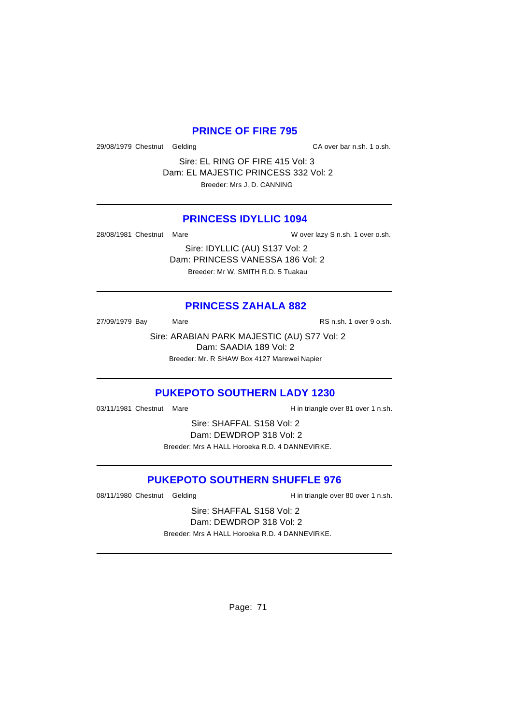#### **PRINCE OF FIRE 795**

29/08/1979 Chestnut Gelding CA over bar n.sh. 1 o.sh.

Sire: EL RING OF FIRE 415 Vol: 3 Dam: EL MAJESTIC PRINCESS 332 Vol: 2 Breeder: Mrs J. D. CANNING

#### **PRINCESS IDYLLIC 1094**

28/08/1981 Chestnut Mare W Cover lazy S n.sh. 1 over o.sh.

Sire: IDYLLIC (AU) S137 Vol: 2 Dam: PRINCESS VANESSA 186 Vol: 2 Breeder: Mr W. SMITH R.D. 5 Tuakau

# **PRINCESS ZAHALA 882**

27/09/1979 Bay Mare Mare RS n.sh. 1 over 9 o.sh.

Sire: ARABIAN PARK MAJESTIC (AU) S77 Vol: 2 Dam: SAADIA 189 Vol: 2 Breeder: Mr. R SHAW Box 4127 Marewei Napier

# **PUKEPOTO SOUTHERN LADY 1230**

03/11/1981 Chestnut Mare **H** in triangle over 81 over 1 n.sh.

Sire: SHAFFAL S158 Vol: 2 Dam: DEWDROP 318 Vol: 2 Breeder: Mrs A HALL Horoeka R.D. 4 DANNEVIRKE.

## **PUKEPOTO SOUTHERN SHUFFLE 976**

08/11/1980 Chestnut Gelding H in triangle over 80 over 1 n.sh.

Sire: SHAFFAL S158 Vol: 2 Dam: DEWDROP 318 Vol: 2 Breeder: Mrs A HALL Horoeka R.D. 4 DANNEVIRKE.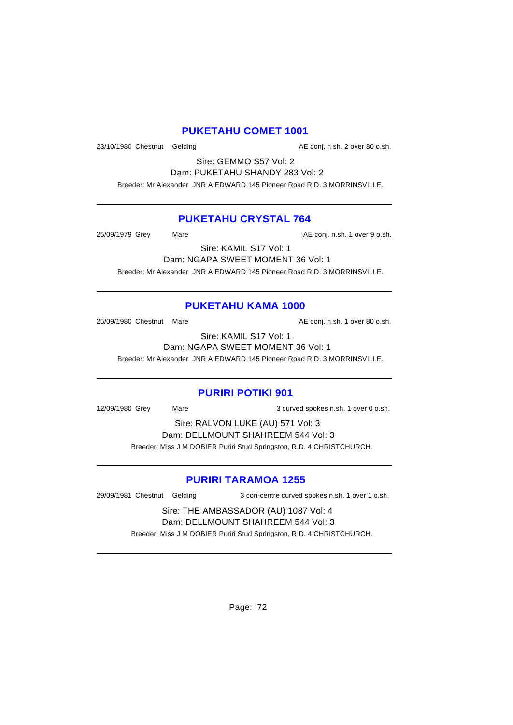#### **PUKETAHU COMET 1001**

23/10/1980 Chestnut Gelding and according the Conj. n.sh. 2 over 80 o.sh.

Sire: GEMMO S57 Vol: 2 Dam: PUKETAHU SHANDY 283 Vol: 2

Breeder: Mr Alexander JNR A EDWARD 145 Pioneer Road R.D. 3 MORRINSVILLE.

#### **PUKETAHU CRYSTAL 764**

25/09/1979 Grey Mare Mare AE conj. n.sh. 1 over 9 o.sh.

Sire: KAMIL S17 Vol: 1

Dam: NGAPA SWEET MOMENT 36 Vol: 1 Breeder: Mr Alexander JNR A EDWARD 145 Pioneer Road R.D. 3 MORRINSVILLE.

# **PUKETAHU KAMA 1000**

25/09/1980 Chestnut Mare **AE conj. n.sh. 1 over 80 o.sh.** 

Sire: KAMIL S17 Vol: 1 Dam: NGAPA SWEET MOMENT 36 Vol: 1

Breeder: Mr Alexander JNR A EDWARD 145 Pioneer Road R.D. 3 MORRINSVILLE.

# **PURIRI POTIKI 901**

12/09/1980 Grey Mare 3 curved spokes n.sh. 1 over 0 o.sh.

Sire: RALVON LUKE (AU) 571 Vol: 3 Dam: DELLMOUNT SHAHREEM 544 Vol: 3 Breeder: Miss J M DOBIER Puriri Stud Springston, R.D. 4 CHRISTCHURCH.

# **PURIRI TARAMOA 1255**

29/09/1981 Chestnut Gelding 3 con-centre curved spokes n.sh. 1 over 1 o.sh.

Sire: THE AMBASSADOR (AU) 1087 Vol: 4 Dam: DELLMOUNT SHAHREEM 544 Vol: 3 Breeder: Miss J M DOBIER Puriri Stud Springston, R.D. 4 CHRISTCHURCH.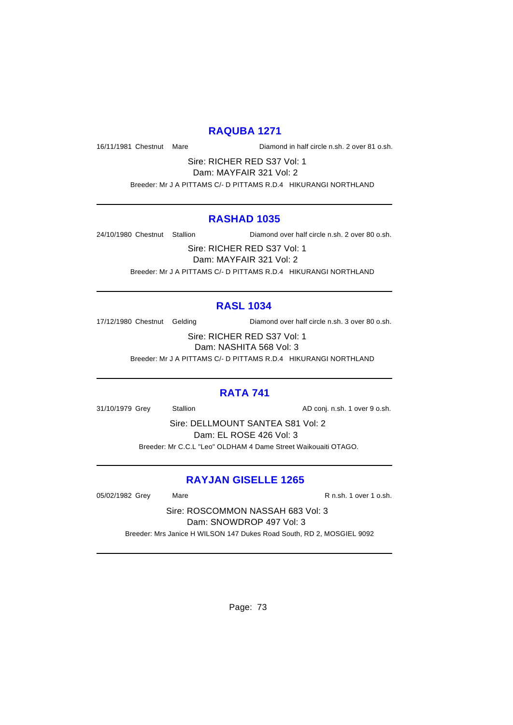### **RAQUBA 1271**

16/11/1981 Chestnut Mare Diamond in half circle n.sh. 2 over 81 o.sh.

Sire: RICHER RED S37 Vol: 1 Dam: MAYFAIR 321 Vol: 2

Breeder: Mr J A PITTAMS C/- D PITTAMS R.D.4 HIKURANGI NORTHLAND

### **RASHAD 1035**

24/10/1980 Chestnut Stallion Diamond over half circle n.sh. 2 over 80 o.sh.

Sire: RICHER RED S37 Vol: 1 Dam: MAYFAIR 321 Vol: 2 Breeder: Mr J A PITTAMS C/- D PITTAMS R.D.4 HIKURANGI NORTHLAND

## **RASL 1034**

17/12/1980 Chestnut Gelding Diamond over half circle n.sh. 3 over 80 o.sh.

Sire: RICHER RED S37 Vol: 1 Dam: NASHITA 568 Vol: 3

Breeder: Mr J A PITTAMS C/- D PITTAMS R.D.4 HIKURANGI NORTHLAND

## **RATA 741**

31/10/1979 Grey Stallion Stallion AD conj. n.sh. 1 over 9 o.sh.

Sire: DELLMOUNT SANTEA S81 Vol: 2 Dam: EL ROSE 426 Vol: 3 Breeder: Mr C.C.L "Leo" OLDHAM 4 Dame Street Waikouaiti OTAGO.

## **RAYJAN GISELLE 1265**

05/02/1982 Grey Mare Mare R n.sh. 1 over 1 o.sh.

Sire: ROSCOMMON NASSAH 683 Vol: 3 Dam: SNOWDROP 497 Vol: 3

Breeder: Mrs Janice H WILSON 147 Dukes Road South, RD 2, MOSGIEL 9092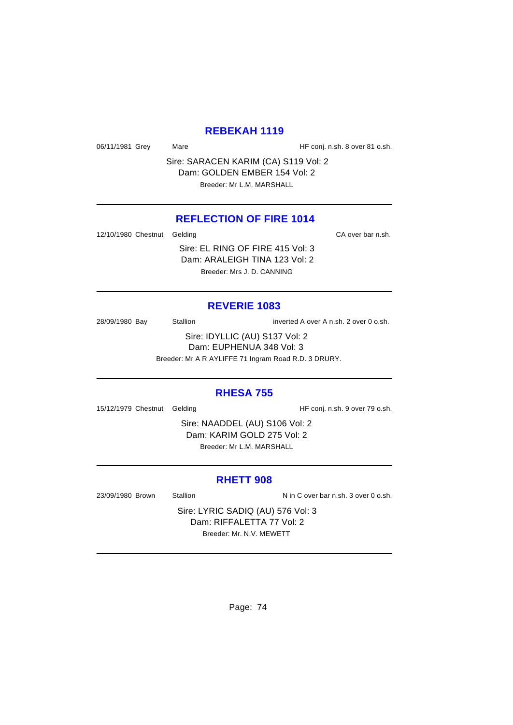### **REBEKAH 1119**

06/11/1981 Grey Mare Mare HF conj. n.sh. 8 over 81 o.sh.

Sire: SARACEN KARIM (CA) S119 Vol: 2 Dam: GOLDEN EMBER 154 Vol: 2 Breeder: Mr L.M. MARSHALL

## **REFLECTION OF FIRE 1014**

12/10/1980 Chestnut Gelding CA over bar n.sh.

Sire: EL RING OF FIRE 415 Vol: 3 Dam: ARALEIGH TINA 123 Vol: 2 Breeder: Mrs J. D. CANNING

## **REVERIE 1083**

28/09/1980 Bay Stallion inverted A over A n.sh. 2 over 0 o.sh.

Sire: IDYLLIC (AU) S137 Vol: 2 Dam: EUPHENUA 348 Vol: 3

Breeder: Mr A R AYLIFFE 71 Ingram Road R.D. 3 DRURY.

### **RHESA 755**

15/12/1979 Chestnut Gelding The State of HF conj. n.sh. 9 over 79 o.sh.

Sire: NAADDEL (AU) S106 Vol: 2 Dam: KARIM GOLD 275 Vol: 2 Breeder: Mr L.M. MARSHALL

#### **RHETT 908**

23/09/1980 Brown Stallion Nin C over bar n.sh. 3 over 0 o.sh.

Sire: LYRIC SADIQ (AU) 576 Vol: 3 Dam: RIFFALETTA 77 Vol: 2 Breeder: Mr. N.V. MEWETT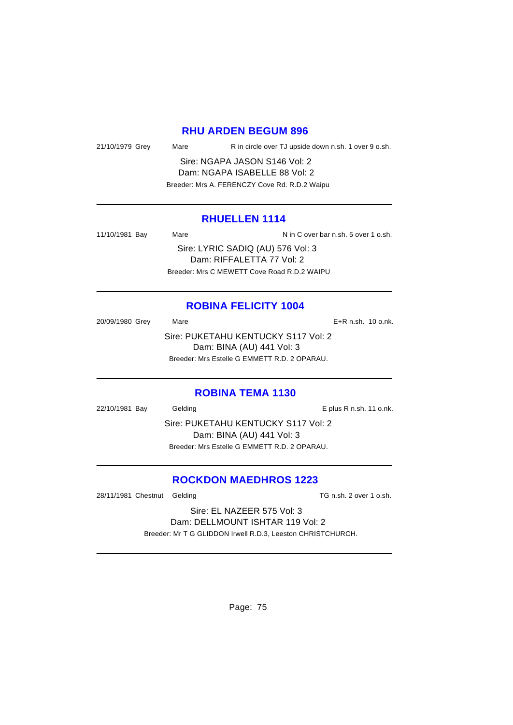### **RHU ARDEN BEGUM 896**

21/10/1979 Grey Mare R in circle over TJ upside down n.sh. 1 over 9 o.sh.

Sire: NGAPA JASON S146 Vol: 2 Dam: NGAPA ISABELLE 88 Vol: 2 Breeder: Mrs A. FERENCZY Cove Rd. R.D.2 Waipu

### **RHUELLEN 1114**

11/10/1981 Bay Mare Nation N in C over bar n.sh. 5 over 1 o.sh. Sire: LYRIC SADIQ (AU) 576 Vol: 3 Dam: RIFFALETTA 77 Vol: 2 Breeder: Mrs C MEWETT Cove Road R.D.2 WAIPU

## **ROBINA FELICITY 1004**

20/09/1980 Grey Mare E+R n.sh. 10 o.nk. Sire: PUKETAHU KENTUCKY S117 Vol: 2 Dam: BINA (AU) 441 Vol: 3 Breeder: Mrs Estelle G EMMETT R.D. 2 OPARAU.

#### **ROBINA TEMA 1130**

22/10/1981 Bay Gelding Casset Contract Contract Contract Contract Contract Contract Contract Contract Contract Contract Contract Contract Contract Contract Contract Contract Contract Contract Contract Contract Contract Con Sire: PUKETAHU KENTUCKY S117 Vol: 2 Dam: BINA (AU) 441 Vol: 3 Breeder: Mrs Estelle G EMMETT R.D. 2 OPARAU.

## **ROCKDON MAEDHROS 1223**

28/11/1981 Chestnut Gelding TG n.sh. 2 over 1 o.sh.

Sire: EL NAZEER 575 Vol: 3 Dam: DELLMOUNT ISHTAR 119 Vol: 2 Breeder: Mr T G GLIDDON Irwell R.D.3, Leeston CHRISTCHURCH.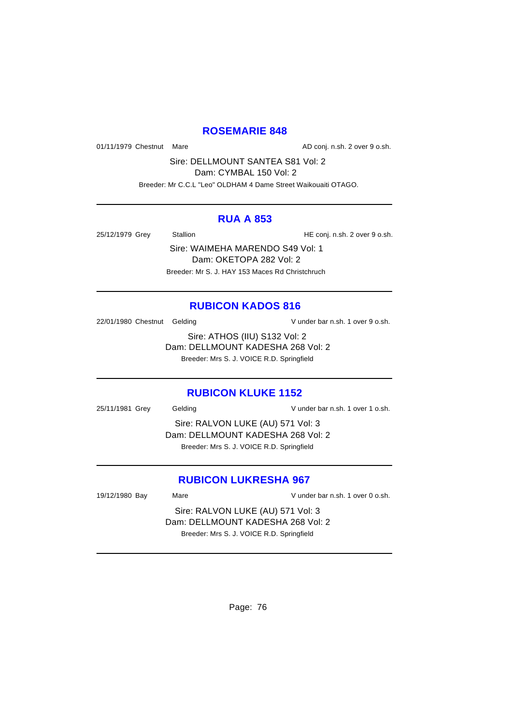## **ROSEMARIE 848**

01/11/1979 Chestnut Mare **AD** conj. n.sh. 2 over 9 o.sh.

Sire: DELLMOUNT SANTEA S81 Vol: 2

Dam: CYMBAL 150 Vol: 2

Breeder: Mr C.C.L "Leo" OLDHAM 4 Dame Street Waikouaiti OTAGO.

### **RUA A 853**

25/12/1979 Grey Stallion Stallion HE conj. n.sh. 2 over 9 o.sh.

Sire: WAIMEHA MARENDO S49 Vol: 1 Dam: OKETOPA 282 Vol: 2 Breeder: Mr S. J. HAY 153 Maces Rd Christchruch

## **RUBICON KADOS 816**

22/01/1980 Chestnut Gelding V under bar n.sh. 1 over 9 o.sh.

Sire: ATHOS (IIU) S132 Vol: 2 Dam: DELLMOUNT KADESHA 268 Vol: 2 Breeder: Mrs S. J. VOICE R.D. Springfield

### **RUBICON KLUKE 1152**

25/11/1981 Grey Gelding V under bar n.sh. 1 over 1 o.sh.

Sire: RALVON LUKE (AU) 571 Vol: 3 Dam: DELLMOUNT KADESHA 268 Vol: 2 Breeder: Mrs S. J. VOICE R.D. Springfield

## **RUBICON LUKRESHA 967**

19/12/1980 Bay Mare Mare V under bar n.sh. 1 over 0 o.sh.

Sire: RALVON LUKE (AU) 571 Vol: 3 Dam: DELLMOUNT KADESHA 268 Vol: 2 Breeder: Mrs S. J. VOICE R.D. Springfield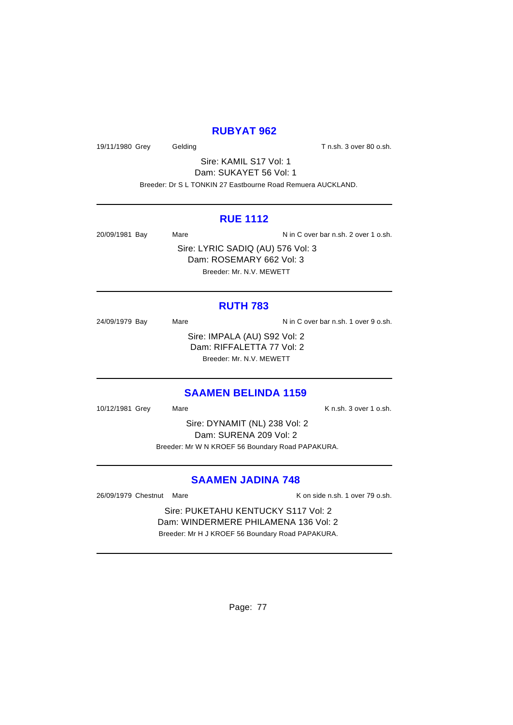## **RUBYAT 962**

19/11/1980 Grey Gelding Gelding T n.sh. 3 over 80 o.sh.

Sire: KAMIL S17 Vol: 1 Dam: SUKAYET 56 Vol: 1

Breeder: Dr S L TONKIN 27 Eastbourne Road Remuera AUCKLAND.

### **RUE 1112**

20/09/1981 Bay Mare Mare N in C over bar n.sh. 2 over 1 o.sh.

Sire: LYRIC SADIQ (AU) 576 Vol: 3 Dam: ROSEMARY 662 Vol: 3 Breeder: Mr. N.V. MEWETT

## **RUTH 783**

24/09/1979 Bay Mare Mare N in C over bar n.sh. 1 over 9 o.sh. Sire: IMPALA (AU) S92 Vol: 2 Dam: RIFFALETTA 77 Vol: 2 Breeder: Mr. N.V. MEWETT

### **SAAMEN BELINDA 1159**

10/12/1981 Grey Mare K n.sh. 3 over 1 o.sh.

Sire: DYNAMIT (NL) 238 Vol: 2 Dam: SURENA 209 Vol: 2 Breeder: Mr W N KROEF 56 Boundary Road PAPAKURA.

## **SAAMEN JADINA 748**

26/09/1979 Chestnut Mare **K** on side n.sh. 1 over 79 o.sh.

Sire: PUKETAHU KENTUCKY S117 Vol: 2 Dam: WINDERMERE PHILAMENA 136 Vol: 2 Breeder: Mr H J KROEF 56 Boundary Road PAPAKURA.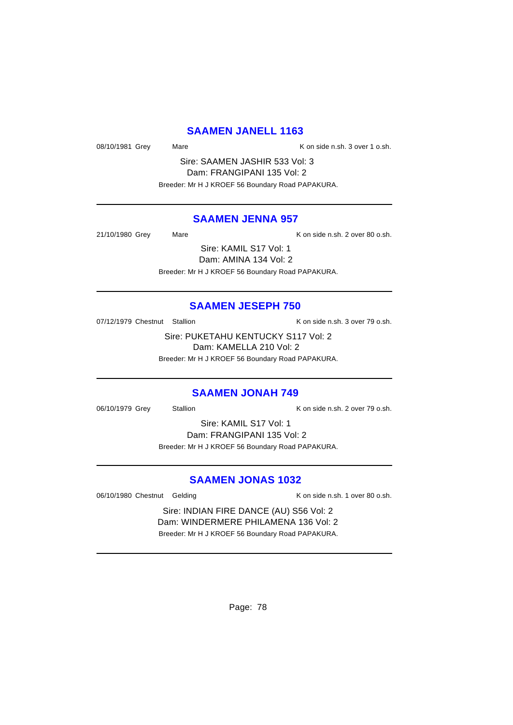### **SAAMEN JANELL 1163**

08/10/1981 Grey Mare Mare K on side n.sh. 3 over 1 o.sh.

Sire: SAAMEN JASHIR 533 Vol: 3 Dam: FRANGIPANI 135 Vol: 2 Breeder: Mr H J KROEF 56 Boundary Road PAPAKURA.

#### **SAAMEN JENNA 957**

21/10/1980 Grey Mare Mare K on side n.sh. 2 over 80 o.sh.

Sire: KAMIL S17 Vol: 1 Dam: AMINA 134 Vol: 2

Breeder: Mr H J KROEF 56 Boundary Road PAPAKURA.

### **SAAMEN JESEPH 750**

07/12/1979 Chestnut Stallion K on side n.sh. 3 over 79 o.sh.

Sire: PUKETAHU KENTUCKY S117 Vol: 2 Dam: KAMELLA 210 Vol: 2 Breeder: Mr H J KROEF 56 Boundary Road PAPAKURA.

#### **SAAMEN JONAH 749**

06/10/1979 Grey Stallion Controller Manual K on side n.sh. 2 over 79 o.sh.

Sire: KAMIL S17 Vol: 1 Dam: FRANGIPANI 135 Vol: 2 Breeder: Mr H J KROEF 56 Boundary Road PAPAKURA.

## **SAAMEN JONAS 1032**

06/10/1980 Chestnut Gelding The Research Consider the K on side n.sh. 1 over 80 o.sh.

Sire: INDIAN FIRE DANCE (AU) S56 Vol: 2 Dam: WINDERMERE PHILAMENA 136 Vol: 2 Breeder: Mr H J KROEF 56 Boundary Road PAPAKURA.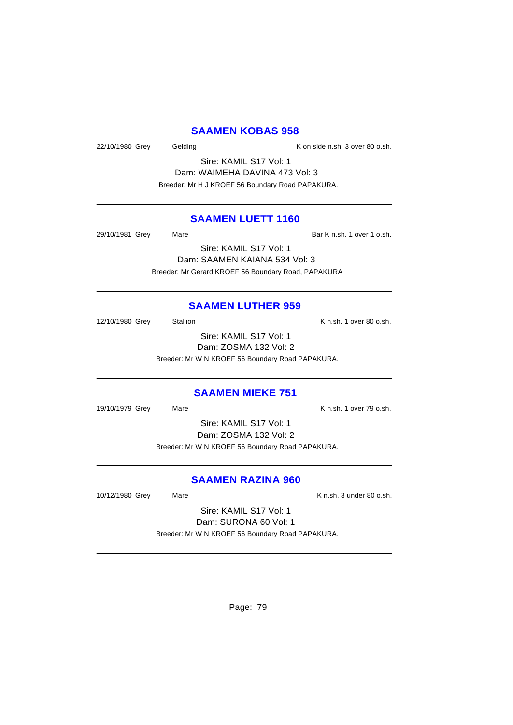### **SAAMEN KOBAS 958**

22/10/1980 Grey Gelding Construction Considers, September 22/10/1980 Grey Gelding

Sire: KAMIL S17 Vol: 1 Dam: WAIMEHA DAVINA 473 Vol: 3 Breeder: Mr H J KROEF 56 Boundary Road PAPAKURA.

## **SAAMEN LUETT 1160**

29/10/1981 Grey Mare Mare Bar K n.sh. 1 over 1 o.sh.

Sire: KAMIL S17 Vol: 1 Dam: SAAMEN KAIANA 534 Vol: 3 Breeder: Mr Gerard KROEF 56 Boundary Road, PAPAKURA

#### **SAAMEN LUTHER 959**

12/10/1980 Grey Stallion Stallion K n.sh. 1 over 80 o.sh.

Sire: KAMIL S17 Vol: 1 Dam: ZOSMA 132 Vol: 2 Breeder: Mr W N KROEF 56 Boundary Road PAPAKURA.

#### **SAAMEN MIEKE 751**

19/10/1979 Grey Mare Mare K n.sh. 1 over 79 o.sh.

Sire: KAMIL S17 Vol: 1 Dam: ZOSMA 132 Vol: 2 Breeder: Mr W N KROEF 56 Boundary Road PAPAKURA.

## **SAAMEN RAZINA 960**

10/12/1980 Grey Mare Mare K n.sh. 3 under 80 o.sh.

Sire: KAMIL S17 Vol: 1 Dam: SURONA 60 Vol: 1 Breeder: Mr W N KROEF 56 Boundary Road PAPAKURA.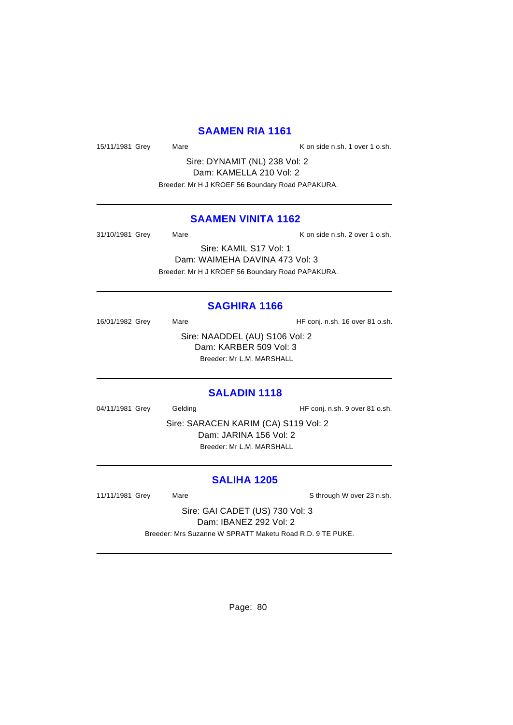### **SAAMEN RIA 1161**

15/11/1981 Grey Mare Mare K on side n.sh. 1 over 1 o.sh.

Sire: DYNAMIT (NL) 238 Vol: 2 Dam: KAMELLA 210 Vol: 2 Breeder: Mr H J KROEF 56 Boundary Road PAPAKURA.

### **SAAMEN VINITA 1162**

31/10/1981 Grey Mare Mare K on side n.sh. 2 over 1 o.sh. Sire: KAMIL S17 Vol: 1 Dam: WAIMEHA DAVINA 473 Vol: 3

Breeder: Mr H J KROEF 56 Boundary Road PAPAKURA.

### **SAGHIRA 1166**

16/01/1982 Grey Mare Mare HF conj. n.sh. 16 over 81 o.sh.

Sire: NAADDEL (AU) S106 Vol: 2 Dam: KARBER 509 Vol: 3 Breeder: Mr L.M. MARSHALL

### **SALADIN 1118**

04/11/1981 Grey Gelding Gelding HF conj. n.sh. 9 over 81 o.sh.

Sire: SARACEN KARIM (CA) S119 Vol: 2 Dam: JARINA 156 Vol: 2 Breeder: Mr L.M. MARSHALL

## **SALIHA 1205**

11/11/1981 Grey Mare Mare Sthrough W over 23 n.sh.

Sire: GAI CADET (US) 730 Vol: 3 Dam: IBANEZ 292 Vol: 2 Breeder: Mrs Suzanne W SPRATT Maketu Road R.D. 9 TE PUKE.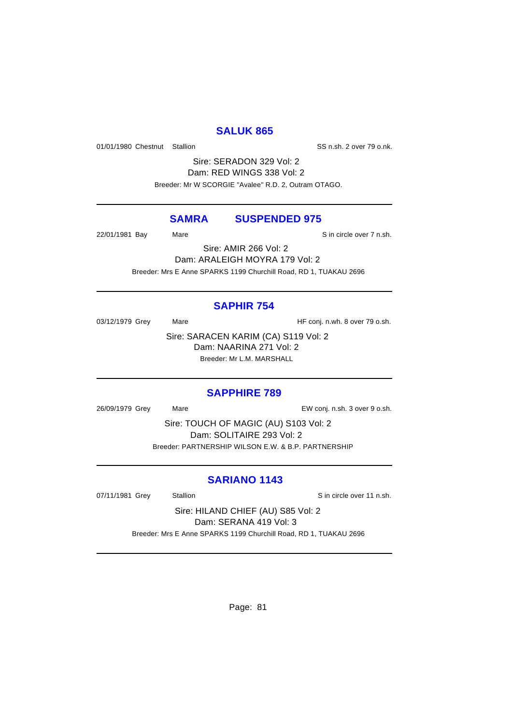## **SALUK 865**

01/01/1980 Chestnut Stallion States of SS n.sh. 2 over 79 o.nk.

Sire: SERADON 329 Vol: 2 Dam: RED WINGS 338 Vol: 2 Breeder: Mr W SCORGIE "Avalee" R.D. 2, Outram OTAGO.

## **SAMRA SUSPENDED 975**

22/01/1981 Bay Mare Sin circle over 7 n.sh.

Sire: AMIR 266 Vol: 2 Dam: ARALEIGH MOYRA 179 Vol: 2 Breeder: Mrs E Anne SPARKS 1199 Churchill Road, RD 1, TUAKAU 2696

## **SAPHIR 754**

03/12/1979 Grey Mare Mare HF conj. n.wh. 8 over 79 o.sh.

Sire: SARACEN KARIM (CA) S119 Vol: 2 Dam: NAARINA 271 Vol: 2 Breeder: Mr L.M. MARSHALL

## **SAPPHIRE 789**

26/09/1979 Grey Mare EW conj. n.sh. 3 over 9 o.sh.

Sire: TOUCH OF MAGIC (AU) S103 Vol: 2 Dam: SOLITAIRE 293 Vol: 2 Breeder: PARTNERSHIP WILSON E.W. & B.P. PARTNERSHIP

## **SARIANO 1143**

07/11/1981 Grey Stallion State State over 11 n.sh.

Sire: HILAND CHIEF (AU) S85 Vol: 2 Dam: SERANA 419 Vol: 3 Breeder: Mrs E Anne SPARKS 1199 Churchill Road, RD 1, TUAKAU 2696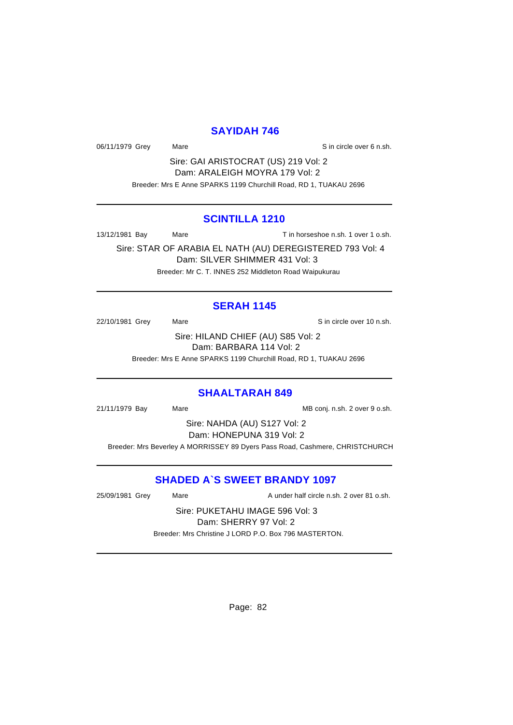## **SAYIDAH 746**

06/11/1979 Grey Mare Sin circle over 6 n.sh.

Sire: GAI ARISTOCRAT (US) 219 Vol: 2 Dam: ARALEIGH MOYRA 179 Vol: 2 Breeder: Mrs E Anne SPARKS 1199 Churchill Road, RD 1, TUAKAU 2696

### **SCINTILLA 1210**

13/12/1981 Bay Mare Mare T in horseshoe n.sh. 1 over 1 o.sh.

Sire: STAR OF ARABIA EL NATH (AU) DEREGISTERED 793 Vol: 4 Dam: SILVER SHIMMER 431 Vol: 3 Breeder: Mr C. T. INNES 252 Middleton Road Waipukurau

## **SERAH 1145**

22/10/1981 Grey Mare Mare Sin circle over 10 n.sh. Sire: HILAND CHIEF (AU) S85 Vol: 2 Dam: BARBARA 114 Vol: 2

Breeder: Mrs E Anne SPARKS 1199 Churchill Road, RD 1, TUAKAU 2696

#### **SHAALTARAH 849**

21/11/1979 Bay Mare Mare Manuel MB conj. n.sh. 2 over 9 o.sh.

Sire: NAHDA (AU) S127 Vol: 2 Dam: HONEPUNA 319 Vol: 2

Breeder: Mrs Beverley A MORRISSEY 89 Dyers Pass Road, Cashmere, CHRISTCHURCH

## **SHADED A`S SWEET BRANDY 1097**

25/09/1981 Grey Mare A under half circle n.sh. 2 over 81 o.sh.

Sire: PUKETAHU IMAGE 596 Vol: 3 Dam: SHERRY 97 Vol: 2 Breeder: Mrs Christine J LORD P.O. Box 796 MASTERTON.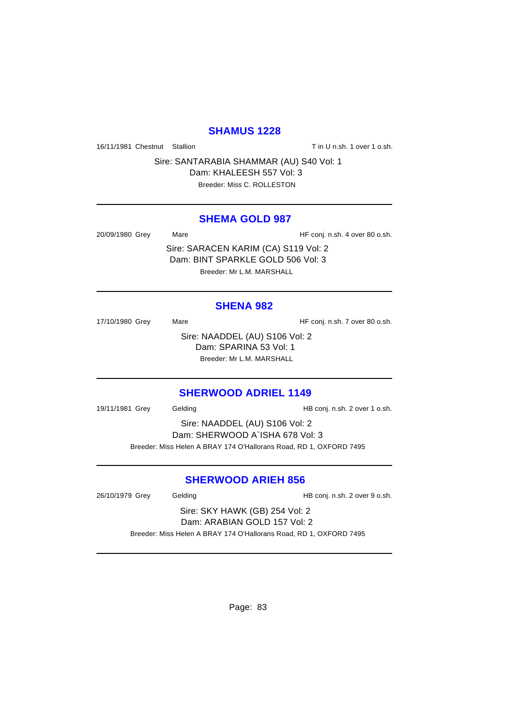### **SHAMUS 1228**

16/11/1981 Chestnut Stallion The State of Tin U n.sh. 1 over 1 o.sh.

Sire: SANTARABIA SHAMMAR (AU) S40 Vol: 1 Dam: KHALEESH 557 Vol: 3

Breeder: Miss C. ROLLESTON

### **SHEMA GOLD 987**

20/09/1980 Grey Mare Mare HF conj. n.sh. 4 over 80 o.sh.

Sire: SARACEN KARIM (CA) S119 Vol: 2 Dam: BINT SPARKLE GOLD 506 Vol: 3 Breeder: Mr L.M. MARSHALL

## **SHENA 982**

17/10/1980 Grey Mare Mare HF conj. n.sh. 7 over 80 o.sh. Sire: NAADDEL (AU) S106 Vol: 2 Dam: SPARINA 53 Vol: 1 Breeder: Mr L.M. MARSHALL

### **SHERWOOD ADRIEL 1149**

19/11/1981 Grey Gelding Gelding HB conj. n.sh. 2 over 1 o.sh.

Sire: NAADDEL (AU) S106 Vol: 2 Dam: SHERWOOD A`ISHA 678 Vol: 3 Breeder: Miss Helen A BRAY 174 O'Hallorans Road, RD 1, OXFORD 7495

### **SHERWOOD ARIEH 856**

26/10/1979 Grey Gelding Gelding HB conj. n.sh. 2 over 9 o.sh.

Sire: SKY HAWK (GB) 254 Vol: 2 Dam: ARABIAN GOLD 157 Vol: 2 Breeder: Miss Helen A BRAY 174 O'Hallorans Road, RD 1, OXFORD 7495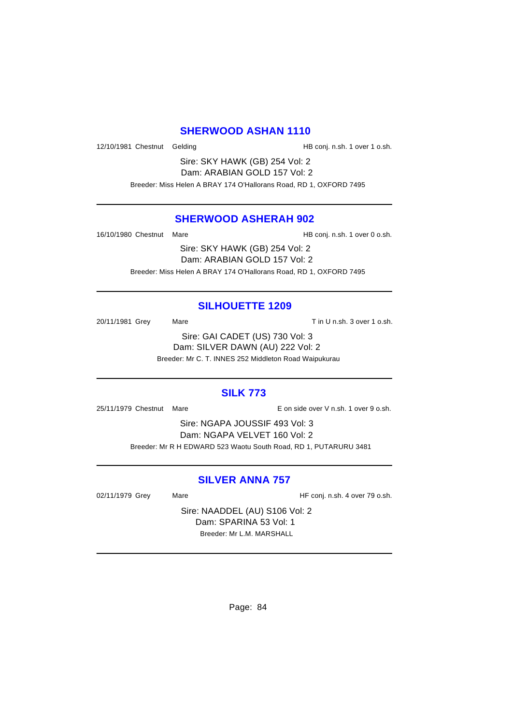### **SHERWOOD ASHAN 1110**

12/10/1981 Chestnut Gelding The State of HB conj. n.sh. 1 over 1 o.sh.

Sire: SKY HAWK (GB) 254 Vol: 2 Dam: ARABIAN GOLD 157 Vol: 2 Breeder: Miss Helen A BRAY 174 O'Hallorans Road, RD 1, OXFORD 7495

### **SHERWOOD ASHERAH 902**

16/10/1980 Chestnut Mare **HB** conj. n.sh. 1 over 0 o.sh.

Sire: SKY HAWK (GB) 254 Vol: 2 Dam: ARABIAN GOLD 157 Vol: 2 Breeder: Miss Helen A BRAY 174 O'Hallorans Road, RD 1, OXFORD 7495

## **SILHOUETTE 1209**

20/11/1981 Grey Mare Mare Tin U n.sh. 3 over 1 o.sh.

Sire: GAI CADET (US) 730 Vol: 3 Dam: SILVER DAWN (AU) 222 Vol: 2 Breeder: Mr C. T. INNES 252 Middleton Road Waipukurau

### **SILK 773**

25/11/1979 Chestnut Mare E on side over V n.sh. 1 over 9 o.sh.

Sire: NGAPA JOUSSIF 493 Vol: 3 Dam: NGAPA VELVET 160 Vol: 2 Breeder: Mr R H EDWARD 523 Waotu South Road, RD 1, PUTARURU 3481

## **SILVER ANNA 757**

02/11/1979 Grey Mare Mare HF conj. n.sh. 4 over 79 o.sh.

Sire: NAADDEL (AU) S106 Vol: 2 Dam: SPARINA 53 Vol: 1 Breeder: Mr L.M. MARSHALL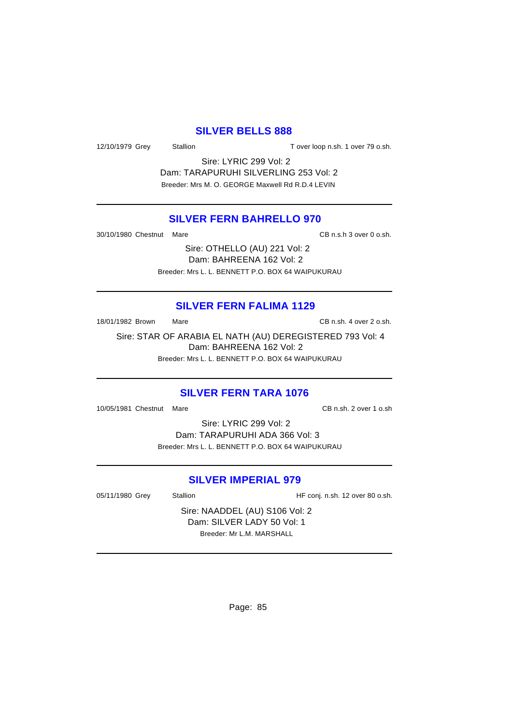### **SILVER BELLS 888**

12/10/1979 Grey Stallion Stallion T over loop n.sh. 1 over 79 o.sh.

Sire: LYRIC 299 Vol: 2 Dam: TARAPURUHI SILVERLING 253 Vol: 2 Breeder: Mrs M. O. GEORGE Maxwell Rd R.D.4 LEVIN

## **SILVER FERN BAHRELLO 970**

30/10/1980 Chestnut Mare CB n.s.h 3 over 0 o.sh.

Sire: OTHELLO (AU) 221 Vol: 2 Dam: BAHREENA 162 Vol: 2 Breeder: Mrs L. L. BENNETT P.O. BOX 64 WAIPUKURAU

### **SILVER FERN FALIMA 1129**

18/01/1982 Brown Mare Mare CB n.sh. 4 over 2 o.sh.

Sire: STAR OF ARABIA EL NATH (AU) DEREGISTERED 793 Vol: 4 Dam: BAHREENA 162 Vol: 2 Breeder: Mrs L. L. BENNETT P.O. BOX 64 WAIPUKURAU

### **SILVER FERN TARA 1076**

10/05/1981 Chestnut Mare CB n.sh. 2 over 1 o.sh

Sire: LYRIC 299 Vol: 2 Dam: TARAPURUHI ADA 366 Vol: 3 Breeder: Mrs L. L. BENNETT P.O. BOX 64 WAIPUKURAU

## **SILVER IMPERIAL 979**

05/11/1980 Grey Stallion Stallion HF conj. n.sh. 12 over 80 o.sh.

Sire: NAADDEL (AU) S106 Vol: 2 Dam: SILVER LADY 50 Vol: 1 Breeder: Mr L.M. MARSHALL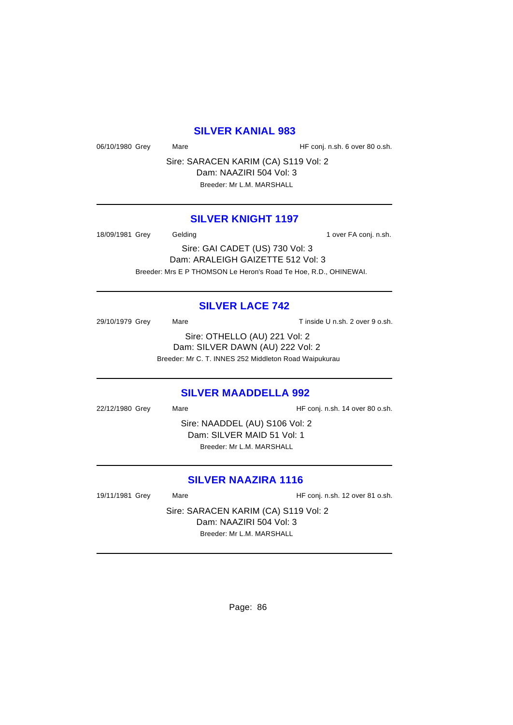### **SILVER KANIAL 983**

06/10/1980 Grey Mare Mare HF conj. n.sh. 6 over 80 o.sh.

Sire: SARACEN KARIM (CA) S119 Vol: 2 Dam: NAAZIRI 504 Vol: 3

Breeder: Mr L.M. MARSHALL

## **SILVER KNIGHT 1197**

18/09/1981 Grey Gelding Case Conjection over FA conj. n.sh.

Sire: GAI CADET (US) 730 Vol: 3 Dam: ARALEIGH GAIZETTE 512 Vol: 3 Breeder: Mrs E P THOMSON Le Heron's Road Te Hoe, R.D., OHINEWAI.

## **SILVER LACE 742**

29/10/1979 Grey Mare Mare Tinside U n.sh. 2 over 9 o.sh. Sire: OTHELLO (AU) 221 Vol: 2 Dam: SILVER DAWN (AU) 222 Vol: 2 Breeder: Mr C. T. INNES 252 Middleton Road Waipukurau

### **SILVER MAADDELLA 992**

22/12/1980 Grey Mare Mare HF conj. n.sh. 14 over 80 o.sh. Sire: NAADDEL (AU) S106 Vol: 2 Dam: SILVER MAID 51 Vol: 1 Breeder: Mr L.M. MARSHALL

## **SILVER NAAZIRA 1116**

19/11/1981 Grey Mare Mare HF conj. n.sh. 12 over 81 o.sh.

Sire: SARACEN KARIM (CA) S119 Vol: 2 Dam: NAAZIRI 504 Vol: 3 Breeder: Mr L.M. MARSHALL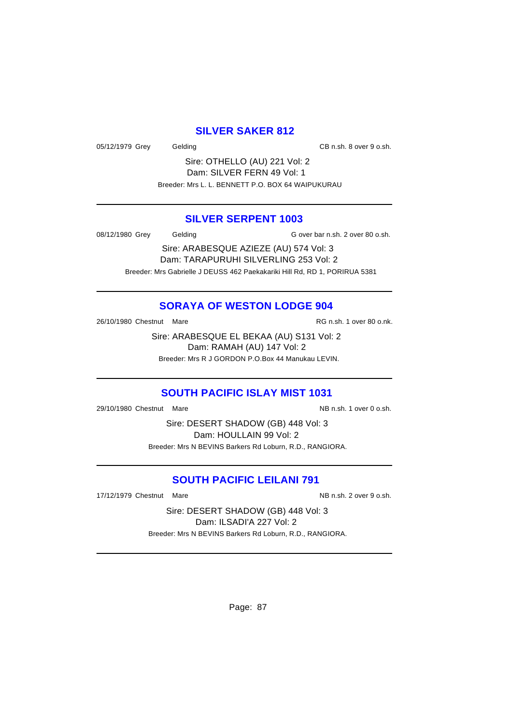## **SILVER SAKER 812**

05/12/1979 Grey Gelding CB n.sh. 8 over 9 o.sh.

Sire: OTHELLO (AU) 221 Vol: 2 Dam: SILVER FERN 49 Vol: 1 Breeder: Mrs L. L. BENNETT P.O. BOX 64 WAIPUKURAU

### **SILVER SERPENT 1003**

08/12/1980 Grey Gelding G over bar n.sh. 2 over 80 o.sh.

Sire: ARABESQUE AZIEZE (AU) 574 Vol: 3 Dam: TARAPURUHI SILVERLING 253 Vol: 2 Breeder: Mrs Gabrielle J DEUSS 462 Paekakariki Hill Rd, RD 1, PORIRUA 5381

## **SORAYA OF WESTON LODGE 904**

26/10/1980 Chestnut Mare **Market Accord Parade Accord RG n.sh.** 1 over 80 o.nk.

Sire: ARABESQUE EL BEKAA (AU) S131 Vol: 2 Dam: RAMAH (AU) 147 Vol: 2 Breeder: Mrs R J GORDON P.O.Box 44 Manukau LEVIN.

## **SOUTH PACIFIC ISLAY MIST 1031**

29/10/1980 Chestnut Mare National Control of MB n.sh. 1 over 0 o.sh.

Sire: DESERT SHADOW (GB) 448 Vol: 3 Dam: HOULLAIN 99 Vol: 2 Breeder: Mrs N BEVINS Barkers Rd Loburn, R.D., RANGIORA.

## **SOUTH PACIFIC LEILANI 791**

17/12/1979 Chestnut Mare National Communication of the NB n.sh. 2 over 9 o.sh.

Sire: DESERT SHADOW (GB) 448 Vol: 3 Dam: ILSADI'A 227 Vol: 2 Breeder: Mrs N BEVINS Barkers Rd Loburn, R.D., RANGIORA.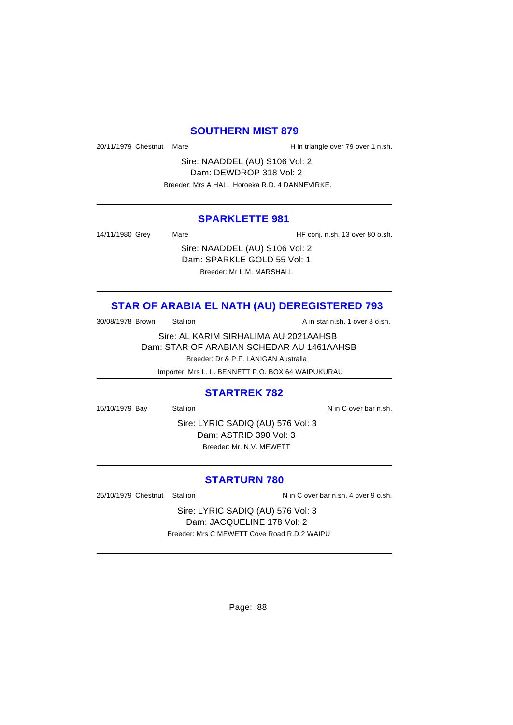### **SOUTHERN MIST 879**

20/11/1979 Chestnut Mare **H** in triangle over 79 over 1 n.sh.

Sire: NAADDEL (AU) S106 Vol: 2 Dam: DEWDROP 318 Vol: 2 Breeder: Mrs A HALL Horoeka R.D. 4 DANNEVIRKE.

### **SPARKLETTE 981**

14/11/1980 Grey Mare Mare HF conj. n.sh. 13 over 80 o.sh.

Sire: NAADDEL (AU) S106 Vol: 2 Dam: SPARKLE GOLD 55 Vol: 1 Breeder: Mr L.M. MARSHALL

## **STAR OF ARABIA EL NATH (AU) DEREGISTERED 793**

30/08/1978 Brown Stallion Station A in star n.sh. 1 over 8 o.sh.

Sire: AL KARIM SIRHALIMA AU 2021AAHSB Dam: STAR OF ARABIAN SCHEDAR AU 1461AAHSB Breeder: Dr & P.F. LANIGAN Australia

Importer: Mrs L. L. BENNETT P.O. BOX 64 WAIPUKURAU

### **STARTREK 782**

15/10/1979 Bay Stallion Stallion Stallion Nin C over bar n.sh.

Sire: LYRIC SADIQ (AU) 576 Vol: 3 Dam: ASTRID 390 Vol: 3 Breeder: Mr. N.V. MEWETT

### **STARTURN 780**

25/10/1979 Chestnut Stallion Nin C over bar n.sh. 4 over 9 o.sh.

Sire: LYRIC SADIQ (AU) 576 Vol: 3 Dam: JACQUELINE 178 Vol: 2 Breeder: Mrs C MEWETT Cove Road R.D.2 WAIPU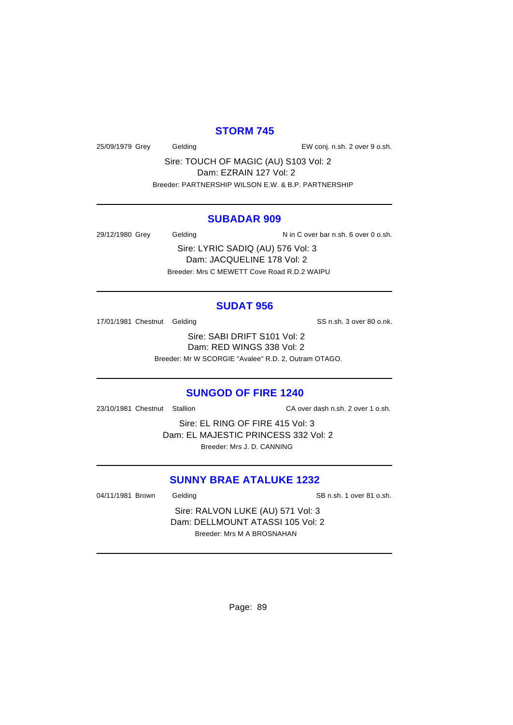## **STORM 745**

25/09/1979 Grey Gelding EW conj. n.sh. 2 over 9 o.sh.

Sire: TOUCH OF MAGIC (AU) S103 Vol: 2 Dam: EZRAIN 127 Vol: 2 Breeder: PARTNERSHIP WILSON E.W. & B.P. PARTNERSHIP

#### **SUBADAR 909**

29/12/1980 Grey Gelding N in C over bar n.sh. 6 over 0 o.sh.

Sire: LYRIC SADIQ (AU) 576 Vol: 3 Dam: JACQUELINE 178 Vol: 2 Breeder: Mrs C MEWETT Cove Road R.D.2 WAIPU

### **SUDAT 956**

17/01/1981 Chestnut Gelding SS n.sh. 3 over 80 o.nk.

Sire: SABI DRIFT S101 Vol: 2 Dam: RED WINGS 338 Vol: 2 Breeder: Mr W SCORGIE "Avalee" R.D. 2, Outram OTAGO.

### **SUNGOD OF FIRE 1240**

23/10/1981 Chestnut Stallion CA over dash n.sh. 2 over 1 o.sh.

Sire: EL RING OF FIRE 415 Vol: 3 Dam: EL MAJESTIC PRINCESS 332 Vol: 2 Breeder: Mrs J. D. CANNING

## **SUNNY BRAE ATALUKE 1232**

04/11/1981 Brown Gelding Case Communication of SB n.sh. 1 over 81 o.sh.

Sire: RALVON LUKE (AU) 571 Vol: 3 Dam: DELLMOUNT ATASSI 105 Vol: 2 Breeder: Mrs M A BROSNAHAN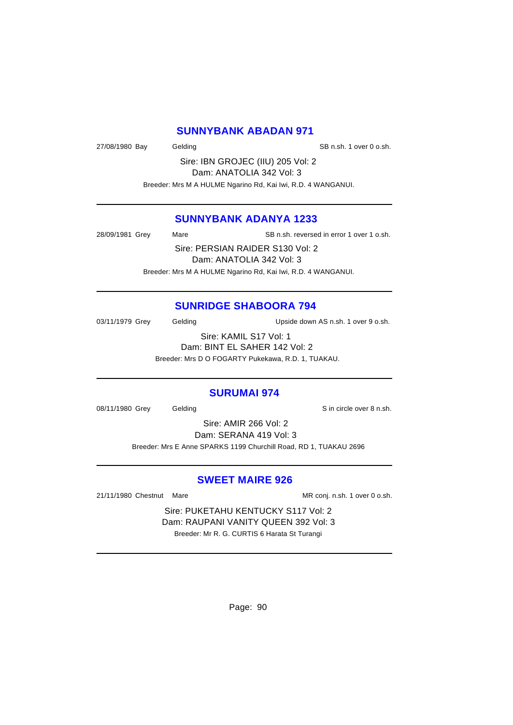### **SUNNYBANK ABADAN 971**

27/08/1980 Bay Gelding Gelding SB n.sh. 1 over 0 o.sh.

Sire: IBN GROJEC (IIU) 205 Vol: 2 Dam: ANATOLIA 342 Vol: 3 Breeder: Mrs M A HULME Ngarino Rd, Kai Iwi, R.D. 4 WANGANUI.

### **SUNNYBANK ADANYA 1233**

28/09/1981 Grey Mare SB n.sh. reversed in error 1 over 1 o.sh. Sire: PERSIAN RAIDER S130 Vol: 2 Dam: ANATOLIA 342 Vol: 3 Breeder: Mrs M A HULME Ngarino Rd, Kai Iwi, R.D. 4 WANGANUI.

### **SUNRIDGE SHABOORA 794**

03/11/1979 Grey Gelding Upside down AS n.sh. 1 over 9 o.sh.

Sire: KAMIL S17 Vol: 1 Dam: BINT EL SAHER 142 Vol: 2 Breeder: Mrs D O FOGARTY Pukekawa, R.D. 1, TUAKAU.

#### **SURUMAI 974**

08/11/1980 Grey Gelding Contact Contact Contact Contact Contact Contact Contact Contact Contact Contact Contact Contact Contact Contact Contact Contact Contact Contact Contact Contact Contact Contact Contact Contact Contac

Sire: AMIR 266 Vol: 2 Dam: SERANA 419 Vol: 3 Breeder: Mrs E Anne SPARKS 1199 Churchill Road, RD 1, TUAKAU 2696

### **SWEET MAIRE 926**

21/11/1980 Chestnut Mare Mare MR conj. n.sh. 1 over 0 o.sh.

Sire: PUKETAHU KENTUCKY S117 Vol: 2 Dam: RAUPANI VANITY QUEEN 392 Vol: 3 Breeder: Mr R. G. CURTIS 6 Harata St Turangi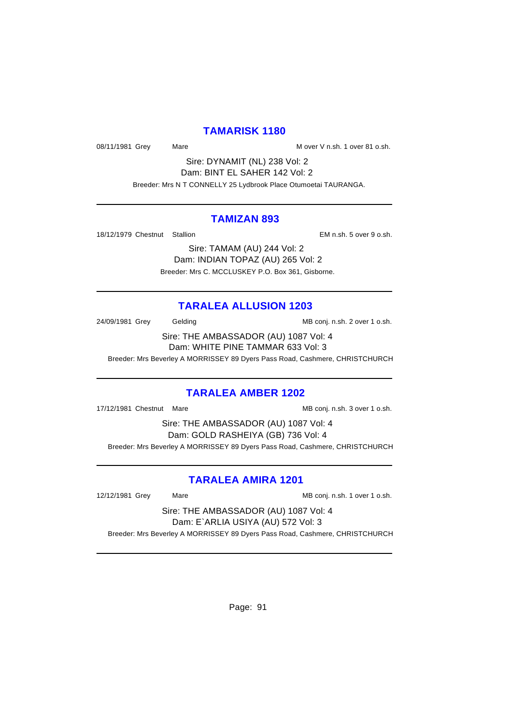## **TAMARISK 1180**

08/11/1981 Grey Mare Mare Mare Mover V n.sh. 1 over 81 o.sh.

Sire: DYNAMIT (NL) 238 Vol: 2 Dam: BINT EL SAHER 142 Vol: 2 Breeder: Mrs N T CONNELLY 25 Lydbrook Place Otumoetai TAURANGA.

### **TAMIZAN 893**

18/12/1979 Chestnut Stallion EM n.sh. 5 over 9 o.sh.

Sire: TAMAM (AU) 244 Vol: 2 Dam: INDIAN TOPAZ (AU) 265 Vol: 2 Breeder: Mrs C. MCCLUSKEY P.O. Box 361, Gisborne.

## **TARALEA ALLUSION 1203**

24/09/1981 Grey Gelding Gelding MB conj. n.sh. 2 over 1 o.sh.

Sire: THE AMBASSADOR (AU) 1087 Vol: 4 Dam: WHITE PINE TAMMAR 633 Vol: 3

Breeder: Mrs Beverley A MORRISSEY 89 Dyers Pass Road, Cashmere, CHRISTCHURCH

## **TARALEA AMBER 1202**

17/12/1981 Chestnut Mare Mare MB conj. n.sh. 3 over 1 o.sh.

Sire: THE AMBASSADOR (AU) 1087 Vol: 4 Dam: GOLD RASHEIYA (GB) 736 Vol: 4 Breeder: Mrs Beverley A MORRISSEY 89 Dyers Pass Road, Cashmere, CHRISTCHURCH

## **TARALEA AMIRA 1201**

12/12/1981 Grey Mare Mare Mare MB conj. n.sh. 1 over 1 o.sh.

Sire: THE AMBASSADOR (AU) 1087 Vol: 4 Dam: E`ARLIA USIYA (AU) 572 Vol: 3

Breeder: Mrs Beverley A MORRISSEY 89 Dyers Pass Road, Cashmere, CHRISTCHURCH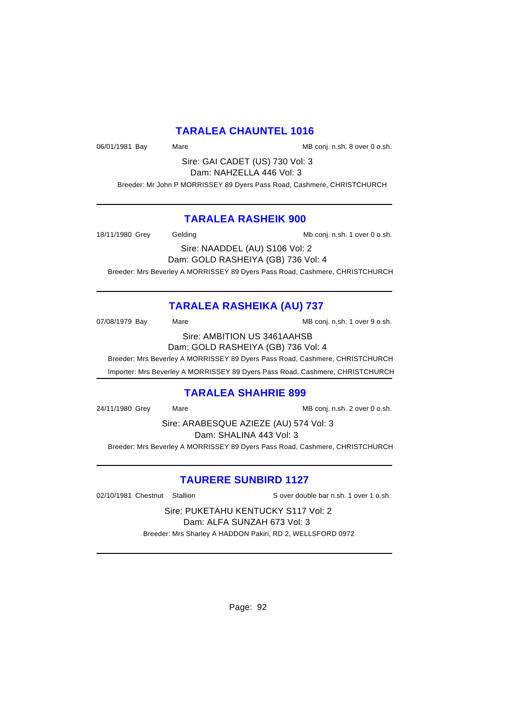## **TARALEA CHAUNTEL 1016**

06/01/1981 Bay Mare Mare Manuel MB conj. n.sh. 8 over 0 o.sh.

Sire: GAI CADET (US) 730 Vol: 3 Dam: NAHZELLA 446 Vol: 3

Breeder: Mr John P MORRISSEY 89 Dyers Pass Road, Cashmere, CHRISTCHURCH

## **TARALEA RASHEIK 900**

18/11/1980 Grey Gelding Mb conj. n.sh. 1 over 0 o.sh.

Sire: NAADDEL (AU) S106 Vol: 2 Dam: GOLD RASHEIYA (GB) 736 Vol: 4

Breeder: Mrs Beverley A MORRISSEY 89 Dyers Pass Road, Cashmere, CHRISTCHURCH

## **TARALEA RASHEIKA (AU) 737**

07/08/1979 Bay Mare Mare MB conj. n.sh. 1 over 9 o.sh.

Sire: AMBITION US 3461AAHSB

Dam: GOLD RASHEIYA (GB) 736 Vol: 4

Breeder: Mrs Beverley A MORRISSEY 89 Dyers Pass Road, Cashmere, CHRISTCHURCH

Importer: Mrs Beverley A MORRISSEY 89 Dyers Pass Road, Cashmere, CHRISTCHURCH

## **TARALEA SHAHRIE 899**

24/11/1980 Grey Mare Mare Matter MB conj. n.sh. 2 over 0 o.sh.

Sire: ARABESQUE AZIEZE (AU) 574 Vol: 3 Dam: SHALINA 443 Vol: 3

Breeder: Mrs Beverley A MORRISSEY 89 Dyers Pass Road, Cashmere, CHRISTCHURCH

## **TAURERE SUNBIRD 1127**

02/10/1981 Chestnut Stallion Supervey S over double bar n.sh. 1 over 1 o.sh.

Sire: PUKETAHU KENTUCKY S117 Vol: 2 Dam: ALFA SUNZAH 673 Vol: 3 Breeder: Mrs Sharley A HADDON Pakiri, RD 2, WELLSFORD 0972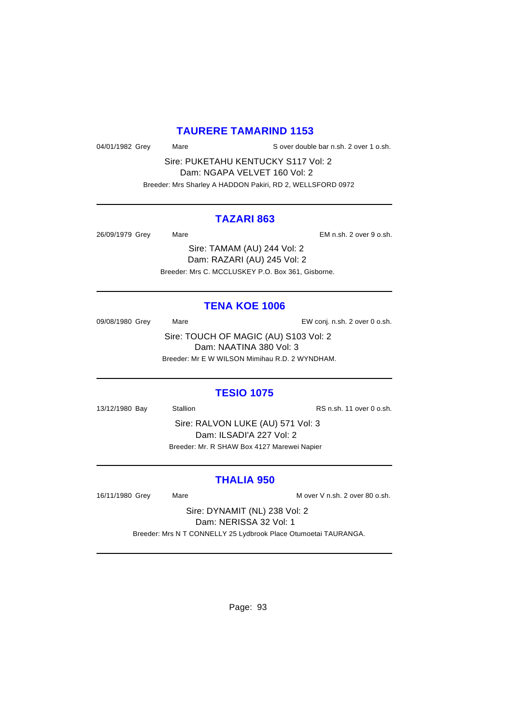### **TAURERE TAMARIND 1153**

04/01/1982 Grey Mare Mare S over double bar n.sh. 2 over 1 o.sh.

Sire: PUKETAHU KENTUCKY S117 Vol: 2 Dam: NGAPA VELVET 160 Vol: 2 Breeder: Mrs Sharley A HADDON Pakiri, RD 2, WELLSFORD 0972

### **TAZARI 863**

26/09/1979 Grey Mare EM n.sh. 2 over 9 o.sh.

Sire: TAMAM (AU) 244 Vol: 2 Dam: RAZARI (AU) 245 Vol: 2 Breeder: Mrs C. MCCLUSKEY P.O. Box 361, Gisborne.

#### **TENA KOE 1006**

09/08/1980 Grey Mare Mare EW conj. n.sh. 2 over 0 o.sh. Sire: TOUCH OF MAGIC (AU) S103 Vol: 2 Dam: NAATINA 380 Vol: 3

Breeder: Mr E W WILSON Mimihau R.D. 2 WYNDHAM.

## **TESIO 1075**

13/12/1980 Bay Stallion Stallion RS n.sh. 11 over 0 o.sh.

Sire: RALVON LUKE (AU) 571 Vol: 3 Dam: ILSADI'A 227 Vol: 2 Breeder: Mr. R SHAW Box 4127 Marewei Napier

## **THALIA 950**

16/11/1980 Grey Mare Mare M over V n.sh. 2 over 80 o.sh.

Sire: DYNAMIT (NL) 238 Vol: 2 Dam: NERISSA 32 Vol: 1

Breeder: Mrs N T CONNELLY 25 Lydbrook Place Otumoetai TAURANGA.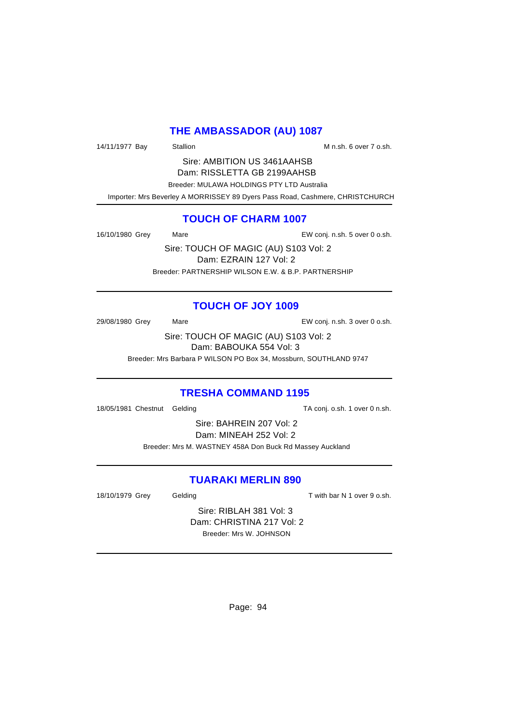## **THE AMBASSADOR (AU) 1087**

14/11/1977 Bay Stallion Stallion State M n.sh. 6 over 7 o.sh.

Sire: AMBITION US 3461AAHSB Dam: RISSLETTA GB 2199AAHSB Breeder: MULAWA HOLDINGS PTY LTD Australia Importer: Mrs Beverley A MORRISSEY 89 Dyers Pass Road, Cashmere, CHRISTCHURCH

## **TOUCH OF CHARM 1007**

16/10/1980 Grey Mare Mare Conj. n.sh. 5 over 0 o.sh.

Sire: TOUCH OF MAGIC (AU) S103 Vol: 2 Dam: EZRAIN 127 Vol: 2 Breeder: PARTNERSHIP WILSON E.W. & B.P. PARTNERSHIP

## **TOUCH OF JOY 1009**

29/08/1980 Grey Mare EW conj. n.sh. 3 over 0 o.sh.

Sire: TOUCH OF MAGIC (AU) S103 Vol: 2 Dam: BABOUKA 554 Vol: 3

Breeder: Mrs Barbara P WILSON PO Box 34, Mossburn, SOUTHLAND 9747

## **TRESHA COMMAND 1195**

18/05/1981 Chestnut Gelding TA conj. o.sh. 1 over 0 n.sh.

Sire: BAHREIN 207 Vol: 2 Dam: MINEAH 252 Vol: 2 Breeder: Mrs M. WASTNEY 458A Don Buck Rd Massey Auckland

## **TUARAKI MERLIN 890**

18/10/1979 Grey Gelding Cash T with bar N 1 over 9 o.sh.

Sire: RIBLAH 381 Vol: 3 Dam: CHRISTINA 217 Vol: 2 Breeder: Mrs W. JOHNSON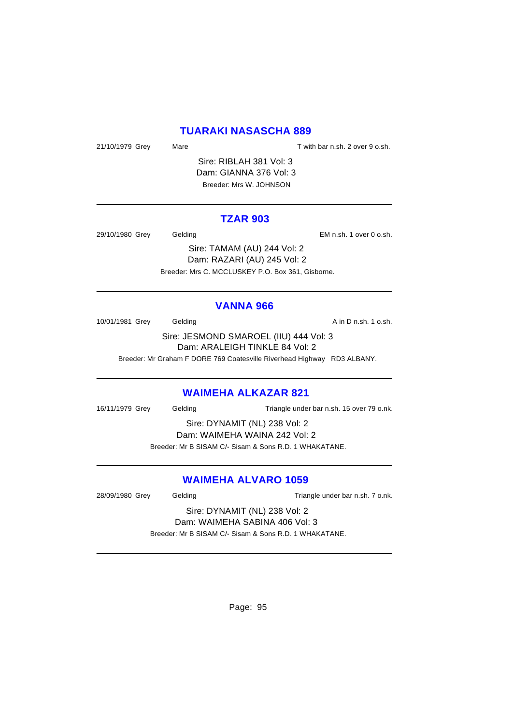## **TUARAKI NASASCHA 889**

21/10/1979 Grey Mare Mare T with bar n.sh. 2 over 9 o.sh.

Sire: RIBLAH 381 Vol: 3 Dam: GIANNA 376 Vol: 3 Breeder: Mrs W. JOHNSON

### **TZAR 903**

29/10/1980 Grey Gelding EM n.sh. 1 over 0 o.sh.

Sire: TAMAM (AU) 244 Vol: 2 Dam: RAZARI (AU) 245 Vol: 2 Breeder: Mrs C. MCCLUSKEY P.O. Box 361, Gisborne.

### **VANNA 966**

10/01/1981 Grey Gelding Care Gelding A in D n.sh. 1 o.sh.

Sire: JESMOND SMAROEL (IIU) 444 Vol: 3 Dam: ARALEIGH TINKLE 84 Vol: 2

Breeder: Mr Graham F DORE 769 Coatesville Riverhead Highway RD3 ALBANY.

### **WAIMEHA ALKAZAR 821**

16/11/1979 Grey Gelding Triangle under bar n.sh. 15 over 79 o.nk.

Sire: DYNAMIT (NL) 238 Vol: 2 Dam: WAIMEHA WAINA 242 Vol: 2

Breeder: Mr B SISAM C/- Sisam & Sons R.D. 1 WHAKATANE.

## **WAIMEHA ALVARO 1059**

28/09/1980 Grey Gelding Casset Contract Contract Triangle under bar n.sh. 7 o.nk.

Sire: DYNAMIT (NL) 238 Vol: 2 Dam: WAIMEHA SABINA 406 Vol: 3

Breeder: Mr B SISAM C/- Sisam & Sons R.D. 1 WHAKATANE.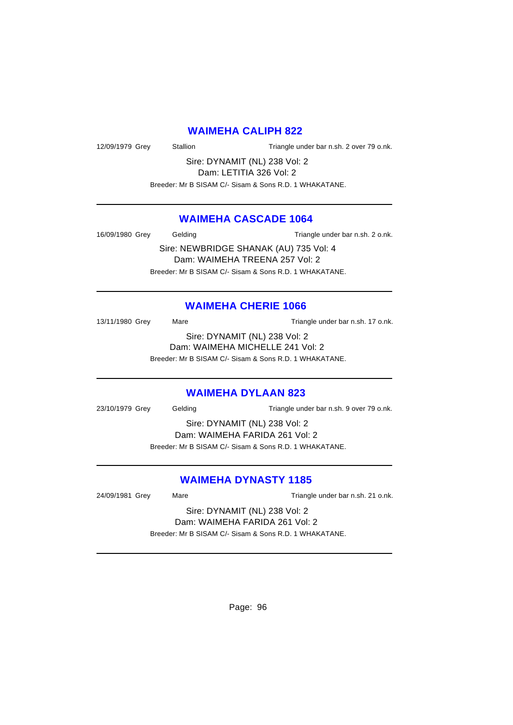### **WAIMEHA CALIPH 822**

12/09/1979 Grey Stallion Triangle under bar n.sh. 2 over 79 o.nk.

Sire: DYNAMIT (NL) 238 Vol: 2 Dam: LETITIA 326 Vol: 2

Breeder: Mr B SISAM C/- Sisam & Sons R.D. 1 WHAKATANE.

## **WAIMEHA CASCADE 1064**

16/09/1980 Grey Gelding Triangle under bar n.sh. 2 o.nk.

Sire: NEWBRIDGE SHANAK (AU) 735 Vol: 4 Dam: WAIMEHA TREENA 257 Vol: 2 Breeder: Mr B SISAM C/- Sisam & Sons R.D. 1 WHAKATANE.

### **WAIMEHA CHERIE 1066**

13/11/1980 Grey Mare Mare Triangle under bar n.sh. 17 o.nk. Sire: DYNAMIT (NL) 238 Vol: 2 Dam: WAIMEHA MICHELLE 241 Vol: 2

Breeder: Mr B SISAM C/- Sisam & Sons R.D. 1 WHAKATANE.

### **WAIMEHA DYLAAN 823**

23/10/1979 Grey Gelding Triangle under bar n.sh. 9 over 79 o.nk.

Sire: DYNAMIT (NL) 238 Vol: 2 Dam: WAIMEHA FARIDA 261 Vol: 2 Breeder: Mr B SISAM C/- Sisam & Sons R.D. 1 WHAKATANE.

## **WAIMEHA DYNASTY 1185**

24/09/1981 Grey Mare Mare Triangle under bar n.sh. 21 o.nk.

Sire: DYNAMIT (NL) 238 Vol: 2 Dam: WAIMEHA FARIDA 261 Vol: 2

Breeder: Mr B SISAM C/- Sisam & Sons R.D. 1 WHAKATANE.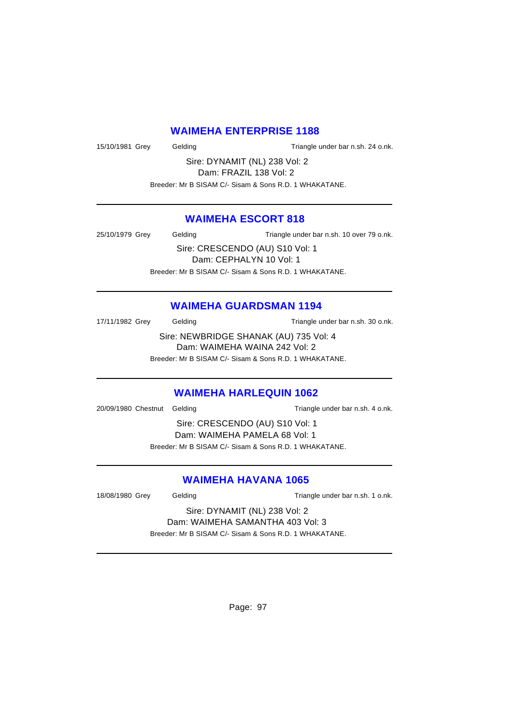### **WAIMEHA ENTERPRISE 1188**

15/10/1981 Grey Gelding Triangle under bar n.sh. 24 o.nk.

Sire: DYNAMIT (NL) 238 Vol: 2 Dam: FRAZIL 138 Vol: 2

Breeder: Mr B SISAM C/- Sisam & Sons R.D. 1 WHAKATANE.

## **WAIMEHA ESCORT 818**

25/10/1979 Grey Gelding Triangle under bar n.sh. 10 over 79 o.nk.

Sire: CRESCENDO (AU) S10 Vol: 1 Dam: CEPHALYN 10 Vol: 1 Breeder: Mr B SISAM C/- Sisam & Sons R.D. 1 WHAKATANE.

## **WAIMEHA GUARDSMAN 1194**

17/11/1982 Grey Gelding Triangle under bar n.sh. 30 o.nk.

Sire: NEWBRIDGE SHANAK (AU) 735 Vol: 4 Dam: WAIMEHA WAINA 242 Vol: 2 Breeder: Mr B SISAM C/- Sisam & Sons R.D. 1 WHAKATANE.

# **WAIMEHA HARLEQUIN 1062**

20/09/1980 Chestnut Gelding Triangle under bar n.sh. 4 o.nk.

Sire: CRESCENDO (AU) S10 Vol: 1 Dam: WAIMEHA PAMELA 68 Vol: 1 Breeder: Mr B SISAM C/- Sisam & Sons R.D. 1 WHAKATANE.

## **WAIMEHA HAVANA 1065**

18/08/1980 Grey Gelding Gelding Triangle under bar n.sh. 1 o.nk.

Sire: DYNAMIT (NL) 238 Vol: 2 Dam: WAIMEHA SAMANTHA 403 Vol: 3 Breeder: Mr B SISAM C/- Sisam & Sons R.D. 1 WHAKATANE.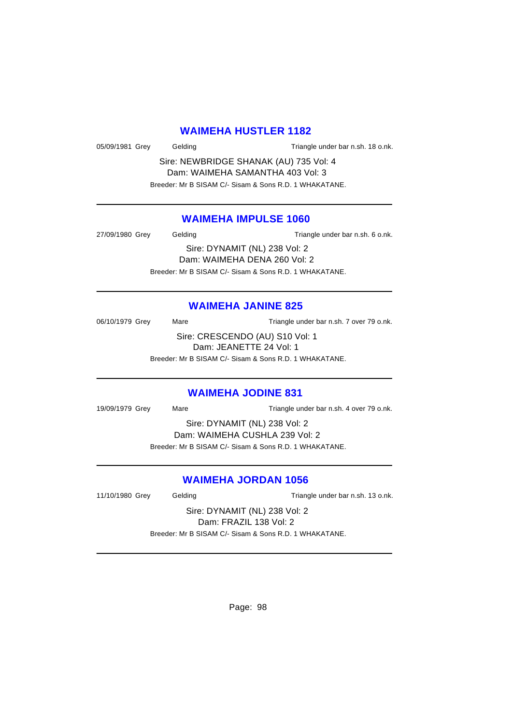### **WAIMEHA HUSTLER 1182**

05/09/1981 Grey Gelding Gelding Triangle under bar n.sh. 18 o.nk.

Sire: NEWBRIDGE SHANAK (AU) 735 Vol: 4 Dam: WAIMEHA SAMANTHA 403 Vol: 3 Breeder: Mr B SISAM C/- Sisam & Sons R.D. 1 WHAKATANE.

### **WAIMEHA IMPULSE 1060**

27/09/1980 Grey Gelding Gelding Triangle under bar n.sh. 6 o.nk. Sire: DYNAMIT (NL) 238 Vol: 2 Dam: WAIMEHA DENA 260 Vol: 2 Breeder: Mr B SISAM C/- Sisam & Sons R.D. 1 WHAKATANE.

## **WAIMEHA JANINE 825**

06/10/1979 Grey Mare Mare Triangle under bar n.sh. 7 over 79 o.nk. Sire: CRESCENDO (AU) S10 Vol: 1 Dam: JEANETTE 24 Vol: 1 Breeder: Mr B SISAM C/- Sisam & Sons R.D. 1 WHAKATANE.

## **WAIMEHA JODINE 831**

19/09/1979 Grey Mare Mare Triangle under bar n.sh. 4 over 79 o.nk.

Sire: DYNAMIT (NL) 238 Vol: 2

Dam: WAIMEHA CUSHLA 239 Vol: 2 Breeder: Mr B SISAM C/- Sisam & Sons R.D. 1 WHAKATANE.

## **WAIMEHA JORDAN 1056**

11/10/1980 Grey Gelding Gelding Triangle under bar n.sh. 13 o.nk.

Sire: DYNAMIT (NL) 238 Vol: 2 Dam: FRAZIL 138 Vol: 2 Breeder: Mr B SISAM C/- Sisam & Sons R.D. 1 WHAKATANE.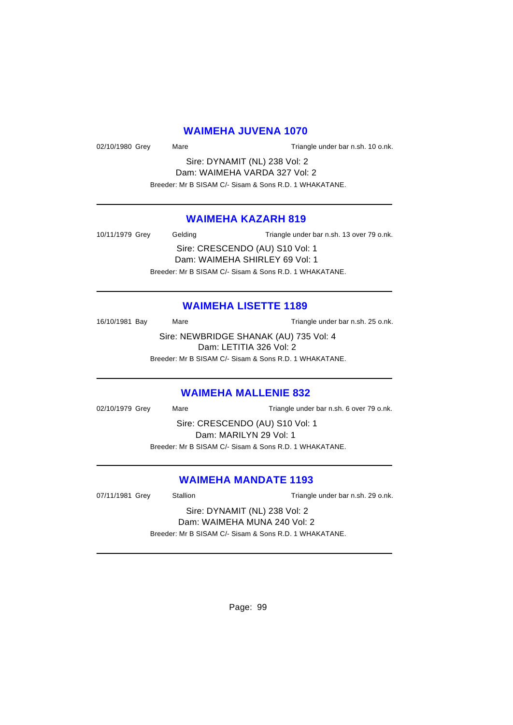## **WAIMEHA JUVENA 1070**

02/10/1980 Grey Mare Mare Triangle under bar n.sh. 10 o.nk.

Sire: DYNAMIT (NL) 238 Vol: 2 Dam: WAIMEHA VARDA 327 Vol: 2 Breeder: Mr B SISAM C/- Sisam & Sons R.D. 1 WHAKATANE.

## **WAIMEHA KAZARH 819**

10/11/1979 Grey Gelding Triangle under bar n.sh. 13 over 79 o.nk. Sire: CRESCENDO (AU) S10 Vol: 1 Dam: WAIMEHA SHIRLEY 69 Vol: 1

Breeder: Mr B SISAM C/- Sisam & Sons R.D. 1 WHAKATANE.

### **WAIMEHA LISETTE 1189**

16/10/1981 Bay Mare Mare Triangle under bar n.sh. 25 o.nk.

Sire: NEWBRIDGE SHANAK (AU) 735 Vol: 4 Dam: LETITIA 326 Vol: 2

Breeder: Mr B SISAM C/- Sisam & Sons R.D. 1 WHAKATANE.

#### **WAIMEHA MALLENIE 832**

02/10/1979 Grey Mare Mare Triangle under bar n.sh. 6 over 79 o.nk.

Sire: CRESCENDO (AU) S10 Vol: 1 Dam: MARILYN 29 Vol: 1 Breeder: Mr B SISAM C/- Sisam & Sons R.D. 1 WHAKATANE.

## **WAIMEHA MANDATE 1193**

07/11/1981 Grey Stallion Stallion Triangle under bar n.sh. 29 o.nk.

#### Sire: DYNAMIT (NL) 238 Vol: 2 Dam: WAIMEHA MUNA 240 Vol: 2

Breeder: Mr B SISAM C/- Sisam & Sons R.D. 1 WHAKATANE.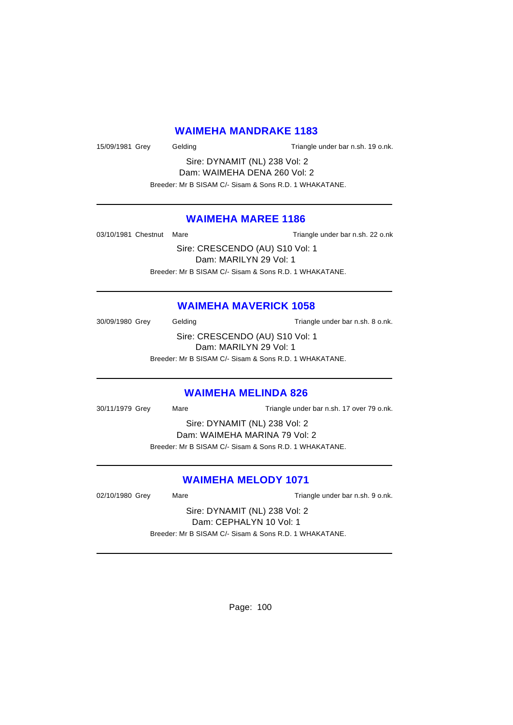### **WAIMEHA MANDRAKE 1183**

15/09/1981 Grey Gelding Triangle under bar n.sh. 19 o.nk.

Sire: DYNAMIT (NL) 238 Vol: 2 Dam: WAIMEHA DENA 260 Vol: 2 Breeder: Mr B SISAM C/- Sisam & Sons R.D. 1 WHAKATANE.

### **WAIMEHA MAREE 1186**

03/10/1981 Chestnut Mare Triangle under bar n.sh. 22 o.nk

Sire: CRESCENDO (AU) S10 Vol: 1 Dam: MARILYN 29 Vol: 1 Breeder: Mr B SISAM C/- Sisam & Sons R.D. 1 WHAKATANE.

### **WAIMEHA MAVERICK 1058**

30/09/1980 Grey Gelding Gelding Triangle under bar n.sh. 8 o.nk.

Sire: CRESCENDO (AU) S10 Vol: 1 Dam: MARILYN 29 Vol: 1 Breeder: Mr B SISAM C/- Sisam & Sons R.D. 1 WHAKATANE.

## **WAIMEHA MELINDA 826**

30/11/1979 Grey Mare Triangle under bar n.sh. 17 over 79 o.nk.

Sire: DYNAMIT (NL) 238 Vol: 2 Dam: WAIMEHA MARINA 79 Vol: 2

Breeder: Mr B SISAM C/- Sisam & Sons R.D. 1 WHAKATANE.

## **WAIMEHA MELODY 1071**

02/10/1980 Grey Mare Mare Triangle under bar n.sh. 9 o.nk.

Sire: DYNAMIT (NL) 238 Vol: 2 Dam: CEPHALYN 10 Vol: 1 Breeder: Mr B SISAM C/- Sisam & Sons R.D. 1 WHAKATANE.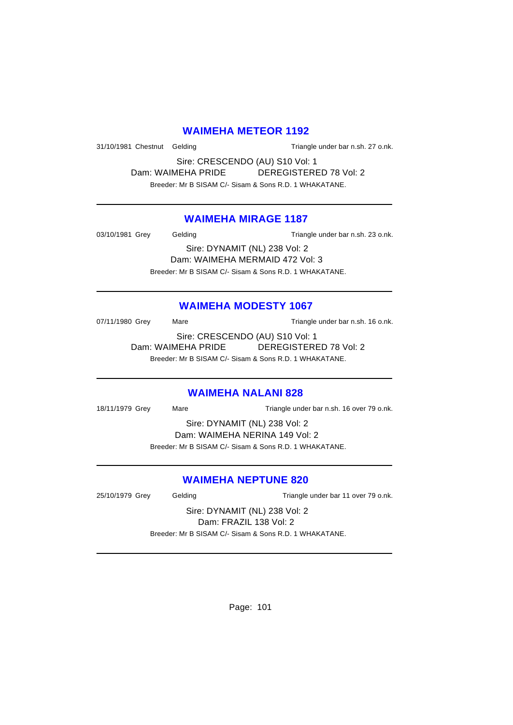## **WAIMEHA METEOR 1192**

31/10/1981 Chestnut Gelding Triangle under bar n.sh. 27 o.nk.

Sire: CRESCENDO (AU) S10 Vol: 1 Dam: WAIMEHA PRIDE DEREGISTERED 78 Vol: 2 Breeder: Mr B SISAM C/- Sisam & Sons R.D. 1 WHAKATANE.

### **WAIMEHA MIRAGE 1187**

03/10/1981 Grey Gelding Gelding Triangle under bar n.sh. 23 o.nk.

Sire: DYNAMIT (NL) 238 Vol: 2 Dam: WAIMEHA MERMAID 472 Vol: 3 Breeder: Mr B SISAM C/- Sisam & Sons R.D. 1 WHAKATANE.

### **WAIMEHA MODESTY 1067**

07/11/1980 Grey Mare Mare Triangle under bar n.sh. 16 o.nk.

Sire: CRESCENDO (AU) S10 Vol: 1 Dam: WAIMEHA PRIDE DEREGISTERED 78 Vol: 2 Breeder: Mr B SISAM C/- Sisam & Sons R.D. 1 WHAKATANE.

### **WAIMEHA NALANI 828**

18/11/1979 Grey Mare Triangle under bar n.sh. 16 over 79 o.nk.

Sire: DYNAMIT (NL) 238 Vol: 2 Dam: WAIMEHA NERINA 149 Vol: 2 Breeder: Mr B SISAM C/- Sisam & Sons R.D. 1 WHAKATANE.

### **WAIMEHA NEPTUNE 820**

25/10/1979 Grey Gelding Cassett Contract Triangle under bar 11 over 79 o.nk.

Sire: DYNAMIT (NL) 238 Vol: 2 Dam: FRAZIL 138 Vol: 2 Breeder: Mr B SISAM C/- Sisam & Sons R.D. 1 WHAKATANE.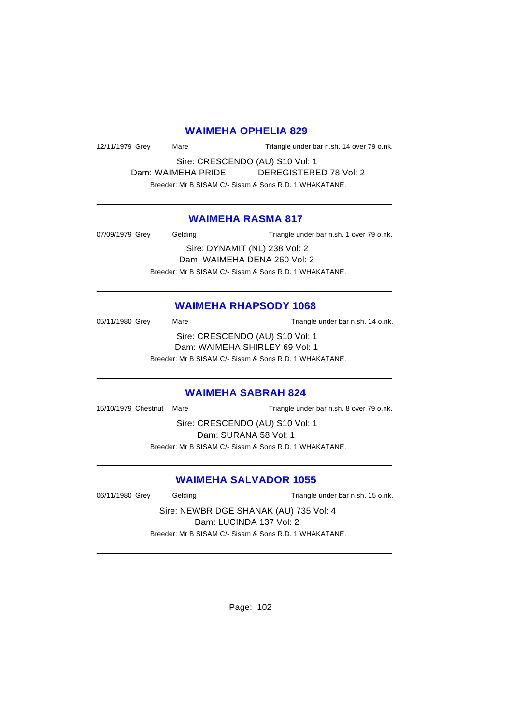#### **WAIMEHA OPHELIA 829**

12/11/1979 Grey Mare Mare Triangle under bar n.sh. 14 over 79 o.nk.

Sire: CRESCENDO (AU) S10 Vol: 1 Dam: WAIMEHA PRIDE DEREGISTERED 78 Vol: 2 Breeder: Mr B SISAM C/- Sisam & Sons R.D. 1 WHAKATANE.

## **WAIMEHA RASMA 817**

07/09/1979 Grey Gelding Triangle under bar n.sh. 1 over 79 o.nk. Sire: DYNAMIT (NL) 238 Vol: 2 Dam: WAIMEHA DENA 260 Vol: 2

Breeder: Mr B SISAM C/- Sisam & Sons R.D. 1 WHAKATANE.

### **WAIMEHA RHAPSODY 1068**

05/11/1980 Grey Mare Mare Triangle under bar n.sh. 14 o.nk. Sire: CRESCENDO (AU) S10 Vol: 1 Dam: WAIMEHA SHIRLEY 69 Vol: 1 Breeder: Mr B SISAM C/- Sisam & Sons R.D. 1 WHAKATANE.

#### **WAIMEHA SABRAH 824**

15/10/1979 Chestnut Mare Triangle under bar n.sh. 8 over 79 o.nk.

Sire: CRESCENDO (AU) S10 Vol: 1 Dam: SURANA 58 Vol: 1 Breeder: Mr B SISAM C/- Sisam & Sons R.D. 1 WHAKATANE.

## **WAIMEHA SALVADOR 1055**

06/11/1980 Grey Gelding Triangle under bar n.sh. 15 o.nk.

Sire: NEWBRIDGE SHANAK (AU) 735 Vol: 4 Dam: LUCINDA 137 Vol: 2 Breeder: Mr B SISAM C/- Sisam & Sons R.D. 1 WHAKATANE.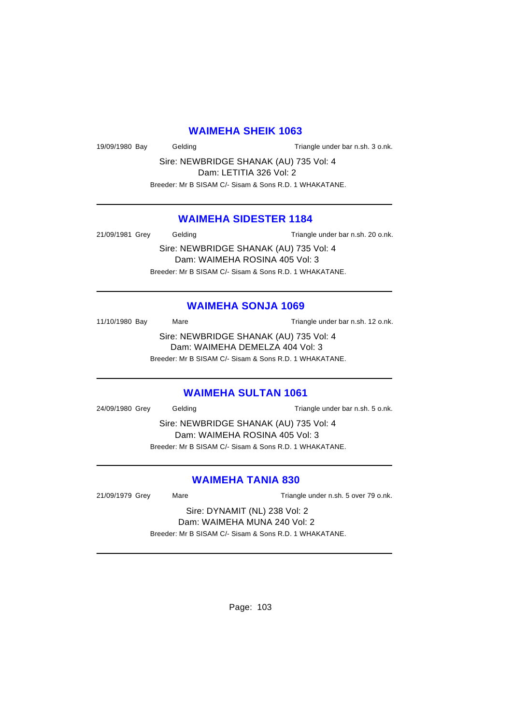### **WAIMEHA SHEIK 1063**

19/09/1980 Bay Gelding Gelding Triangle under bar n.sh. 3 o.nk.

Sire: NEWBRIDGE SHANAK (AU) 735 Vol: 4 Dam: LETITIA 326 Vol: 2 Breeder: Mr B SISAM C/- Sisam & Sons R.D. 1 WHAKATANE.

### **WAIMEHA SIDESTER 1184**

21/09/1981 Grey Gelding Gelding Triangle under bar n.sh. 20 o.nk.

Sire: NEWBRIDGE SHANAK (AU) 735 Vol: 4 Dam: WAIMEHA ROSINA 405 Vol: 3 Breeder: Mr B SISAM C/- Sisam & Sons R.D. 1 WHAKATANE.

### **WAIMEHA SONJA 1069**

11/10/1980 Bay Mare Mare Triangle under bar n.sh. 12 o.nk.

Sire: NEWBRIDGE SHANAK (AU) 735 Vol: 4 Dam: WAIMEHA DEMELZA 404 Vol: 3 Breeder: Mr B SISAM C/- Sisam & Sons R.D. 1 WHAKATANE.

### **WAIMEHA SULTAN 1061**

24/09/1980 Grey Gelding Gelding Triangle under bar n.sh. 5 o.nk.

Sire: NEWBRIDGE SHANAK (AU) 735 Vol: 4 Dam: WAIMEHA ROSINA 405 Vol: 3 Breeder: Mr B SISAM C/- Sisam & Sons R.D. 1 WHAKATANE.

### **WAIMEHA TANIA 830**

21/09/1979 Grey Mare Mare Triangle under n.sh. 5 over 79 o.nk.

Sire: DYNAMIT (NL) 238 Vol: 2 Dam: WAIMEHA MUNA 240 Vol: 2

Breeder: Mr B SISAM C/- Sisam & Sons R.D. 1 WHAKATANE.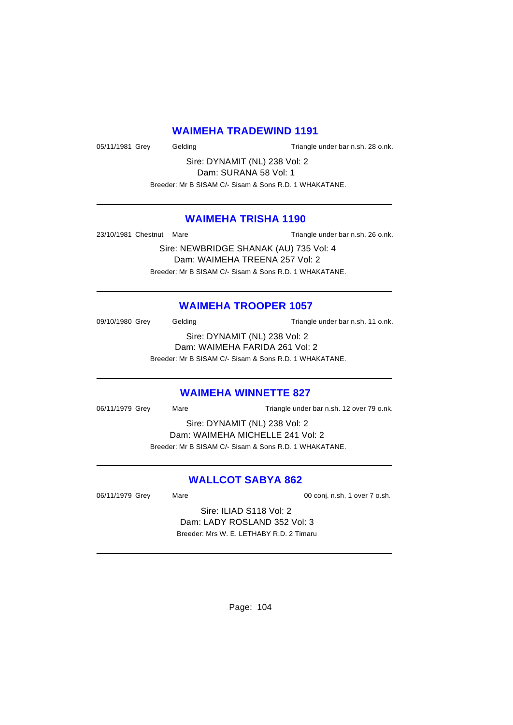### **WAIMEHA TRADEWIND 1191**

05/11/1981 Grey Gelding Triangle under bar n.sh. 28 o.nk.

Sire: DYNAMIT (NL) 238 Vol: 2 Dam: SURANA 58 Vol: 1

Breeder: Mr B SISAM C/- Sisam & Sons R.D. 1 WHAKATANE.

## **WAIMEHA TRISHA 1190**

23/10/1981 Chestnut Mare Triangle under bar n.sh. 26 o.nk.

Sire: NEWBRIDGE SHANAK (AU) 735 Vol: 4 Dam: WAIMEHA TREENA 257 Vol: 2 Breeder: Mr B SISAM C/- Sisam & Sons R.D. 1 WHAKATANE.

## **WAIMEHA TROOPER 1057**

09/10/1980 Grey Gelding Gelding Triangle under bar n.sh. 11 o.nk. Sire: DYNAMIT (NL) 238 Vol: 2

Dam: WAIMEHA FARIDA 261 Vol: 2

Breeder: Mr B SISAM C/- Sisam & Sons R.D. 1 WHAKATANE.

### **WAIMEHA WINNETTE 827**

06/11/1979 Grey Mare Mare Triangle under bar n.sh. 12 over 79 o.nk.

Sire: DYNAMIT (NL) 238 Vol: 2 Dam: WAIMEHA MICHELLE 241 Vol: 2 Breeder: Mr B SISAM C/- Sisam & Sons R.D. 1 WHAKATANE.

## **WALLCOT SABYA 862**

06/11/1979 Grey Mare Mare 00 conj. n.sh. 1 over 7 o.sh.

Sire: ILIAD S118 Vol: 2 Dam: LADY ROSLAND 352 Vol: 3 Breeder: Mrs W. E. LETHABY R.D. 2 Timaru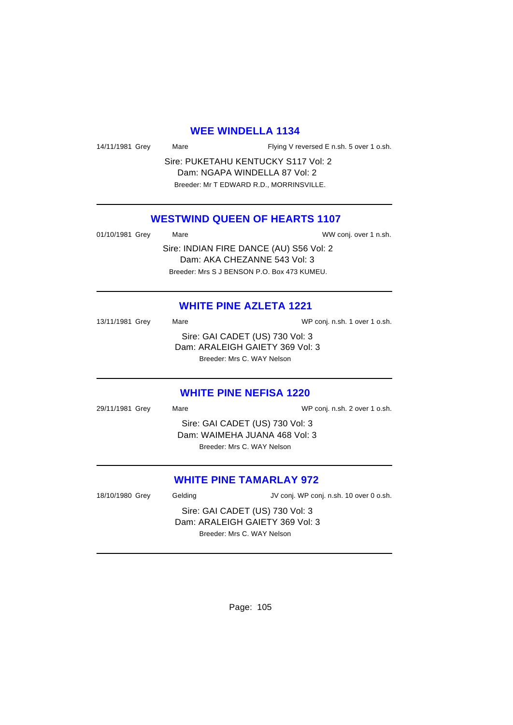#### **WEE WINDELLA 1134**

Mare **Interpolat Common State Flying V reversed E n.sh. 5 over 1 o.sh.** 

Sire: PUKETAHU KENTUCKY S117 Vol: 2 Dam: NGAPA WINDELLA 87 Vol: 2 Breeder: Mr T EDWARD R.D., MORRINSVILLE.

## **WESTWIND QUEEN OF HEARTS 1107**

| 01/10/1981 Grey | Mare | WW conj. over 1 n.sh.                   |
|-----------------|------|-----------------------------------------|
|                 |      | Sire: INDIAN FIRE DANCE (AU) S56 Vol: 2 |
|                 |      | Dam: AKA CHEZANNE 543 Vol: 3            |

Breeder: Mrs S J BENSON P.O. Box 473 KUMEU.

## **WHITE PINE AZLETA 1221**

| 13/11/1981 Grey | Mare                            | WP conj. n.sh. 1 over 1 o.sh. |
|-----------------|---------------------------------|-------------------------------|
|                 | Sire: GAI CADET (US) 730 Vol: 3 |                               |
|                 | Dam: ARALEIGH GAIETY 369 Vol: 3 |                               |
|                 | Breeder: Mrs C. WAY Nelson      |                               |
|                 |                                 |                               |

#### **WHITE PINE NEFISA 1220**

| 29/11/1981 Grey | Mare                            | WP conj. n.sh. 2 over 1 o.sh. |
|-----------------|---------------------------------|-------------------------------|
|                 | Sire: GAI CADET (US) 730 Vol: 3 |                               |
|                 | Dam: WAIMEHA JUANA 468 Vol: 3   |                               |
|                 | Breeder: Mrs C. WAY Nelson      |                               |
|                 |                                 |                               |

## **WHITE PINE TAMARLAY 972**

18/10/1980 Grey Gelding JV conj. WP conj. n.sh. 10 over 0 o.sh.

Sire: GAI CADET (US) 730 Vol: 3 Dam: ARALEIGH GAIETY 369 Vol: 3 Breeder: Mrs C. WAY Nelson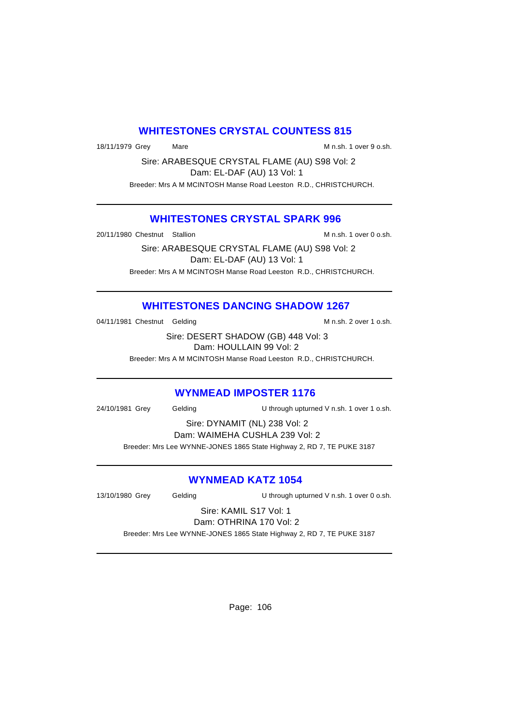## **WHITESTONES CRYSTAL COUNTESS 815**

18/11/1979 Grey Mare Mare M n.sh. 1 over 9 o.sh.

Sire: ARABESQUE CRYSTAL FLAME (AU) S98 Vol: 2 Dam: EL-DAF (AU) 13 Vol: 1 Breeder: Mrs A M MCINTOSH Manse Road Leeston R.D., CHRISTCHURCH.

### **WHITESTONES CRYSTAL SPARK 996**

20/11/1980 Chestnut Stallion M n.sh. 1 over 0 o.sh.

Sire: ARABESQUE CRYSTAL FLAME (AU) S98 Vol: 2 Dam: EL-DAF (AU) 13 Vol: 1 Breeder: Mrs A M MCINTOSH Manse Road Leeston R.D., CHRISTCHURCH.

## **WHITESTONES DANCING SHADOW 1267**

04/11/1981 Chestnut Gelding M n.sh. 2 over 1 o.sh.

Sire: DESERT SHADOW (GB) 448 Vol: 3 Dam: HOULLAIN 99 Vol: 2

Breeder: Mrs A M MCINTOSH Manse Road Leeston R.D., CHRISTCHURCH.

### **WYNMEAD IMPOSTER 1176**

24/10/1981 Grey Gelding U through upturned V n.sh. 1 over 1 o.sh.

Sire: DYNAMIT (NL) 238 Vol: 2

Dam: WAIMEHA CUSHLA 239 Vol: 2 Breeder: Mrs Lee WYNNE-JONES 1865 State Highway 2, RD 7, TE PUKE 3187

## **WYNMEAD KATZ 1054**

13/10/1980 Grey Gelding U through upturned V n.sh. 1 over 0 o.sh.

#### Sire: KAMIL S17 Vol: 1 Dam: OTHRINA 170 Vol: 2

Breeder: Mrs Lee WYNNE-JONES 1865 State Highway 2, RD 7, TE PUKE 3187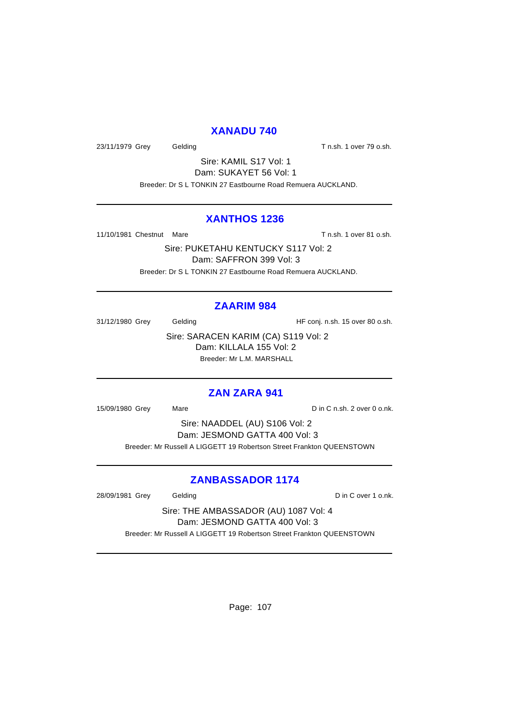### **XANADU 740**

23/11/1979 Grey Gelding Cash. T n.sh. 1 over 79 o.sh.

Sire: KAMIL S17 Vol: 1 Dam: SUKAYET 56 Vol: 1 Breeder: Dr S L TONKIN 27 Eastbourne Road Remuera AUCKLAND.

### **XANTHOS 1236**

11/10/1981 Chestnut Mare T n.sh. 1 over 81 o.sh.

Sire: PUKETAHU KENTUCKY S117 Vol: 2 Dam: SAFFRON 399 Vol: 3 Breeder: Dr S L TONKIN 27 Eastbourne Road Remuera AUCKLAND.

## **ZAARIM 984**

31/12/1980 Grey Gelding Gelding HF conj. n.sh. 15 over 80 o.sh.

Sire: SARACEN KARIM (CA) S119 Vol: 2 Dam: KILLALA 155 Vol: 2 Breeder: Mr L.M. MARSHALL

### **ZAN ZARA 941**

15/09/1980 Grey Mare Mare Din C n.sh. 2 over 0 o.nk.

Sire: NAADDEL (AU) S106 Vol: 2 Dam: JESMOND GATTA 400 Vol: 3 Breeder: Mr Russell A LIGGETT 19 Robertson Street Frankton QUEENSTOWN

## **ZANBASSADOR 1174**

28/09/1981 Grey Gelding Care Control of D in C over 1 o.nk.

Sire: THE AMBASSADOR (AU) 1087 Vol: 4 Dam: JESMOND GATTA 400 Vol: 3 Breeder: Mr Russell A LIGGETT 19 Robertson Street Frankton QUEENSTOWN